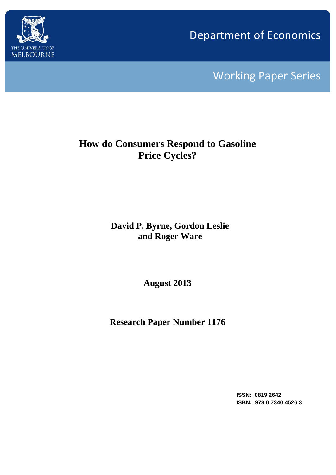

Department of Economics

Working Paper Series

# **How do Consumers Respond to Gasoline Price Cycles?**

## **David P. Byrne, Gordon Leslie and Roger Ware**

**August 2013**

**Research Paper Number 1176**

**ISSN: 0819 2642 ISBN: 978 0 7340 4526 3**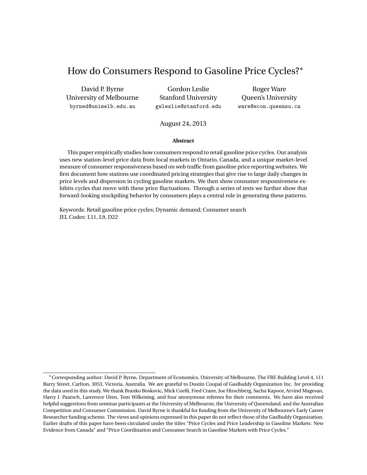## How do Consumers Respond to Gasoline Price Cycles?<sup>∗</sup>

David P. Byrne University of Melbourne byrned@unimelb.edu.au

Gordon Leslie Stanford University gwleslie@stanford.edu

Roger Ware Queen's University ware@econ.queensu.ca

#### August 24, 2013

#### **Abstract**

This paper empirically studies how consumers respond to retail gasoline price cycles. Our analysis uses new station-level price data from local markets in Ontario, Canada, and a unique market-level measure of consumer responsiveness based on web traffic from gasoline price reporting websites. We first document how stations use coordinated pricing strategies that give rise to large daily changes in price levels and dispersion in cycling gasoline markets. We then show consumer responsiveness exhibits cycles that move with these price fluctuations. Through a series of tests we further show that forward-looking stockpiling behavior by consumers plays a central role in generating these patterns.

Keywords: Retail gasoline price cycles; Dynamic demand; Consumer search JEL Codes: L11, L9, D22

<sup>∗</sup>Corresponding author: David P. Byrne, Department of Economics, University of Melbourne, The FBE Building Level 4, 111 Barry Street, Carlton, 3053, Victoria, Australia. We are grateful to Dustin Coupal of GasBuddy Organization Inc. for providing the data used in this study. We thank Branko Boskovic, Mick Coelli, Fred Crane, Joe Hirschberg, Sacha Kapoor, Arvind Magesan, Harry J. Paarsch, Lawrence Uren, Tom Wilkening, and four anonymous referees for their comments. We have also received helpful suggestions from seminar participants at the University of Melbourne, the University of Queensland, and the Australian Competition and Consumer Commission. David Byrne is thankful for funding from the University of Melbourne's Early Career Researcher funding scheme. The views and opinions expressed in this paper do not reflect those of the GasBuddy Organization. Earlier drafts of this paper have been circulated under the titles "Price Cycles and Price Leadership in Gasoline Markets: New Evidence from Canada" and "Price Coordination and Consumer Search in Gasoline Markets with Price Cycles."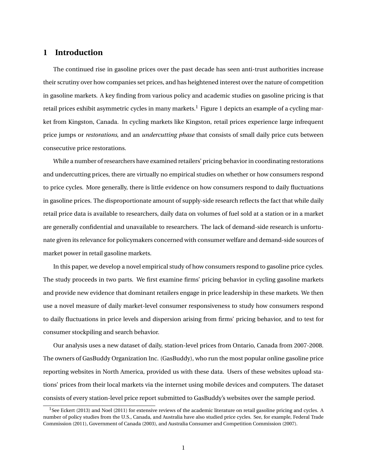## **1 Introduction**

The continued rise in gasoline prices over the past decade has seen anti-trust authorities increase their scrutiny over how companies set prices, and has heightened interest over the nature of competition in gasoline markets. A key finding from various policy and academic studies on gasoline pricing is that retail prices exhibit asymmetric cycles in many markets.<sup>1</sup> Figure 1 depicts an example of a cycling market from Kingston, Canada. In cycling markets like Kingston, retail prices experience large infrequent price jumps or *restorations*, and an *undercutting phase* that consists of small daily price cuts between consecutive price restorations.

While a number of researchers have examined retailers' pricing behavior in coordinating restorations and undercutting prices, there are virtually no empirical studies on whether or how consumers respond to price cycles. More generally, there is little evidence on how consumers respond to daily fluctuations in gasoline prices. The disproportionate amount of supply-side research reflects the fact that while daily retail price data is available to researchers, daily data on volumes of fuel sold at a station or in a market are generally confidential and unavailable to researchers. The lack of demand-side research is unfortunate given its relevance for policymakers concerned with consumer welfare and demand-side sources of market power in retail gasoline markets.

In this paper, we develop a novel empirical study of how consumers respond to gasoline price cycles. The study proceeds in two parts. We first examine firms' pricing behavior in cycling gasoline markets and provide new evidence that dominant retailers engage in price leadership in these markets. We then use a novel measure of daily market-level consumer responsiveness to study how consumers respond to daily fluctuations in price levels and dispersion arising from firms' pricing behavior, and to test for consumer stockpiling and search behavior.

Our analysis uses a new dataset of daily, station-level prices from Ontario, Canada from 2007-2008. The owners of GasBuddy Organization Inc. (GasBuddy), who run the most popular online gasoline price reporting websites in North America, provided us with these data. Users of these websites upload stations' prices from their local markets via the internet using mobile devices and computers. The dataset consists of every station-level price report submitted to GasBuddy's websites over the sample period.

 $1$ See Eckert (2013) and Noel (2011) for extensive reviews of the academic literature on retail gasoline pricing and cycles. A number of policy studies from the U.S., Canada, and Australia have also studied price cycles. See, for example, Federal Trade Commission (2011), Government of Canada (2003), and Australia Consumer and Competition Commission (2007).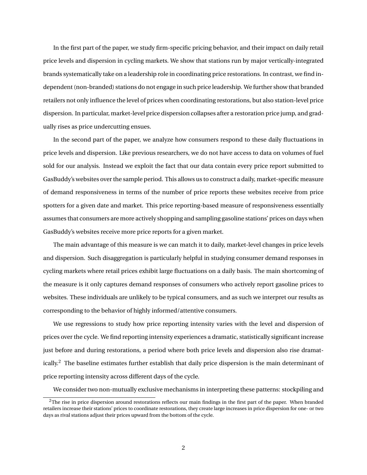In the first part of the paper, we study firm-specific pricing behavior, and their impact on daily retail price levels and dispersion in cycling markets. We show that stations run by major vertically-integrated brands systematically take on a leadership role in coordinating price restorations. In contrast, we find independent (non-branded) stations do not engage in such price leadership. We further show that branded retailers not only influence the level of prices when coordinating restorations, but also station-level price dispersion. In particular, market-level price dispersion collapses after a restoration price jump, and gradually rises as price undercutting ensues.

In the second part of the paper, we analyze how consumers respond to these daily fluctuations in price levels and dispersion. Like previous researchers, we do not have access to data on volumes of fuel sold for our analysis. Instead we exploit the fact that our data contain every price report submitted to GasBuddy's websites over the sample period. This allows us to construct a daily, market-specific measure of demand responsiveness in terms of the number of price reports these websites receive from price spotters for a given date and market. This price reporting-based measure of responsiveness essentially assumes that consumers are more actively shopping and sampling gasoline stations' prices on days when GasBuddy's websites receive more price reports for a given market.

The main advantage of this measure is we can match it to daily, market-level changes in price levels and dispersion. Such disaggregation is particularly helpful in studying consumer demand responses in cycling markets where retail prices exhibit large fluctuations on a daily basis. The main shortcoming of the measure is it only captures demand responses of consumers who actively report gasoline prices to websites. These individuals are unlikely to be typical consumers, and as such we interpret our results as corresponding to the behavior of highly informed/attentive consumers.

We use regressions to study how price reporting intensity varies with the level and dispersion of prices over the cycle. We find reporting intensity experiences a dramatic, statistically significant increase just before and during restorations, a period where both price levels and dispersion also rise dramatically.<sup>2</sup> The baseline estimates further establish that daily price dispersion is the main determinant of price reporting intensity across different days of the cycle.

We consider two non-mutually exclusive mechanisms in interpreting these patterns: stockpiling and

 $2$ The rise in price dispersion around restorations reflects our main findings in the first part of the paper. When branded retailers increase their stations' prices to coordinate restorations, they create large increases in price dispersion for one- or two days as rival stations adjust their prices upward from the bottom of the cycle.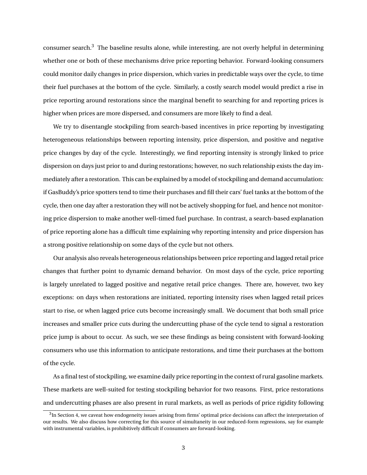consumer search.<sup>3</sup> The baseline results alone, while interesting, are not overly helpful in determining whether one or both of these mechanisms drive price reporting behavior. Forward-looking consumers could monitor daily changes in price dispersion, which varies in predictable ways over the cycle, to time their fuel purchases at the bottom of the cycle. Similarly, a costly search model would predict a rise in price reporting around restorations since the marginal benefit to searching for and reporting prices is higher when prices are more dispersed, and consumers are more likely to find a deal.

We try to disentangle stockpiling from search-based incentives in price reporting by investigating heterogeneous relationships between reporting intensity, price dispersion, and positive and negative price changes by day of the cycle. Interestingly, we find reporting intensity is strongly linked to price dispersion on days just prior to and during restorations; however, no such relationship exists the day immediately after a restoration. This can be explained by a model of stockpiling and demand accumulation: if GasBuddy's price spotters tend to time their purchases and fill their cars' fuel tanks at the bottom of the cycle, then one day after a restoration they will not be actively shopping for fuel, and hence not monitoring price dispersion to make another well-timed fuel purchase. In contrast, a search-based explanation of price reporting alone has a difficult time explaining why reporting intensity and price dispersion has a strong positive relationship on some days of the cycle but not others.

Our analysis also reveals heterogeneous relationships between price reporting and lagged retail price changes that further point to dynamic demand behavior. On most days of the cycle, price reporting is largely unrelated to lagged positive and negative retail price changes. There are, however, two key exceptions: on days when restorations are initiated, reporting intensity rises when lagged retail prices start to rise, or when lagged price cuts become increasingly small. We document that both small price increases and smaller price cuts during the undercutting phase of the cycle tend to signal a restoration price jump is about to occur. As such, we see these findings as being consistent with forward-looking consumers who use this information to anticipate restorations, and time their purchases at the bottom of the cycle.

As a final test of stockpiling, we examine daily price reporting in the context of rural gasoline markets. These markets are well-suited for testing stockpiling behavior for two reasons. First, price restorations and undercutting phases are also present in rural markets, as well as periods of price rigidity following

 ${}^{3}$ In Section 4, we caveat how endogeneity issues arising from firms' optimal price decisions can affect the interpretation of our results. We also discuss how correcting for this source of simultaneity in our reduced-form regressions, say for example with instrumental variables, is prohibitively difficult if consumers are forward-looking.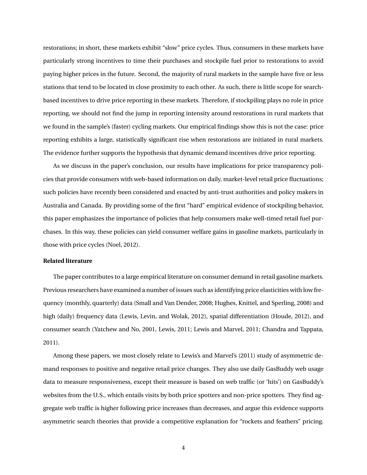restorations; in short, these markets exhibit "slow" price cycles. Thus, consumers in these markets have particularly strong incentives to time their purchases and stockpile fuel prior to restorations to avoid paying higher prices in the future. Second, the majority of rural markets in the sample have five or less stations that tend to be located in close proximity to each other. As such, there is little scope for searchbased incentives to drive price reporting in these markets. Therefore, if stockpiling plays no role in price reporting, we should not find the jump in reporting intensity around restorations in rural markets that we found in the sample's (faster) cycling markets. Our empirical findings show this is not the case: price reporting exhibits a large, statistically significant rise when restorations are initiated in rural markets. The evidence further supports the hypothesis that dynamic demand incentives drive price reporting.

As we discuss in the paper's conclusion, our results have implications for price transparency policies that provide consumers with web-based information on daily, market-level retail price fluctuations; such policies have recently been considered and enacted by anti-trust authorities and policy makers in Australia and Canada. By providing some of the first "hard" empirical evidence of stockpiling behavior, this paper emphasizes the importance of policies that help consumers make well-timed retail fuel purchases. In this way, these policies can yield consumer welfare gains in gasoline markets, particularly in those with price cycles (Noel, 2012).

#### **Related literature**

The paper contributes to a large empirical literature on consumer demand in retail gasoline markets. Previous researchers have examined a number of issues such as identifying price elasticities with low frequency (monthly, quarterly) data (Small and Van Dender, 2008; Hughes, Knittel, and Sperling, 2008) and high (daily) frequency data (Lewis, Levin, and Wolak, 2012), spatial differentiation (Houde, 2012), and consumer search (Yatchew and No, 2001, Lewis, 2011; Lewis and Marvel, 2011; Chandra and Tappata, 2011).

Among these papers, we most closely relate to Lewis's and Marvel's (2011) study of asymmetric demand responses to positive and negative retail price changes. They also use daily GasBuddy web usage data to measure responsiveness, except their measure is based on web traffic (or 'hits') on GasBuddy's websites from the U.S., which entails visits by both price spotters and non-price spotters. They find aggregate web traffic is higher following price increases than decreases, and argue this evidence supports asymmetric search theories that provide a competitive explanation for "rockets and feathers" pricing.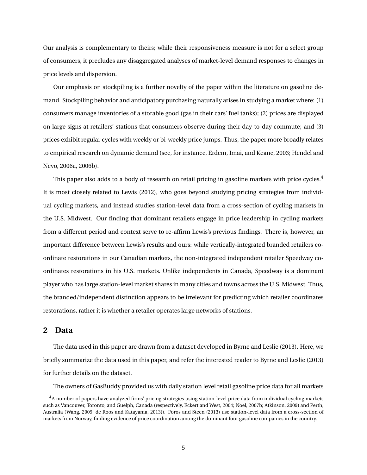Our analysis is complementary to theirs; while their responsiveness measure is not for a select group of consumers, it precludes any disaggregated analyses of market-level demand responses to changes in price levels and dispersion.

Our emphasis on stockpiling is a further novelty of the paper within the literature on gasoline demand. Stockpiling behavior and anticipatory purchasing naturally arises in studying a market where: (1) consumers manage inventories of a storable good (gas in their cars' fuel tanks); (2) prices are displayed on large signs at retailers' stations that consumers observe during their day-to-day commute; and (3) prices exhibit regular cycles with weekly or bi-weekly price jumps. Thus, the paper more broadly relates to empirical research on dynamic demand (see, for instance, Erdem, Imai, and Keane, 2003; Hendel and Nevo, 2006a, 2006b).

This paper also adds to a body of research on retail pricing in gasoline markets with price cycles.<sup>4</sup> It is most closely related to Lewis (2012), who goes beyond studying pricing strategies from individual cycling markets, and instead studies station-level data from a cross-section of cycling markets in the U.S. Midwest. Our finding that dominant retailers engage in price leadership in cycling markets from a different period and context serve to re-affirm Lewis's previous findings. There is, however, an important difference between Lewis's results and ours: while vertically-integrated branded retailers coordinate restorations in our Canadian markets, the non-integrated independent retailer Speedway coordinates restorations in his U.S. markets. Unlike independents in Canada, Speedway is a dominant player who has large station-level market shares in many cities and towns across the U.S. Midwest. Thus, the branded/independent distinction appears to be irrelevant for predicting which retailer coordinates restorations, rather it is whether a retailer operates large networks of stations.

## **2 Data**

The data used in this paper are drawn from a dataset developed in Byrne and Leslie (2013). Here, we briefly summarize the data used in this paper, and refer the interested reader to Byrne and Leslie (2013) for further details on the dataset.

The owners of GasBuddy provided us with daily station level retail gasoline price data for all markets

<sup>&</sup>lt;sup>4</sup>A number of papers have analyzed firms' pricing strategies using station-level price data from individual cycling markets such as Vancouver, Toronto, and Guelph, Canada (respectively, Eckert and West, 2004; Noel, 2007b; Atkinson, 2009) and Perth, Australia (Wang, 2009; de Roos and Katayama, 2013)). Foros and Steen (2013) use station-level data from a cross-section of markets from Norway, finding evidence of price coordination among the dominant four gasoline companies in the country.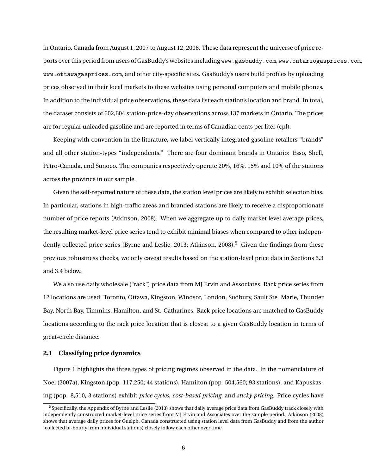in Ontario, Canada from August 1, 2007 to August 12, 2008. These data represent the universe of price reports over this period from users of GasBuddy's websites including www.gasbuddy.com, www.ontariogasprices.com, www.ottawagasprices.com, and other city-specific sites. GasBuddy's users build profiles by uploading prices observed in their local markets to these websites using personal computers and mobile phones. In addition to the individual price observations, these data list each station's location and brand. In total, the dataset consists of 602,604 station-price-day observations across 137 markets in Ontario. The prices are for regular unleaded gasoline and are reported in terms of Canadian cents per liter (cpl).

Keeping with convention in the literature, we label vertically integrated gasoline retailers "brands" and all other station-types "independents." There are four dominant brands in Ontario: Esso, Shell, Petro-Canada, and Sunoco. The companies respectively operate 20%, 16%, 15% and 10% of the stations across the province in our sample.

Given the self-reported nature of these data, the station level prices are likely to exhibit selection bias. In particular, stations in high-traffic areas and branded stations are likely to receive a disproportionate number of price reports (Atkinson, 2008). When we aggregate up to daily market level average prices, the resulting market-level price series tend to exhibit minimal biases when compared to other independently collected price series (Byrne and Leslie, 2013; Atkinson, 2008).<sup>5</sup> Given the findings from these previous robustness checks, we only caveat results based on the station-level price data in Sections 3.3 and 3.4 below.

We also use daily wholesale ("rack") price data from MJ Ervin and Associates. Rack price series from 12 locations are used: Toronto, Ottawa, Kingston, Windsor, London, Sudbury, Sault Ste. Marie, Thunder Bay, North Bay, Timmins, Hamilton, and St. Catharines. Rack price locations are matched to GasBuddy locations according to the rack price location that is closest to a given GasBuddy location in terms of great-circle distance.

#### **2.1 Classifying price dynamics**

Figure 1 highlights the three types of pricing regimes observed in the data. In the nomenclature of Noel (2007a), Kingston (pop. 117,250; 44 stations), Hamilton (pop. 504,560; 93 stations), and Kapuskasing (pop. 8,510, 3 stations) exhibit *price cycles*, *cost-based pricing*, and *sticky pricing*. Price cycles have

<sup>5</sup>Specifically, the Appendix of Byrne and Leslie (2013) shows that daily average price data from GasBuddy track closely with independently constructed market-level price series from MJ Ervin and Associates over the sample period. Atkinson (2008) shows that average daily prices for Guelph, Canada constructed using station level data from GasBuddy and from the author (collected bi-hourly from individual stations) closely follow each other over time.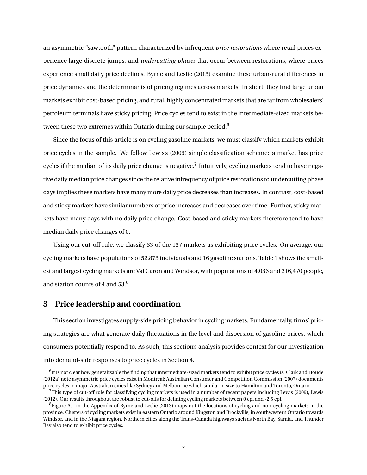an asymmetric "sawtooth" pattern characterized by infrequent *price restorations* where retail prices experience large discrete jumps, and *undercutting phases* that occur between restorations, where prices experience small daily price declines. Byrne and Leslie (2013) examine these urban-rural differences in price dynamics and the determinants of pricing regimes across markets. In short, they find large urban markets exhibit cost-based pricing, and rural, highly concentrated markets that are far from wholesalers' petroleum terminals have sticky pricing. Price cycles tend to exist in the intermediate-sized markets between these two extremes within Ontario during our sample period.<sup>6</sup>

Since the focus of this article is on cycling gasoline markets, we must classify which markets exhibit price cycles in the sample. We follow Lewis's (2009) simple classification scheme: a market has price cycles if the median of its daily price change is negative.<sup>7</sup> Intuitively, cycling markets tend to have negative daily median price changes since the relative infrequency of price restorations to undercutting phase days implies these markets have many more daily price decreases than increases. In contrast, cost-based and sticky markets have similar numbers of price increases and decreases over time. Further, sticky markets have many days with no daily price change. Cost-based and sticky markets therefore tend to have median daily price changes of 0.

Using our cut-off rule, we classify 33 of the 137 markets as exhibiting price cycles. On average, our cycling markets have populations of 52,873 individuals and 16 gasoline stations. Table 1 shows the smallest and largest cycling markets are Val Caron and Windsor, with populations of 4,036 and 216,470 people, and station counts of 4 and 53.<sup>8</sup>

## **3 Price leadership and coordination**

This section investigates supply-side pricing behavior in cycling markets. Fundamentally, firms' pricing strategies are what generate daily fluctuations in the level and dispersion of gasoline prices, which consumers potentially respond to. As such, this section's analysis provides context for our investigation into demand-side responses to price cycles in Section 4.

 $^6$  It is not clear how generalizable the finding that intermediate-sized markets tend to exhibit price cycles is. Clark and Houde (2012a) note asymmetric price cycles exist in Montreal; Australian Consumer and Competition Commission (2007) documents price cycles in major Australian cities like Sydney and Melbourne which similar in size to Hamilton and Toronto, Ontario.

<sup>&</sup>lt;sup>7</sup>This type of cut-off rule for classifying cycling markets is used in a number of recent papers including Lewis (2009), Lewis (2012). Our results throughout are robust to cut-offs for defining cycling markets between 0 cpl and -2.5 cpl.

 ${}^{8}$ Figure A.1 in the Appendix of Byrne and Leslie (2013) maps out the locations of cycling and non-cycling markets in the province. Clusters of cycling markets exist in eastern Ontario around Kingston and Brockville, in southwestern Ontario towards Windsor, and in the Niagara region. Northern cities along the Trans-Canada highways such as North Bay, Sarnia, and Thunder Bay also tend to exhibit price cycles.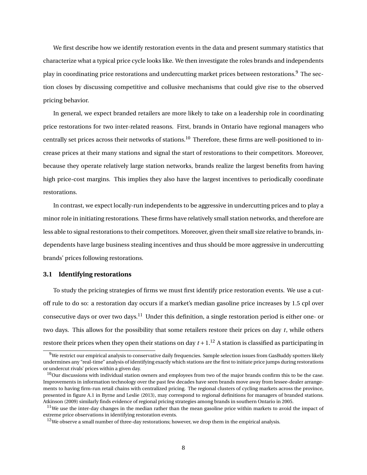We first describe how we identify restoration events in the data and present summary statistics that characterize what a typical price cycle looks like. We then investigate the roles brands and independents play in coordinating price restorations and undercutting market prices between restorations.<sup>9</sup> The section closes by discussing competitive and collusive mechanisms that could give rise to the observed pricing behavior.

In general, we expect branded retailers are more likely to take on a leadership role in coordinating price restorations for two inter-related reasons. First, brands in Ontario have regional managers who centrally set prices across their networks of stations.<sup>10</sup> Therefore, these firms are well-positioned to increase prices at their many stations and signal the start of restorations to their competitors. Moreover, because they operate relatively large station networks, brands realize the largest benefits from having high price-cost margins. This implies they also have the largest incentives to periodically coordinate restorations.

In contrast, we expect locally-run independents to be aggressive in undercutting prices and to play a minor role in initiating restorations. These firms have relatively small station networks, and therefore are less able to signal restorations to their competitors. Moreover, given their small size relative to brands, independents have large business stealing incentives and thus should be more aggressive in undercutting brands' prices following restorations.

#### **3.1 Identifying restorations**

To study the pricing strategies of firms we must first identify price restoration events. We use a cutoff rule to do so: a restoration day occurs if a market's median gasoline price increases by 1.5 cpl over consecutive days or over two days.<sup>11</sup> Under this definition, a single restoration period is either one- or two days. This allows for the possibility that some retailers restore their prices on day *t*, while others restore their prices when they open their stations on day  $t + 1$ .<sup>12</sup> A station is classified as participating in

<sup>9</sup>We restrict our empirical analysis to conservative daily frequencies. Sample selection issues from GasBuddy spotters likely undermines any "real-time" analysis of identifying exactly which stations are the first to initiate price jumps during restorations or undercut rivals' prices within a given day.

 $10$ Our discussions with individual station owners and employees from two of the major brands confirm this to be the case. Improvements in information technology over the past few decades have seen brands move away from lessee-dealer arrangements to having firm-run retail chains with centralized pricing. The regional clusters of cycling markets across the province, presented in figure A.1 in Byrne and Leslie (2013), may correspond to regional definitions for managers of branded stations. Atkinson (2009) similarly finds evidence of regional pricing strategies among brands in southern Ontario in 2005.

 $11$ We use the inter-day changes in the median rather than the mean gasoline price within markets to avoid the impact of extreme price observations in identifying restoration events.

 $12$ We observe a small number of three-day restorations; however, we drop them in the empirical analysis.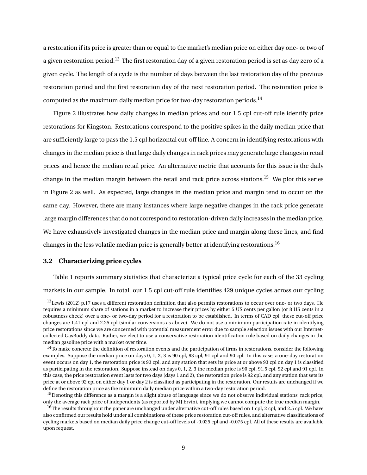a restoration if its price is greater than or equal to the market's median price on either day one- or two of a given restoration period.<sup>13</sup> The first restoration day of a given restoration period is set as day zero of a given cycle. The length of a cycle is the number of days between the last restoration day of the previous restoration period and the first restoration day of the next restoration period. The restoration price is computed as the maximum daily median price for two-day restoration periods.<sup>14</sup>

Figure 2 illustrates how daily changes in median prices and our 1.5 cpl cut-off rule identify price restorations for Kingston. Restorations correspond to the positive spikes in the daily median price that are sufficiently large to pass the 1.5 cpl horizontal cut-off line. A concern in identifying restorations with changes in the median price is that large daily changes in rack prices may generate large changes in retail prices and hence the median retail price. An alternative metric that accounts for this issue is the daily change in the median margin between the retail and rack price across stations.<sup>15</sup> We plot this series in Figure 2 as well. As expected, large changes in the median price and margin tend to occur on the same day. However, there are many instances where large negative changes in the rack price generate large margin differences that do not correspond to restoration-driven daily increases in the median price. We have exhaustively investigated changes in the median price and margin along these lines, and find changes in the less volatile median price is generally better at identifying restorations.<sup>16</sup>

### **3.2 Characterizing price cycles**

Table 1 reports summary statistics that characterize a typical price cycle for each of the 33 cycling markets in our sample. In total, our 1.5 cpl cut-off rule identifies 429 unique cycles across our cycling

 $13$ Lewis (2012) p.17 uses a different restoration definition that also permits restorations to occur over one- or two days. He requires a minimum share of stations in a market to increase their prices by either 5 US cents per gallon (or 8 US cents in a robustness check) over a one- or two-day period for a restoration to be established. In terms of CAD cpl, these cut-off price changes are 1.41 cpl and 2.25 cpl (similar conversions as above). We do not use a minimum participation rate in identifying price restorations since we are concerned with potential measurement error due to sample selection issues with our Internetcollected GasBuddy data. Rather, we elect to use a conservative restoration identification rule based on daily changes in the median gasoline price with a market over time.

<sup>&</sup>lt;sup>14</sup>To make concrete the definition of restoration events and the participation of firms in restorations, consider the following examples. Suppose the median price on days 0, 1, 2, 3 is 90 cpl, 93 cpl, 91 cpl and 90 cpl. In this case, a one-day restoration event occurs on day 1, the restoration price is 93 cpl, and any station that sets its price at or above 93 cpl on day 1 is classified as participating in the restoration. Suppose instead on days 0, 1, 2, 3 the median price is 90 cpl, 91.5 cpl, 92 cpl and 91 cpl. In this case, the price restoration event lasts for two days (days 1 and 2), the restoration price is 92 cpl, and any station that sets its price at or above 92 cpl on either day 1 or day 2 is classified as participating in the restoration. Our results are unchanged if we define the restoration price as the minimum daily median price within a two-day restoration period.

 $15$ Denoting this difference as a margin is a slight abuse of language since we do not observe individual stations' rack price, only the average rack price of independents (as reported by MJ Ervin), implying we cannot compute the true median margin.

<sup>&</sup>lt;sup>16</sup>The results throughout the paper are unchanged under alternative cut-off rules based on 1 cpl, 2 cpl, and 2.5 cpl. We have also confirmed our results hold under all combinations of these price restoration cut-off rules, and alternative classifications of cycling markets based on median daily price change cut-off levels of -0.025 cpl and -0.075 cpl. All of these results are available upon request.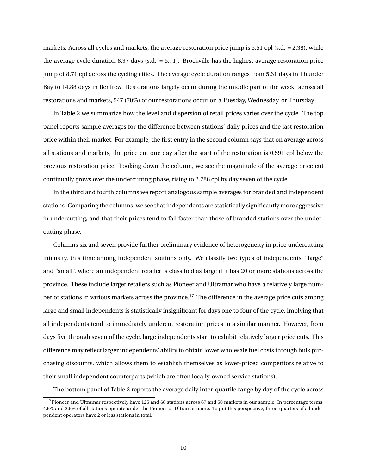markets. Across all cycles and markets, the average restoration price jump is 5.51 cpl (s.d. = 2.38), while the average cycle duration 8.97 days (s.d. = 5.71). Brockville has the highest average restoration price jump of 8.71 cpl across the cycling cities. The average cycle duration ranges from 5.31 days in Thunder Bay to 14.88 days in Renfrew. Restorations largely occur during the middle part of the week: across all restorations and markets, 547 (70%) of our restorations occur on a Tuesday, Wednesday, or Thursday.

In Table 2 we summarize how the level and dispersion of retail prices varies over the cycle. The top panel reports sample averages for the difference between stations' daily prices and the last restoration price within their market. For example, the first entry in the second column says that on average across all stations and markets, the price cut one day after the start of the restoration is 0.591 cpl below the previous restoration price. Looking down the column, we see the magnitude of the average price cut continually grows over the undercutting phase, rising to 2.786 cpl by day seven of the cycle.

In the third and fourth columns we report analogous sample averages for branded and independent stations. Comparing the columns, we see that independents are statistically significantly more aggressive in undercutting, and that their prices tend to fall faster than those of branded stations over the undercutting phase.

Columns six and seven provide further preliminary evidence of heterogeneity in price undercutting intensity, this time among independent stations only. We classify two types of independents, "large" and "small", where an independent retailer is classified as large if it has 20 or more stations across the province. These include larger retailers such as Pioneer and Ultramar who have a relatively large number of stations in various markets across the province.<sup>17</sup> The difference in the average price cuts among large and small independents is statistically insignificant for days one to four of the cycle, implying that all independents tend to immediately undercut restoration prices in a similar manner. However, from days five through seven of the cycle, large independents start to exhibit relatively larger price cuts. This difference may reflect larger independents' ability to obtain lower wholesale fuel costs through bulk purchasing discounts, which allows them to establish themselves as lower-priced competitors relative to their small independent counterparts (which are often locally-owned service stations).

The bottom panel of Table 2 reports the average daily inter-quartile range by day of the cycle across

<sup>&</sup>lt;sup>17</sup>Pioneer and Ultramar respectively have 125 and 68 stations across 67 and 50 markets in our sample. In percentage terms, 4.6% and 2.5% of all stations operate under the Pioneer or Ultramar name. To put this perspective, three-quarters of all independent operators have 2 or less stations in total.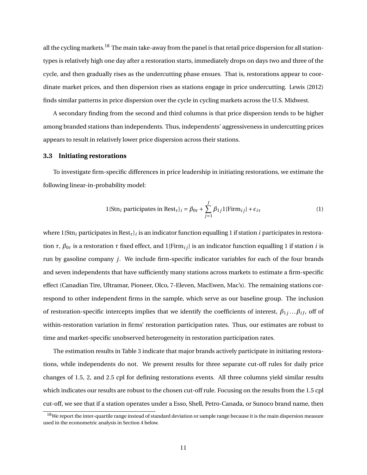all the cycling markets.<sup>18</sup> The main take-away from the panel is that retail price dispersion for all stationtypes is relatively high one day after a restoration starts, immediately drops on days two and three of the cycle, and then gradually rises as the undercutting phase ensues. That is, restorations appear to coordinate market prices, and then dispersion rises as stations engage in price undercutting. Lewis (2012) finds similar patterns in price dispersion over the cycle in cycling markets across the U.S. Midwest.

A secondary finding from the second and third columns is that price dispersion tends to be higher among branded stations than independents. Thus, independents' aggressiveness in undercutting prices appears to result in relatively lower price dispersion across their stations.

#### **3.3 Initiating restorations**

To investigate firm-specific differences in price leadership in initiating restorations, we estimate the following linear-in-probability model:

$$
1\{\text{Str}_i \text{ participates in } \text{Rest}_\tau\}_i = \beta_{0\tau} + \sum_{j=1}^J \beta_{1j} 1\{\text{Firm}_{ij}\} + \epsilon_{i\tau}
$$
 (1)

where 1{Stn*<sup>i</sup>* participates in Rest*τ*}*<sup>i</sup>* is an indicator function equalling 1 if station *i* participates in restoration *τ*,  $β_{0τ}$  is a restoration *τ* fixed effect, and 1{Firm<sub>*i*j</sub>} is an indicator function equalling 1 if station *i* is run by gasoline company *j*. We include firm-specific indicator variables for each of the four brands and seven independents that have sufficiently many stations across markets to estimate a firm-specific effect (Canadian Tire, Ultramar, Pioneer, Olco, 7-Eleven, MacEwen, Mac's). The remaining stations correspond to other independent firms in the sample, which serve as our baseline group. The inclusion of restoration-specific intercepts implies that we identify the coefficients of interest,  $\beta_{1j}...\beta_{iJ}$ , off of within-restoration variation in firms' restoration participation rates. Thus, our estimates are robust to time and market-specific unobserved heterogeneity in restoration participation rates.

The estimation results in Table 3 indicate that major brands actively participate in initiating restorations, while independents do not. We present results for three separate cut-off rules for daily price changes of 1.5, 2, and 2.5 cpl for defining restorations events. All three columns yield similar results which indicates our results are robust to the chosen cut-off rule. Focusing on the results from the 1.5 cpl cut-off, we see that if a station operates under a Esso, Shell, Petro-Canada, or Sunoco brand name, then

<sup>&</sup>lt;sup>18</sup>We report the inter-quartile range instead of standard deviation or sample range because it is the main dispersion measure used in the econometric analysis in Section 4 below.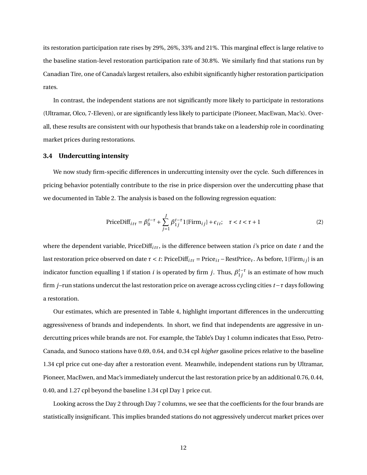its restoration participation rate rises by 29%, 26%, 33% and 21%. This marginal effect is large relative to the baseline station-level restoration participation rate of 30.8%. We similarly find that stations run by Canadian Tire, one of Canada's largest retailers, also exhibit significantly higher restoration participation rates.

In contrast, the independent stations are not significantly more likely to participate in restorations (Ultramar, Olco, 7-Eleven), or are significantly less likely to participate (Pioneer, MacEwan, Mac's). Overall, these results are consistent with our hypothesis that brands take on a leadership role in coordinating market prices during restorations.

#### **3.4 Undercutting intensity**

We now study firm-specific differences in undercutting intensity over the cycle. Such differences in pricing behavior potentially contribute to the rise in price dispersion over the undercutting phase that we documented in Table 2. The analysis is based on the following regression equation:

$$
\text{PriceDiff}_{it\tau} = \beta_0^{t-\tau} + \sum_{j=1}^{J} \beta_{1j}^{t-\tau} 1\{\text{Firm}_{ij}\} + \epsilon_{it}; \quad \tau < t < \tau + 1 \tag{2}
$$

where the dependent variable, PriceDiff<sub>*iττ*</sub>, is the difference between station *i*'s price on date *t* and the last restoration price observed on date *τ* < *t*: PriceDiff*i t<sup>τ</sup>* = Price*i t* −RestPrice*τ*. As before, 1{Firm*i j*} is an indicator function equalling 1 if station  $i$  is operated by firm  $j$ . Thus,  $\beta_{1j}^{t-\tau}$  is an estimate of how much firm *j* –run stations undercut the last restoration price on average across cycling cities *t* −*τ* days following a restoration.

Our estimates, which are presented in Table 4, highlight important differences in the undercutting aggressiveness of brands and independents. In short, we find that independents are aggressive in undercutting prices while brands are not. For example, the Table's Day 1 column indicates that Esso, Petro-Canada, and Sunoco stations have 0.69, 0.64, and 0.34 cpl *higher* gasoline prices relative to the baseline 1.34 cpl price cut one-day after a restoration event. Meanwhile, independent stations run by Ultramar, Pioneer, MacEwen, and Mac's immediately undercut the last restoration price by an additional 0.76, 0.44, 0.40, and 1.27 cpl beyond the baseline 1.34 cpl Day 1 price cut.

Looking across the Day 2 through Day 7 columns, we see that the coefficients for the four brands are statistically insignificant. This implies branded stations do not aggressively undercut market prices over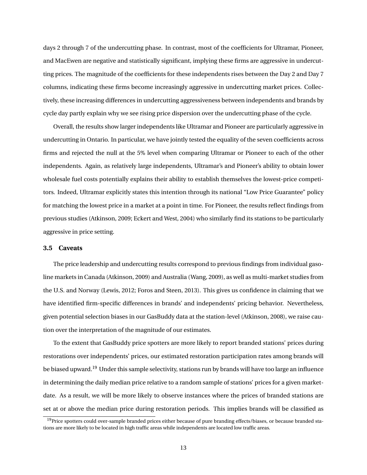days 2 through 7 of the undercutting phase. In contrast, most of the coefficients for Ultramar, Pioneer, and MacEwen are negative and statistically significant, implying these firms are aggressive in undercutting prices. The magnitude of the coefficients for these independents rises between the Day 2 and Day 7 columns, indicating these firms become increasingly aggressive in undercutting market prices. Collectively, these increasing differences in undercutting aggressiveness between independents and brands by cycle day partly explain why we see rising price dispersion over the undercutting phase of the cycle.

Overall, the results show larger independents like Ultramar and Pioneer are particularly aggressive in undercutting in Ontario. In particular, we have jointly tested the equality of the seven coefficients across firms and rejected the null at the 5% level when comparing Ultramar or Pioneer to each of the other independents. Again, as relatively large independents, Ultramar's and Pioneer's ability to obtain lower wholesale fuel costs potentially explains their ability to establish themselves the lowest-price competitors. Indeed, Ultramar explicitly states this intention through its national "Low Price Guarantee" policy for matching the lowest price in a market at a point in time. For Pioneer, the results reflect findings from previous studies (Atkinson, 2009; Eckert and West, 2004) who similarly find its stations to be particularly aggressive in price setting.

#### **3.5 Caveats**

The price leadership and undercutting results correspond to previous findings from individual gasoline markets in Canada (Atkinson, 2009) and Australia (Wang, 2009), as well as multi-market studies from the U.S. and Norway (Lewis, 2012; Foros and Steen, 2013). This gives us confidence in claiming that we have identified firm-specific differences in brands' and independents' pricing behavior. Nevertheless, given potential selection biases in our GasBuddy data at the station-level (Atkinson, 2008), we raise caution over the interpretation of the magnitude of our estimates.

To the extent that GasBuddy price spotters are more likely to report branded stations' prices during restorations over independents' prices, our estimated restoration participation rates among brands will be biased upward.<sup>19</sup> Under this sample selectivity, stations run by brands will have too large an influence in determining the daily median price relative to a random sample of stations' prices for a given marketdate. As a result, we will be more likely to observe instances where the prices of branded stations are set at or above the median price during restoration periods. This implies brands will be classified as

 $19$ Price spotters could over-sample branded prices either because of pure branding effects/biases, or because branded stations are more likely to be located in high traffic areas while independents are located low traffic areas.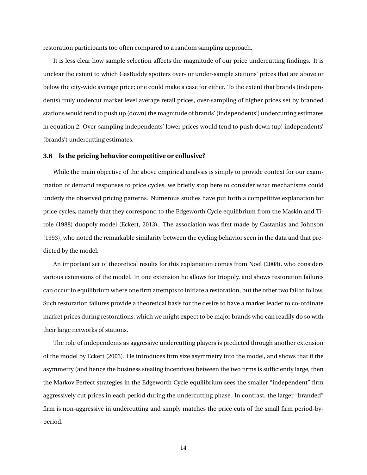restoration participants too often compared to a random sampling approach.

It is less clear how sample selection affects the magnitude of our price undercutting findings. It is unclear the extent to which GasBuddy spotters over- or under-sample stations' prices that are above or below the city-wide average price; one could make a case for either. To the extent that brands (independents) truly undercut market level average retail prices, over-sampling of higher prices set by branded stations would tend to push up (down) the magnitude of brands' (independents') undercutting estimates in equation 2. Over-sampling independents' lower prices would tend to push down (up) independents' (brands') undercutting estimates.

#### **3.6 Is the pricing behavior competitive or collusive?**

While the main objective of the above empirical analysis is simply to provide context for our examination of demand responses to price cycles, we briefly stop here to consider what mechanisms could underly the observed pricing patterns. Numerous studies have put forth a competitive explanation for price cycles, namely that they correspond to the Edgeworth Cycle equilibrium from the Maskin and Tirole (1988) duopoly model (Eckert, 2013). The association was first made by Castanias and Johnson (1993), who noted the remarkable similarity between the cycling behavior seen in the data and that predicted by the model.

An important set of theoretical results for this explanation comes from Noel (2008), who considers various extensions of the model. In one extension he allows for triopoly, and shows restoration failures can occur in equilibrium where one firm attempts to initiate a restoration, but the other two fail to follow. Such restoration failures provide a theoretical basis for the desire to have a market leader to co-ordinate market prices during restorations, which we might expect to be major brands who can readily do so with their large networks of stations.

The role of independents as aggressive undercutting players is predicted through another extension of the model by Eckert (2003). He introduces firm size asymmetry into the model, and shows that if the asymmetry (and hence the business stealing incentives) between the two firms is sufficiently large, then the Markov Perfect strategies in the Edgeworth Cycle equilibrium sees the smaller "independent" firm aggressively cut prices in each period during the undercutting phase. In contrast, the larger "branded" firm is non-aggressive in undercutting and simply matches the price cuts of the small firm period-byperiod.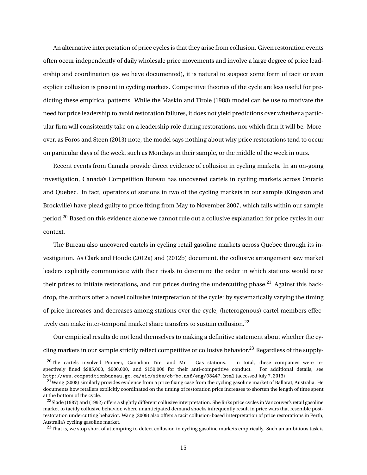An alternative interpretation of price cycles is that they arise from collusion. Given restoration events often occur independently of daily wholesale price movements and involve a large degree of price leadership and coordination (as we have documented), it is natural to suspect some form of tacit or even explicit collusion is present in cycling markets. Competitive theories of the cycle are less useful for predicting these empirical patterns. While the Maskin and Tirole (1988) model can be use to motivate the need for price leadership to avoid restoration failures, it does not yield predictions over whether a particular firm will consistently take on a leadership role during restorations, nor which firm it will be. Moreover, as Foros and Steen (2013) note, the model says nothing about why price restorations tend to occur on particular days of the week, such as Mondays in their sample, or the middle of the week in ours.

Recent events from Canada provide direct evidence of collusion in cycling markets. In an on-going investigation, Canada's Competition Bureau has uncovered cartels in cycling markets across Ontario and Quebec. In fact, operators of stations in two of the cycling markets in our sample (Kingston and Brockville) have plead guilty to price fixing from May to November 2007, which falls within our sample period.<sup>20</sup> Based on this evidence alone we cannot rule out a collusive explanation for price cycles in our context.

The Bureau also uncovered cartels in cycling retail gasoline markets across Quebec through its investigation. As Clark and Houde (2012a) and (2012b) document, the collusive arrangement saw market leaders explicitly communicate with their rivals to determine the order in which stations would raise their prices to initiate restorations, and cut prices during the undercutting phase.<sup>21</sup> Against this backdrop, the authors offer a novel collusive interpretation of the cycle: by systematically varying the timing of price increases and decreases among stations over the cycle, (heterogenous) cartel members effectively can make inter-temporal market share transfers to sustain collusion.<sup>22</sup>

Our empirical results do not lend themselves to making a definitive statement about whether the cycling markets in our sample strictly reflect competitive or collusive behavior.<sup>23</sup> Regardless of the supply-

 $20$ The cartels involved Pioneer, Canadian Tire, and Mr. Gas stations. In total, these companies were respectively fined \$985,000, \$900,000, and \$150,000 for their anti-competitive conduct. For additional details, see http://www.competitionbureau.gc.ca/eic/site/cb-bc.nsf/eng/03447.html (accessed July 7, 2013)

 $21$ Wang (2008) similarly provides evidence from a price fixing case from the cycling gasoline market of Ballarat, Australia. He documents how retailers explicitly coordinated on the timing of restoration price increases to shorten the length of time spent at the bottom of the cycle.

<sup>&</sup>lt;sup>22</sup>Slade (1987) and (1992) offers a slightly different collusive interpretation. She links price cycles in Vancouver's retail gasoline market to tacitly collusive behavior, where unanticipated demand shocks infrequently result in price wars that resemble postrestoration undercutting behavior. Wang (2009) also offers a tacit collusion-based interpretation of price restorations in Perth, Australia's cycling gasoline market.

 $23$ That is, we stop short of attempting to detect collusion in cycling gasoline markets empirically. Such an ambitious task is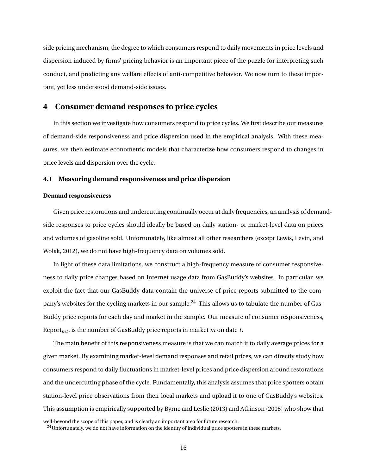side pricing mechanism, the degree to which consumers respond to daily movements in price levels and dispersion induced by firms' pricing behavior is an important piece of the puzzle for interpreting such conduct, and predicting any welfare effects of anti-competitive behavior. We now turn to these important, yet less understood demand-side issues.

## **4 Consumer demand responses to price cycles**

In this section we investigate how consumers respond to price cycles. We first describe our measures of demand-side responsiveness and price dispersion used in the empirical analysis. With these measures, we then estimate econometric models that characterize how consumers respond to changes in price levels and dispersion over the cycle.

#### **4.1 Measuring demand responsiveness and price dispersion**

#### **Demand responsiveness**

Given price restorations and undercutting continually occur at daily frequencies, an analysis of demandside responses to price cycles should ideally be based on daily station- or market-level data on prices and volumes of gasoline sold. Unfortunately, like almost all other researchers (except Lewis, Levin, and Wolak, 2012), we do not have high-frequency data on volumes sold.

In light of these data limitations, we construct a high-frequency measure of consumer responsiveness to daily price changes based on Internet usage data from GasBuddy's websites. In particular, we exploit the fact that our GasBuddy data contain the universe of price reports submitted to the company's websites for the cycling markets in our sample.<sup>24</sup> This allows us to tabulate the number of Gas-Buddy price reports for each day and market in the sample. Our measure of consumer responsiveness, Report*mt* , is the number of GasBuddy price reports in market *m* on date *t*.

The main benefit of this responsiveness measure is that we can match it to daily average prices for a given market. By examining market-level demand responses and retail prices, we can directly study how consumers respond to daily fluctuations in market-level prices and price dispersion around restorations and the undercutting phase of the cycle. Fundamentally, this analysis assumes that price spotters obtain station-level price observations from their local markets and upload it to one of GasBuddy's websites. This assumption is empirically supported by Byrne and Leslie (2013) and Atkinson (2008) who show that

well-beyond the scope of this paper, and is clearly an important area for future research.

 $24$ Unfortunately, we do not have information on the identity of individual price spotters in these markets.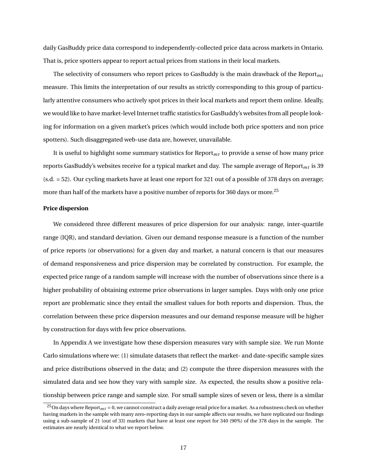daily GasBuddy price data correspond to independently-collected price data across markets in Ontario. That is, price spotters appear to report actual prices from stations in their local markets.

The selectivity of consumers who report prices to GasBuddy is the main drawback of the Report*mt* measure. This limits the interpretation of our results as strictly corresponding to this group of particularly attentive consumers who actively spot prices in their local markets and report them online. Ideally, we would like to have market-level Internet traffic statistics for GasBuddy's websites from all people looking for information on a given market's prices (which would include both price spotters and non price spotters). Such disaggregated web-use data are, however, unavailable.

It is useful to highlight some summary statistics for  $Report<sub>mt</sub>$  to provide a sense of how many price reports GasBuddy's websites receive for a typical market and day. The sample average of Report*mt* is 39 (s.d. = 52). Our cycling markets have at least one report for 321 out of a possible of 378 days on average; more than half of the markets have a positive number of reports for 360 days or more.<sup>25</sup>

#### **Price dispersion**

We considered three different measures of price dispersion for our analysis: range, inter-quartile range (IQR), and standard deviation. Given our demand response measure is a function of the number of price reports (or observations) for a given day and market, a natural concern is that our measures of demand responsiveness and price dispersion may be correlated by construction. For example, the expected price range of a random sample will increase with the number of observations since there is a higher probability of obtaining extreme price observations in larger samples. Days with only one price report are problematic since they entail the smallest values for both reports and dispersion. Thus, the correlation between these price dispersion measures and our demand response measure will be higher by construction for days with few price observations.

In Appendix A we investigate how these dispersion measures vary with sample size. We run Monte Carlo simulations where we: (1) simulate datasets that reflect the market- and date-specific sample sizes and price distributions observed in the data; and (2) compute the three dispersion measures with the simulated data and see how they vary with sample size. As expected, the results show a positive relationship between price range and sample size. For small sample sizes of seven or less, there is a similar

<sup>&</sup>lt;sup>25</sup>On days where Report<sub>*mt*</sub> = 0, we cannot construct a daily average retail price for a market. As a robustness check on whether having markets in the sample with many zero-reporting days in our sample affects our results, we have replicated our findings using a sub-sample of 21 (out of 33) markets that have at least one report for 340 (90%) of the 378 days in the sample. The estimates are nearly identical to what we report below.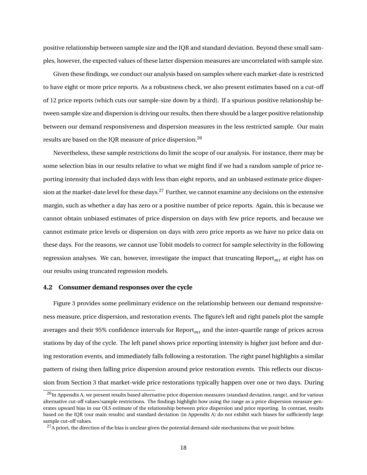positive relationship between sample size and the IQR and standard deviation. Beyond these small samples, however, the expected values of these latter dispersion measures are uncorrelated with sample size.

Given these findings, we conduct our analysis based on samples where each market-date is restricted to have eight or more price reports. As a robustness check, we also present estimates based on a cut-off of 12 price reports (which cuts our sample-size down by a third). If a spurious positive relationship between sample size and dispersion is driving our results, then there should be a larger positive relationship between our demand responsiveness and dispersion measures in the less restricted sample. Our main results are based on the IQR measure of price dispersion.<sup>26</sup>

Nevertheless, these sample restrictions do limit the scope of our analysis. For instance, there may be some selection bias in our results relative to what we might find if we had a random sample of price reporting intensity that included days with less than eight reports, and an unbiased estimate price dispersion at the market-date level for these days.<sup>27</sup> Further, we cannot examine any decisions on the extensive margin, such as whether a day has zero or a positive number of price reports. Again, this is because we cannot obtain unbiased estimates of price dispersion on days with few price reports, and because we cannot estimate price levels or dispersion on days with zero price reports as we have no price data on these days. For the reasons, we cannot use Tobit models to correct for sample selectivity in the following regression analyses. We can, however, investigate the impact that truncating Report<sub>mt</sub> at eight has on our results using truncated regression models.

#### **4.2 Consumer demand responses over the cycle**

Figure 3 provides some preliminary evidence on the relationship between our demand responsiveness measure, price dispersion, and restoration events. The figure's left and right panels plot the sample averages and their 95% confidence intervals for Report*mt* and the inter-quartile range of prices across stations by day of the cycle. The left panel shows price reporting intensity is higher just before and during restoration events, and immediately falls following a restoration. The right panel highlights a similar pattern of rising then falling price dispersion around price restoration events. This reflects our discussion from Section 3 that market-wide price restorations typically happen over one or two days. During

 $^{26}$ In Appendix A, we present results based alternative price dispersion measures (standard deviation, range), and for various alternative cut-off values/sample restrictions. The findings highlight how using the range as a price dispersion measure generates upward bias in our OLS estimate of the relationship between price dispersion and price reporting. In contrast, results based on the IQR (our main results) and standard deviation (in Appendix A) do not exhibit such biases for sufficiently large sample cut-off values.

 $^{27}$ A priori, the direction of the bias is unclear given the potential demand-side mechanisms that we posit below.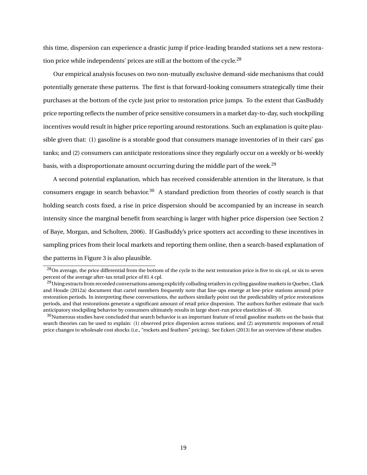this time, dispersion can experience a drastic jump if price-leading branded stations set a new restoration price while independents' prices are still at the bottom of the cycle.<sup>28</sup>

Our empirical analysis focuses on two non-mutually exclusive demand-side mechanisms that could potentially generate these patterns. The first is that forward-looking consumers strategically time their purchases at the bottom of the cycle just prior to restoration price jumps. To the extent that GasBuddy price reporting reflects the number of price sensitive consumers in a market day-to-day, such stockpiling incentives would result in higher price reporting around restorations. Such an explanation is quite plausible given that: (1) gasoline is a storable good that consumers manage inventories of in their cars' gas tanks; and (2) consumers can anticipate restorations since they regularly occur on a weekly or bi-weekly basis, with a disproportionate amount occurring during the middle part of the week.<sup>29</sup>

A second potential explanation, which has received considerable attention in the literature, is that consumers engage in search behavior.<sup>30</sup> A standard prediction from theories of costly search is that holding search costs fixed, a rise in price dispersion should be accompanied by an increase in search intensity since the marginal benefit from searching is larger with higher price dispersion (see Section 2 of Baye, Morgan, and Scholten, 2006). If GasBuddy's price spotters act according to these incentives in sampling prices from their local markets and reporting them online, then a search-based explanation of the patterns in Figure 3 is also plausible.

<sup>&</sup>lt;sup>28</sup>On average, the price differential from the bottom of the cycle to the next restoration price is five to six cpl, or six to seven percent of the average after-tax retail price of 81.4 cpl.

<sup>&</sup>lt;sup>29</sup>Using extracts from recorded conversations among explicitly colluding retailers in cycling gasoline markets in Quebec, Clark and Houde (2012a) document that cartel members frequently note that line-ups emerge at low-price stations around price restoration periods. In interpreting these conversations, the authors similarly point out the predictability of price restorations periods, and that restorations generate a significant amount of retail price dispersion. The authors further estimate that such anticipatory stockpiling behavior by consumers ultimately results in large short-run price elasticities of -30.

 $30$ Numerous studies have concluded that search behavior is an important feature of retail gasoline markets on the basis that search theories can be used to explain: (1) observed price dispersion across stations; and (2) asymmetric responses of retail price changes to wholesale cost shocks (i.e., "rockets and feathers" pricing). See Eckert (2013) for an overview of these studies.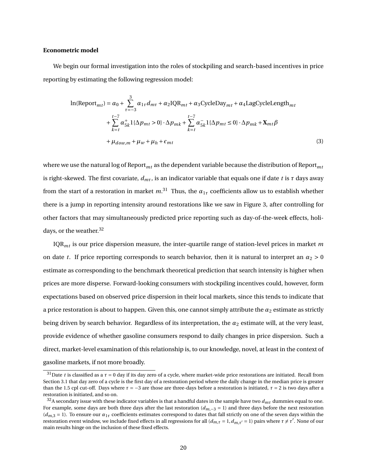#### **Econometric model**

We begin our formal investigation into the roles of stockpiling and search-based incentives in price reporting by estimating the following regression model:

$$
\ln(\text{Report}_{mt}) = \alpha_0 + \sum_{\tau=-3}^{3} \alpha_{1\tau} d_{m\tau} + \alpha_2 \text{IQR}_{mt} + \alpha_3 \text{CycleDay}_{mt} + \alpha_4 \text{LagCycleLength}_{mt} + \sum_{k=t}^{t-7} \alpha_{5k}^+ 1 \{\Delta p_{mt} > 0\} \cdot \Delta p_{mk} + \sum_{k=t}^{t-7} \alpha_{5k}^- 1 \{\Delta p_{mt} \le 0\} \cdot \Delta p_{mk} + \mathbf{X}_{mt} \beta + \mu_{down,m} + \mu_w + \mu_h + \epsilon_{mt}
$$
\n
$$
(3)
$$

where we use the natural log of Report*mt* as the dependent variable because the distribution of Report*mt* is right-skewed. The first covariate,  $d_{m\tau}$ , is an indicator variable that equals one if date *t* is  $\tau$  days away from the start of a restoration in market  $m^{.31}$  Thus, the  $\alpha_{1\tau}$  coefficients allow us to establish whether there is a jump in reporting intensity around restorations like we saw in Figure 3, after controlling for other factors that may simultaneously predicted price reporting such as day-of-the-week effects, holidays, or the weather.<sup>32</sup>

IQR*mt* is our price dispersion measure, the inter-quartile range of station-level prices in market *m* on date *t*. If price reporting corresponds to search behavior, then it is natural to interpret an  $\alpha_2 > 0$ estimate as corresponding to the benchmark theoretical prediction that search intensity is higher when prices are more disperse. Forward-looking consumers with stockpiling incentives could, however, form expectations based on observed price dispersion in their local markets, since this tends to indicate that a price restoration is about to happen. Given this, one cannot simply attribute the  $\alpha_2$  estimate as strictly being driven by search behavior. Regardless of its interpretation, the *α*<sub>2</sub> estimate will, at the very least, provide evidence of whether gasoline consumers respond to daily changes in price dispersion. Such a direct, market-level examination of this relationship is, to our knowledge, novel, at least in the context of gasoline markets, if not more broadly.

<sup>&</sup>lt;sup>31</sup>Date *t* is classified as a  $\tau = 0$  day if its day zero of a cycle, where market-wide price restorations are initiated. Recall from Section 3.1 that day zero of a cycle is the first day of a restoration period where the daily change in the median price is greater than the 1.5 cpl cut-off. Days where  $τ = -3$  are those are three-days before a restoration is initiated,  $τ = 2$  is two days after a restoration is initiated, and so on.

 $32A$  secondary issue with these indicator variables is that a handful dates in the sample have two  $d_{m\tau}$  dummies equal to one. For example, some days are both three days after the last restoration (*dm*,−<sup>3</sup> = 1) and three days before the next restoration  $(d_{m,3} = 1)$ . To ensure our  $\alpha_{1\tau}$  coefficients estimates correspond to dates that fall strictly on one of the seven days within the restoration event window, we include fixed effects in all regressions for all  $(d_{m,\tau} = 1, d_{m,\tau'} = 1)$  pairs where  $\tau \neq \tau'$ . None of our main results hinge on the inclusion of these fixed effects.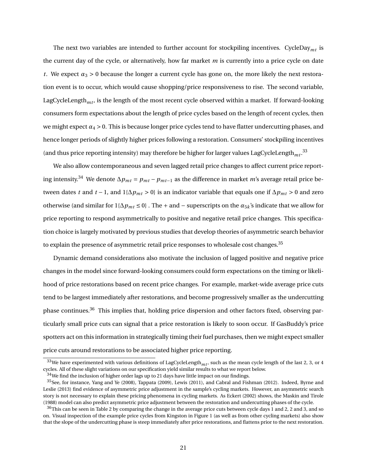The next two variables are intended to further account for stockpiling incentives. CycleDay*mt* is the current day of the cycle, or alternatively, how far market *m* is currently into a price cycle on date *t*. We expect  $\alpha_3 > 0$  because the longer a current cycle has gone on, the more likely the next restoration event is to occur, which would cause shopping/price responsiveness to rise. The second variable, LagCycleLength<sub>mt</sub>, is the length of the most recent cycle observed within a market. If forward-looking consumers form expectations about the length of price cycles based on the length of recent cycles, then we might expect  $\alpha_4 > 0$ . This is because longer price cycles tend to have flatter undercutting phases, and hence longer periods of slightly higher prices following a restoration. Consumers' stockpiling incentives (and thus price reporting intensity) may therefore be higher for larger values LagCycleLength $_{mt}$ .<sup>33</sup>

We also allow contemporaneous and seven lagged retail price changes to affect current price reporting intensity.<sup>34</sup> We denote  $\Delta p_{mt} = p_{mt} - p_{mt-1}$  as the difference in market *m*'s average retail price between dates *t* and *t* − 1, and 1{ $\Delta p_{mt} > 0$ } is an indicator variable that equals one if  $\Delta p_{mt} > 0$  and zero otherwise (and similar for 1{∆*pmt* ≤ 0} . The + and − superscripts on the *α*5*<sup>k</sup>* 's indicate that we allow for price reporting to respond asymmetrically to positive and negative retail price changes. This specification choice is largely motivated by previous studies that develop theories of asymmetric search behavior to explain the presence of asymmetric retail price responses to wholesale cost changes.<sup>35</sup>

Dynamic demand considerations also motivate the inclusion of lagged positive and negative price changes in the model since forward-looking consumers could form expectations on the timing or likelihood of price restorations based on recent price changes. For example, market-wide average price cuts tend to be largest immediately after restorations, and become progressively smaller as the undercutting phase continues.<sup>36</sup> This implies that, holding price dispersion and other factors fixed, observing particularly small price cuts can signal that a price restoration is likely to soon occur. If GasBuddy's price spotters act on this information in strategically timing their fuel purchases, then we might expect smaller price cuts around restorations to be associated higher price reporting.

 $33$ We have experimented with various definitions of LagCycleLength<sub>mt</sub>, such as the mean cycle length of the last 2, 3, or 4 cycles. All of these slight variations on our specification yield similar results to what we report below.

 $34$ We find the inclusion of higher order lags up to 21 days have little impact on our findings.

<sup>35</sup>See, for instance, Yang and Ye (2008), Tappata (2009), Lewis (2011), and Cabral and Fishman (2012). Indeed, Byrne and Leslie (2013) find evidence of asymmetric price adjustment in the sample's cycling markets. However, an asymmetric search story is not necessary to explain these pricing phenomena in cycling markets. As Eckert (2002) shows, the Maskin and Tirole (1988) model can also predict asymmetric price adjustment between the restoration and undercutting phases of the cycle.

 $36$ This can be seen in Table 2 by comparing the change in the average price cuts between cycle days 1 and 2, 2 and 3, and so on. Visual inspection of the example price cycles from Kingston in Figure 1 (as well as from other cycling markets) also show that the slope of the undercutting phase is steep immediately after price restorations, and flattens prior to the next restoration.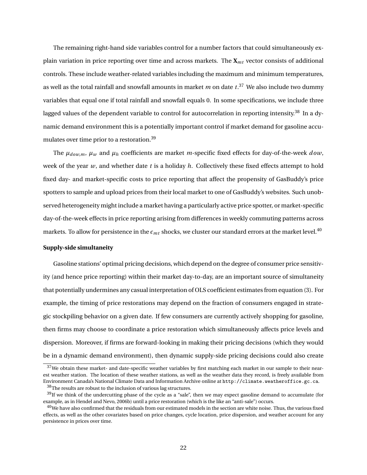The remaining right-hand side variables control for a number factors that could simultaneously explain variation in price reporting over time and across markets. The **X***mt* vector consists of additional controls. These include weather-related variables including the maximum and minimum temperatures, as well as the total rainfall and snowfall amounts in market  $m$  on date  $t.^{37}$  We also include two dummy variables that equal one if total rainfall and snowfall equals 0. In some specifications, we include three lagged values of the dependent variable to control for autocorrelation in reporting intensity.<sup>38</sup> In a dynamic demand environment this is a potentially important control if market demand for gasoline accumulates over time prior to a restoration.<sup>39</sup>

The  $\mu_{down}$ ,  $\mu_w$  and  $\mu_h$  coefficients are market *m*-specific fixed effects for day-of-the-week *dow*, week of the year *w*, and whether date *t* is a holiday *h*. Collectively these fixed effects attempt to hold fixed day- and market-specific costs to price reporting that affect the propensity of GasBuddy's price spotters to sample and upload prices from their local market to one of GasBuddy's websites. Such unobserved heterogeneity might include a market having a particularly active price spotter, or market-specific day-of-the-week effects in price reporting arising from differences in weekly commuting patterns across markets. To allow for persistence in the  $\epsilon_{mt}$  shocks, we cluster our standard errors at the market level.<sup>40</sup>

#### **Supply-side simultaneity**

Gasoline stations' optimal pricing decisions, which depend on the degree of consumer price sensitivity (and hence price reporting) within their market day-to-day, are an important source of simultaneity that potentially undermines any casual interpretation of OLS coefficient estimates from equation (3). For example, the timing of price restorations may depend on the fraction of consumers engaged in strategic stockpiling behavior on a given date. If few consumers are currently actively shopping for gasoline, then firms may choose to coordinate a price restoration which simultaneously affects price levels and dispersion. Moreover, if firms are forward-looking in making their pricing decisions (which they would be in a dynamic demand environment), then dynamic supply-side pricing decisions could also create

 $37$ We obtain these market- and date-specific weather variables by first matching each market in our sample to their nearest weather station. The location of these weather stations, as well as the weather data they record, is freely available from Environment Canada's National Climate Data and Information Archive online at http://climate.weatheroffice.gc.ca.

<sup>38</sup>The results are robust to the inclusion of various lag structures.

 $39$ If we think of the undercutting phase of the cycle as a "sale", then we may expect gasoline demand to accumulate (for example, as in Hendel and Nevo, 2006b) until a price restoration (which is the like an "anti-sale") occurs.

 $40$ We have also confirmed that the residuals from our estimated models in the section are white noise. Thus, the various fixed effects, as well as the other covariates based on price changes, cycle location, price dispersion, and weather account for any persistence in prices over time.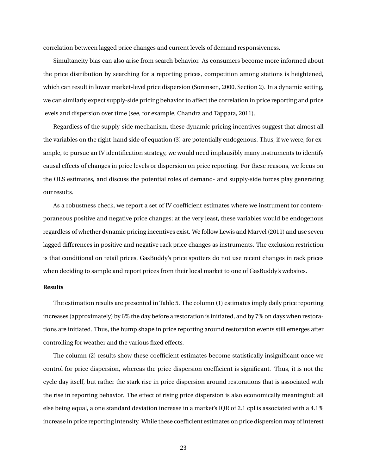correlation between lagged price changes and current levels of demand responsiveness.

Simultaneity bias can also arise from search behavior. As consumers become more informed about the price distribution by searching for a reporting prices, competition among stations is heightened, which can result in lower market-level price dispersion (Sorensen, 2000, Section 2). In a dynamic setting, we can similarly expect supply-side pricing behavior to affect the correlation in price reporting and price levels and dispersion over time (see, for example, Chandra and Tappata, 2011).

Regardless of the supply-side mechanism, these dynamic pricing incentives suggest that almost all the variables on the right-hand side of equation (3) are potentially endogenous. Thus, if we were, for example, to pursue an IV identification strategy, we would need implausibly many instruments to identify causal effects of changes in price levels or dispersion on price reporting. For these reasons, we focus on the OLS estimates, and discuss the potential roles of demand- and supply-side forces play generating our results.

As a robustness check, we report a set of IV coefficient estimates where we instrument for contemporaneous positive and negative price changes; at the very least, these variables would be endogenous regardless of whether dynamic pricing incentives exist. We follow Lewis and Marvel (2011) and use seven lagged differences in positive and negative rack price changes as instruments. The exclusion restriction is that conditional on retail prices, GasBuddy's price spotters do not use recent changes in rack prices when deciding to sample and report prices from their local market to one of GasBuddy's websites.

#### **Results**

The estimation results are presented in Table 5. The column (1) estimates imply daily price reporting increases (approximately) by 6% the day before a restoration is initiated, and by 7% on days when restorations are initiated. Thus, the hump shape in price reporting around restoration events still emerges after controlling for weather and the various fixed effects.

The column (2) results show these coefficient estimates become statistically insignificant once we control for price dispersion, whereas the price dispersion coefficient is significant. Thus, it is not the cycle day itself, but rather the stark rise in price dispersion around restorations that is associated with the rise in reporting behavior. The effect of rising price dispersion is also economically meaningful: all else being equal, a one standard deviation increase in a market's IQR of 2.1 cpl is associated with a 4.1% increase in price reporting intensity. While these coefficient estimates on price dispersion may of interest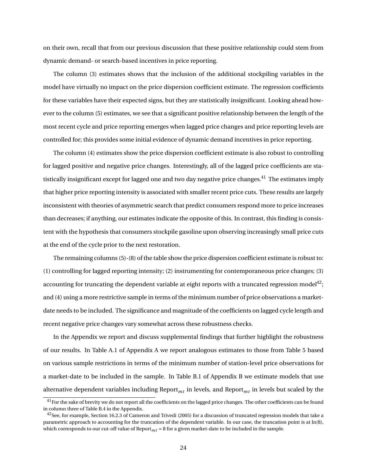on their own, recall that from our previous discussion that these positive relationship could stem from dynamic demand- or search-based incentives in price reporting.

The column (3) estimates shows that the inclusion of the additional stockpiling variables in the model have virtually no impact on the price dispersion coefficient estimate. The regression coefficients for these variables have their expected signs, but they are statistically insignificant. Looking ahead however to the column (5) estimates, we see that a significant positive relationship between the length of the most recent cycle and price reporting emerges when lagged price changes and price reporting levels are controlled for; this provides some initial evidence of dynamic demand incentives in price reporting.

The column (4) estimates show the price dispersion coefficient estimate is also robust to controlling for lagged positive and negative price changes. Interestingly, all of the lagged price coefficients are statistically insignificant except for lagged one and two day negative price changes.<sup>41</sup> The estimates imply that higher price reporting intensity is associated with smaller recent price cuts. These results are largely inconsistent with theories of asymmetric search that predict consumers respond more to price increases than decreases; if anything, our estimates indicate the opposite of this. In contrast, this finding is consistent with the hypothesis that consumers stockpile gasoline upon observing increasingly small price cuts at the end of the cycle prior to the next restoration.

The remaining columns (5)-(8) of the table show the price dispersion coefficient estimate is robust to: (1) controlling for lagged reporting intensity; (2) instrumenting for contemporaneous price changes; (3) accounting for truncating the dependent variable at eight reports with a truncated regression model<sup>42</sup>; and (4) using a more restrictive sample in terms of the minimum number of price observations a marketdate needs to be included. The significance and magnitude of the coefficients on lagged cycle length and recent negative price changes vary somewhat across these robustness checks.

In the Appendix we report and discuss supplemental findings that further highlight the robustness of our results. In Table A.1 of Appendix A we report analogous estimates to those from Table 5 based on various sample restrictions in terms of the minimum number of station-level price observations for a market-date to be included in the sample. In Table B.1 of Appendix B we estimate models that use alternative dependent variables including Report*mt* in levels, and Report*mt* in levels but scaled by the

 $41$  For the sake of brevity we do not report all the coefficients on the lagged price changes. The other coefficients can be found in column three of Table B.4 in the Appendix.

<sup>&</sup>lt;sup>42</sup>See, for example, Section 16.2.3 of Cameron and Trivedi (2005) for a discussion of truncated regression models that take a parametric approach to accounting for the truncation of the dependent variable. In our case, the truncation point is at ln(8), which corresponds to our cut-off value of Report*mt* <sup>=</sup> 8 for a given market-date to be included in the sample.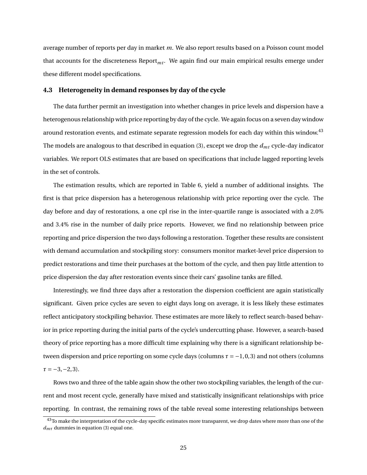average number of reports per day in market *m*. We also report results based on a Poisson count model that accounts for the discreteness  $\text{Report}_{mt}$ . We again find our main empirical results emerge under these different model specifications.

#### **4.3 Heterogeneity in demand responses by day of the cycle**

The data further permit an investigation into whether changes in price levels and dispersion have a heterogenous relationship with price reporting by day of the cycle. We again focus on a seven day window around restoration events, and estimate separate regression models for each day within this window.<sup>43</sup> The models are analogous to that described in equation (3), except we drop the *dmt* cycle-day indicator variables. We report OLS estimates that are based on specifications that include lagged reporting levels in the set of controls.

The estimation results, which are reported in Table 6, yield a number of additional insights. The first is that price dispersion has a heterogenous relationship with price reporting over the cycle. The day before and day of restorations, a one cpl rise in the inter-quartile range is associated with a 2.0% and 3.4% rise in the number of daily price reports. However, we find no relationship between price reporting and price dispersion the two days following a restoration. Together these results are consistent with demand accumulation and stockpiling story: consumers monitor market-level price dispersion to predict restorations and time their purchases at the bottom of the cycle, and then pay little attention to price dispersion the day after restoration events since their cars' gasoline tanks are filled.

Interestingly, we find three days after a restoration the dispersion coefficient are again statistically significant. Given price cycles are seven to eight days long on average, it is less likely these estimates reflect anticipatory stockpiling behavior. These estimates are more likely to reflect search-based behavior in price reporting during the initial parts of the cycle's undercutting phase. However, a search-based theory of price reporting has a more difficult time explaining why there is a significant relationship between dispersion and price reporting on some cycle days (columns  $\tau = -1, 0, 3$ ) and not others (columns *τ* = −3,−2, 3).

Rows two and three of the table again show the other two stockpiling variables, the length of the current and most recent cycle, generally have mixed and statistically insignificant relationships with price reporting. In contrast, the remaining rows of the table reveal some interesting relationships between

 $\frac{43}{10}$  make the interpretation of the cycle-day specific estimates more transparent, we drop dates where more than one of the *dmτ* dummies in equation (3) equal one.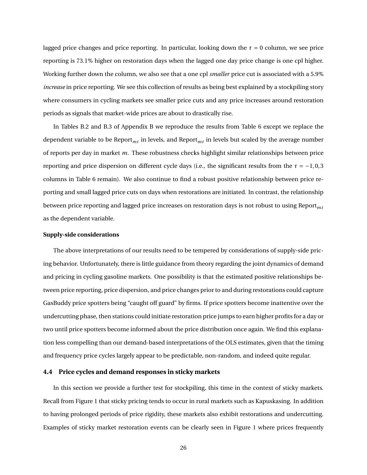lagged price changes and price reporting. In particular, looking down the  $\tau = 0$  column, we see price reporting is 73.1% higher on restoration days when the lagged one day price change is one cpl higher. Working further down the column, we also see that a one cpl *smaller* price cut is associated with a 5.9% *increase* in price reporting. We see this collection of results as being best explained by a stockpiling story where consumers in cycling markets see smaller price cuts and any price increases around restoration periods as signals that market-wide prices are about to drastically rise.

In Tables B.2 and B.3 of Appendix B we reproduce the results from Table 6 except we replace the dependent variable to be Report*mt* in levels, and Report*mt* in levels but scaled by the average number of reports per day in market *m*. These robustness checks highlight similar relationships between price reporting and price dispersion on different cycle days (i.e., the significant results from the  $\tau = -1, 0, 3$ ) columns in Table 6 remain). We also continue to find a robust positive relationship between price reporting and small lagged price cuts on days when restorations are initiated. In contrast, the relationship between price reporting and lagged price increases on restoration days is not robust to using Report*mt* as the dependent variable.

#### **Supply-side considerations**

The above interpretations of our results need to be tempered by considerations of supply-side pricing behavior. Unfortunately, there is little guidance from theory regarding the joint dynamics of demand and pricing in cycling gasoline markets. One possibility is that the estimated positive relationships between price reporting, price dispersion, and price changes prior to and during restorations could capture GasBuddy price spotters being "caught off guard" by firms. If price spotters become inattentive over the undercutting phase, then stations could initiate restoration price jumps to earn higher profits for a day or two until price spotters become informed about the price distribution once again. We find this explanation less compelling than our demand-based interpretations of the OLS estimates, given that the timing and frequency price cycles largely appear to be predictable, non-random, and indeed quite regular.

#### **4.4 Price cycles and demand responses in sticky markets**

In this section we provide a further test for stockpiling, this time in the context of sticky markets. Recall from Figure 1 that sticky pricing tends to occur in rural markets such as Kapuskasing. In addition to having prolonged periods of price rigidity, these markets also exhibit restorations and undercutting. Examples of sticky market restoration events can be clearly seen in Figure 1 where prices frequently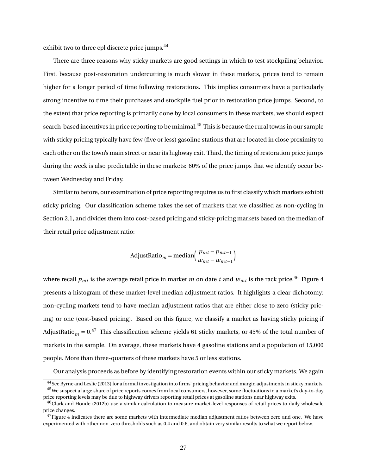exhibit two to three cpl discrete price jumps.<sup>44</sup>

There are three reasons why sticky markets are good settings in which to test stockpiling behavior. First, because post-restoration undercutting is much slower in these markets, prices tend to remain higher for a longer period of time following restorations. This implies consumers have a particularly strong incentive to time their purchases and stockpile fuel prior to restoration price jumps. Second, to the extent that price reporting is primarily done by local consumers in these markets, we should expect search-based incentives in price reporting to be minimal.<sup>45</sup> This is because the rural towns in our sample with sticky pricing typically have few (five or less) gasoline stations that are located in close proximity to each other on the town's main street or near its highway exit. Third, the timing of restoration price jumps during the week is also predictable in these markets: 60% of the price jumps that we identify occur between Wednesday and Friday.

Similar to before, our examination of price reporting requires us to first classify which markets exhibit sticky pricing. Our classification scheme takes the set of markets that we classified as non-cycling in Section 2.1, and divides them into cost-based pricing and sticky-pricing markets based on the median of their retail price adjustment ratio:

$$
AdjustRatio_m = median\left(\frac{p_{mt} - p_{mt-1}}{w_{mt} - w_{mt-1}}\right)
$$

where recall  $p_{mt}$  is the average retail price in market *m* on date *t* and  $w_{mt}$  is the rack price.<sup>46</sup> Figure 4 presents a histogram of these market-level median adjustment ratios. It highlights a clear dichotomy: non-cycling markets tend to have median adjustment ratios that are either close to zero (sticky pricing) or one (cost-based pricing). Based on this figure, we classify a market as having sticky pricing if AdjustRatio<sub>m</sub> =  $0^{47}$  This classification scheme yields 61 sticky markets, or 45% of the total number of markets in the sample. On average, these markets have 4 gasoline stations and a population of 15,000 people. More than three-quarters of these markets have 5 or less stations.

Our analysis proceeds as before by identifying restoration events within our sticky markets. We again

<sup>44</sup> See Byrne and Leslie (2013) for a formal investigation into firms' pricing behavior and margin adjustments in sticky markets. <sup>45</sup>We suspect a large share of price reports comes from local consumers, however, some fluctuations in a market's day-to-day price reporting levels may be due to highway drivers reporting retail prices at gasoline stations near highway exits.

<sup>&</sup>lt;sup>46</sup>Clark and Houde (2012b) use a similar calculation to measure market-level responses of retail prices to daily wholesale price changes.

 $47$  Figure 4 indicates there are some markets with intermediate median adjustment ratios between zero and one. We have experimented with other non-zero thresholds such as 0.4 and 0.6, and obtain very similar results to what we report below.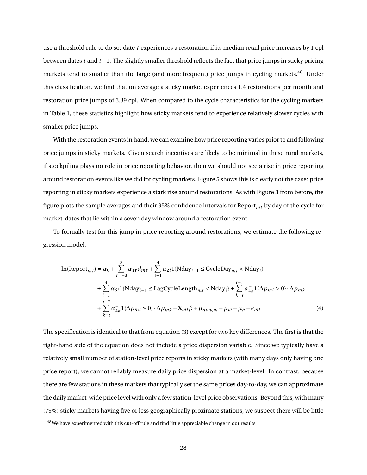use a threshold rule to do so: date *t* experiences a restoration if its median retail price increases by 1 cpl between dates *t* and *t* −1. The slightly smaller threshold reflects the fact that price jumps in sticky pricing markets tend to smaller than the large (and more frequent) price jumps in cycling markets.<sup>48</sup> Under this classification, we find that on average a sticky market experiences 1.4 restorations per month and restoration price jumps of 3.39 cpl. When compared to the cycle characteristics for the cycling markets in Table 1, these statistics highlight how sticky markets tend to experience relatively slower cycles with smaller price jumps.

With the restoration events in hand, we can examine how price reporting varies prior to and following price jumps in sticky markets. Given search incentives are likely to be minimal in these rural markets, if stockpiling plays no role in price reporting behavior, then we should not see a rise in price reporting around restoration events like we did for cycling markets. Figure 5 shows this is clearly not the case: price reporting in sticky markets experience a stark rise around restorations. As with Figure 3 from before, the figure plots the sample averages and their 95% confidence intervals for Report*mt* by day of the cycle for market-dates that lie within a seven day window around a restoration event.

To formally test for this jump in price reporting around restorations, we estimate the following regression model:

$$
\ln(\text{Report}_{mt}) = \alpha_0 + \sum_{\tau=-3}^{3} \alpha_{1\tau} d_{m\tau} + \sum_{i=1}^{4} \alpha_{2i} 1 \{\text{Nday}_{i-1} \le \text{CycleDay}_{mt} < \text{Nday}_{i}\}\n+ \sum_{i=1}^{4} \alpha_{3i} 1 \{\text{Nday}_{i-1} \le \text{LagCycleLength}_{mt} < \text{Nday}_{i}\} + \sum_{k=t}^{t-7} \alpha_{4k}^{+} 1 \{\Delta p_{mt} > 0\} \cdot \Delta p_{mk}\n+ \sum_{k=t}^{t-7} \alpha_{4k}^{-} 1 \{\Delta p_{mt} \le 0\} \cdot \Delta p_{mk} + \mathbf{X}_{mt} \beta + \mu_{dow,m} + \mu_w + \mu_h + \epsilon_{mt} \tag{4}
$$

The specification is identical to that from equation (3) except for two key differences. The first is that the right-hand side of the equation does not include a price dispersion variable. Since we typically have a relatively small number of station-level price reports in sticky markets (with many days only having one price report), we cannot reliably measure daily price dispersion at a market-level. In contrast, because there are few stations in these markets that typically set the same prices day-to-day, we can approximate the daily market-wide price level with only a few station-level price observations. Beyond this, with many (79%) sticky markets having five or less geographically proximate stations, we suspect there will be little

<sup>&</sup>lt;sup>48</sup>We have experimented with this cut-off rule and find little appreciable change in our results.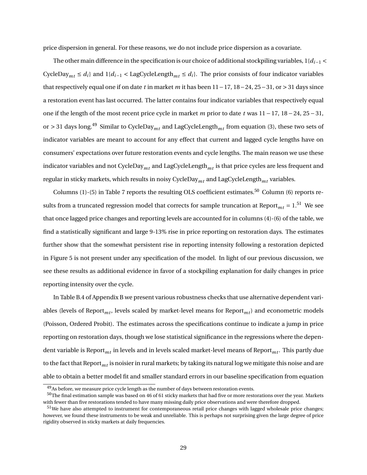price dispersion in general. For these reasons, we do not include price dispersion as a covariate.

The other main difference in the specification is our choice of additional stockpiling variables,  $1{d_i}$  < CycleDay<sub>*mt*</sub>  $\leq d_i$ } and 1{ $d_{i-1}$  < LagCycleLength<sub>*mt*</sub>  $\leq d_i$ }. The prior consists of four indicator variables that respectively equal one if on date *t* in market *m* it has been 11−17, 18−24, 25−31, or > 31 days since a restoration event has last occurred. The latter contains four indicator variables that respectively equal one if the length of the most recent price cycle in market *m* prior to date *t* was 11 − 17, 18 − 24, 25 − 31, or <sup>&</sup>gt; 31 days long.<sup>49</sup> Similar to CycleDay*mt* and LagCycleLength*mt* from equation (3), these two sets of indicator variables are meant to account for any effect that current and lagged cycle lengths have on consumers' expectations over future restoration events and cycle lengths. The main reason we use these indicator variables and not CycleDay*mt* and LagCycleLength*mt* is that price cycles are less frequent and regular in sticky markets, which results in noisy CycleDay*mt* and LagCycleLength*mt* variables.

Columns (1)-(5) in Table 7 reports the resulting OLS coefficient estimates.<sup>50</sup> Column (6) reports results from a truncated regression model that corrects for sample truncation at Report<sub>mt</sub> =  $1.51$  We see that once lagged price changes and reporting levels are accounted for in columns (4)-(6) of the table, we find a statistically significant and large 9-13% rise in price reporting on restoration days. The estimates further show that the somewhat persistent rise in reporting intensity following a restoration depicted in Figure 5 is not present under any specification of the model. In light of our previous discussion, we see these results as additional evidence in favor of a stockpiling explanation for daily changes in price reporting intensity over the cycle.

In Table B.4 of Appendix B we present various robustness checks that use alternative dependent variables (levels of Report<sub>*mt*</sub>, levels scaled by market-level means for Report<sub>*mt*</sub>) and econometric models (Poisson, Ordered Probit). The estimates across the specifications continue to indicate a jump in price reporting on restoration days, though we lose statistical significance in the regressions where the dependent variable is Report<sub>mt</sub> in levels and in levels scaled market-level means of Report<sub>mt</sub>. This partly due to the fact that Report<sub>mt</sub> is noisier in rural markets; by taking its natural log we mitigate this noise and are able to obtain a better model fit and smaller standard errors in our baseline specification from equation

<sup>&</sup>lt;sup>49</sup>As before, we measure price cycle length as the number of days between restoration events.

<sup>&</sup>lt;sup>50</sup>The final estimation sample was based on 46 of 61 sticky markets that had five or more restorations over the year. Markets with fewer than five restorations tended to have many missing daily price observations and were therefore dropped.

<sup>&</sup>lt;sup>51</sup>We have also attempted to instrument for contemporaneous retail price changes with lagged wholesale price changes; however, we found these instruments to be weak and unreliable. This is perhaps not surprising given the large degree of price rigidity observed in sticky markets at daily frequencies.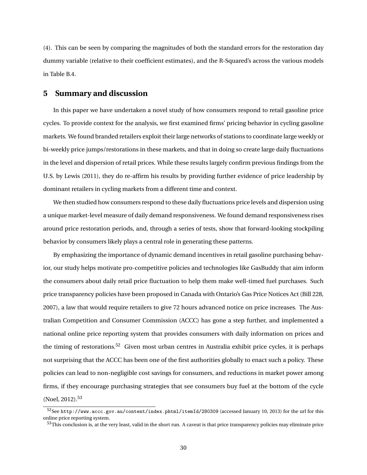(4). This can be seen by comparing the magnitudes of both the standard errors for the restoration day dummy variable (relative to their coefficient estimates), and the R-Squared's across the various models in Table B.4.

### **5 Summary and discussion**

In this paper we have undertaken a novel study of how consumers respond to retail gasoline price cycles. To provide context for the analysis, we first examined firms' pricing behavior in cycling gasoline markets. We found branded retailers exploit their large networks of stations to coordinate large weekly or bi-weekly price jumps/restorations in these markets, and that in doing so create large daily fluctuations in the level and dispersion of retail prices. While these results largely confirm previous findings from the U.S. by Lewis (2011), they do re-affirm his results by providing further evidence of price leadership by dominant retailers in cycling markets from a different time and context.

We then studied how consumers respond to these daily fluctuations price levels and dispersion using a unique market-level measure of daily demand responsiveness. We found demand responsiveness rises around price restoration periods, and, through a series of tests, show that forward-looking stockpiling behavior by consumers likely plays a central role in generating these patterns.

By emphasizing the importance of dynamic demand incentives in retail gasoline purchasing behavior, our study helps motivate pro-competitive policies and technologies like GasBuddy that aim inform the consumers about daily retail price fluctuation to help them make well-timed fuel purchases. Such price transparency policies have been proposed in Canada with Ontario's Gas Price Notices Act (Bill 228, 2007), a law that would require retailers to give 72 hours advanced notice on price increases. The Australian Competition and Consumer Commission (ACCC) has gone a step further, and implemented a national online price reporting system that provides consumers with daily information on prices and the timing of restorations.<sup>52</sup> Given most urban centres in Australia exhibit price cycles, it is perhaps not surprising that the ACCC has been one of the first authorities globally to enact such a policy. These policies can lead to non-negligible cost savings for consumers, and reductions in market power among firms, if they encourage purchasing strategies that see consumers buy fuel at the bottom of the cycle (Noel, 2012).<sup>53</sup>

<sup>52</sup>See http://www.accc.gov.au/content/index.phtml/itemId/280309 (accessed January 10, 2013) for the url for this online price reporting system.

 $53$ This conclusion is, at the very least, valid in the short run. A caveat is that price transparency policies may eliminate price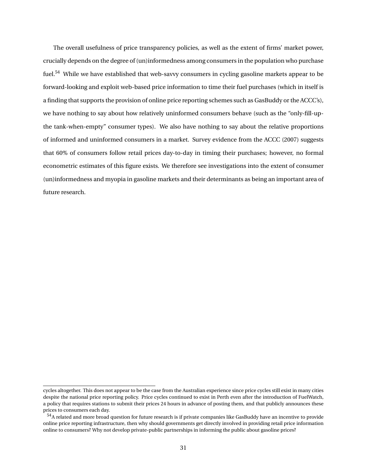The overall usefulness of price transparency policies, as well as the extent of firms' market power, crucially depends on the degree of (un)informedness among consumers in the population who purchase fuel.<sup>54</sup> While we have established that web-savvy consumers in cycling gasoline markets appear to be forward-looking and exploit web-based price information to time their fuel purchases (which in itself is a finding that supports the provision of online price reporting schemes such as GasBuddy or the ACCC's), we have nothing to say about how relatively uninformed consumers behave (such as the "only-fill-upthe tank-when-empty" consumer types). We also have nothing to say about the relative proportions of informed and uninformed consumers in a market. Survey evidence from the ACCC (2007) suggests that 60% of consumers follow retail prices day-to-day in timing their purchases; however, no formal econometric estimates of this figure exists. We therefore see investigations into the extent of consumer (un)informedness and myopia in gasoline markets and their determinants as being an important area of future research.

cycles altogether. This does not appear to be the case from the Australian experience since price cycles still exist in many cities despite the national price reporting policy. Price cycles continued to exist in Perth even after the introduction of FuelWatch, a policy that requires stations to submit their prices 24 hours in advance of posting them, and that publicly announces these prices to consumers each day.

<sup>54</sup>A related and more broad question for future research is if private companies like GasBuddy have an incentive to provide online price reporting infrastructure, then why should governments get directly involved in providing retail price information online to consumers? Why not develop private-public partnerships in informing the public about gasoline prices?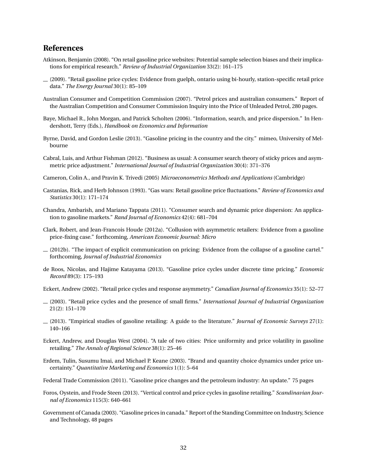## **References**

- Atkinson, Benjamin (2008). "On retail gasoline price websites: Potential sample selection biases and their implications for empirical research." *Review of Industrial Organization* 33(2): 161–175
- (2009). "Retail gasoline price cycles: Evidence from guelph, ontario using bi-hourly, station-specific retail price data." *The Energy Journal* 30(1): 85–109
- Australian Consumer and Competition Commission (2007). "Petrol prices and australian consumers." Report of the Australian Competition and Consumer Commission Inquiry into the Price of Unleaded Petrol, 280 pages.
- Baye, Michael R., John Morgan, and Patrick Scholten (2006). "Information, search, and price dispersion." In Hendershott, Terry (Eds.), *Handbook on Economics and Information*
- Byrne, David, and Gordon Leslie (2013). "Gasoline pricing in the country and the city." mimeo, University of Melbourne
- Cabral, Luis, and Arthur Fishman (2012). "Business as usual: A consumer search theory of sticky prices and asymmetric price adjustment." *International Journal of Industrial Organization* 30(4): 371–376
- Cameron, Colin A., and Pravin K. Trivedi (2005) *Microeconometrics Methods and Applications* (Cambridge)
- Castanias, Rick, and Herb Johnson (1993). "Gas wars: Retail gasoline price fluctuations." *Review of Economics and Statistics* 30(1): 171–174
- Chandra, Ambarish, and Mariano Tappata (2011). "Consumer search and dynamic price dispersion: An application to gasoline markets." *Rand Journal of Economics* 42(4): 681–704
- Clark, Robert, and Jean-Francois Houde (2012a). "Collusion with asymmetric retailers: Evidence from a gasoline price-fixing case." forthcoming, *American Economic Journal: Micro*
- (2012b). "The impact of explicit communication on pricing: Evidence from the collapse of a gasoline cartel." forthcoming, *Journal of Industrial Economics*
- de Roos, Nicolas, and Hajime Katayama (2013). "Gasoline price cycles under discrete time pricing." *Economic Record* 89(3): 175–193
- Eckert, Andrew (2002). "Retail price cycles and response asymmetry." *Canadian Journal of Economics* 35(1): 52–77
- (2003). "Retail price cycles and the presence of small firms." *International Journal of Industrial Organization* 21(2): 151–170
- (2013). "Empirical studies of gasoline retailing: A guide to the literature." *Journal of Economic Surveys* 27(1): 140–166
- Eckert, Andrew, and Douglas West (2004). "A tale of two cities: Price uniformity and price volatility in gasoline retailing." *The Annals of Regional Science* 38(1): 25–46
- Erdem, Tulin, Susumu Imai, and Michael P. Keane (2003). "Brand and quantity choice dynamics under price uncertainty." *Quantitative Marketing and Economics* 1(1): 5–64
- Federal Trade Commission (2011). "Gasoline price changes and the petroleum industry: An update." 75 pages
- Foros, Oystein, and Frode Steen (2013). "Vertical control and price cycles in gasoline retailing." *Scandinavian Journal of Economics* 115(3): 640–661
- Government of Canada (2003). "Gasoline prices in canada." Report of the Standing Committee on Industry, Science and Technology, 48 pages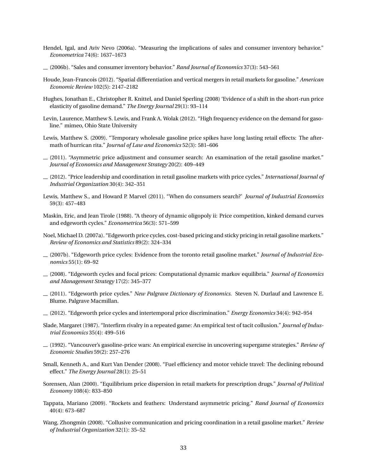- Hendel, Igal, and Aviv Nevo (2006a). "Measuring the implications of sales and consumer inventory behavior." *Econometrica* 74(6): 1637–1673
- (2006b). "Sales and consumer inventory behavior." *Rand Journal of Economics* 37(3): 543–561
- Houde, Jean-Francois (2012). "Spatial differentiation and vertical mergers in retail markets for gasoline." *American Economic Review* 102(5): 2147–2182
- Hughes, Jonathan E., Christopher R. Knittel, and Daniel Sperling (2008) 'Evidence of a shift in the short-run price elasticity of gasoline demand." *The Energy Journal* 29(1): 93–114
- Levin, Laurence, Matthew S. Lewis, and Frank A. Wolak (2012). "High frequency evidence on the demand for gasoline." mimeo, Ohio State University
- Lewis, Matthew S. (2009). "Temporary wholesale gasoline price spikes have long lasting retail effects: The aftermath of hurrican rita." *Journal of Law and Economics* 52(3): 581–606
- $(2011)$ . "Asymmetric price adjustment and consumer search: An examination of the retail gasoline market." *Journal of Economics and Management Strategy* 20(2): 409–449
- (2012). "Price leadership and coordination in retail gasoline markets with price cycles." *International Journal of Industrial Organization* 30(4): 342–351
- Lewis, Matthew S., and Howard P. Marvel (2011). "When do consumers search?' *Journal of Industrial Economics* 59(3): 457–483
- Maskin, Eric, and Jean Tirole (1988). "A theory of dynamic oligopoly ii: Price competition, kinked demand curves and edgeworth cycles." *Econometrica* 56(3): 571–599
- Noel, Michael D. (2007a). "Edgeworth price cycles, cost-based pricing and sticky pricing in retail gasoline markets." *Review of Economics and Statistics* 89(2): 324–334
- (2007b). "Edgeworth price cycles: Evidence from the toronto retail gasoline market." *Journal of Industrial Economics* 55(1): 69–92
- (2008). "Edgeworth cycles and focal prices: Computational dynamic markov equilibria." *Journal of Economics and Management Strategy* 17(2): 345–377
- (2011). "Edgeworth price cycles." *New Palgrave Dictionary of Economics.* Steven N. Durlauf and Lawrence E. Blume. Palgrave Macmillan.
- (2012). "Edgeworth price cycles and intertemporal price discrimination." *Energy Economics* 34(4): 942–954
- Slade, Margaret (1987). "Interfirm rivalry in a repeated game: An empirical test of tacit collusion." *Journal of Industrial Economics* 35(4): 499–516
- (1992). "Vancouver's gasoline-price wars: An empirical exercise in uncovering supergame strategies." *Review of Economic Studies* 59(2): 257–276
- Small, Kenneth A., and Kurt Van Dender (2008). "Fuel efficiency and motor vehicle travel: The declining rebound effect." *The Energy Journal* 28(1): 25–51
- Sorensen, Alan (2000). "Equilibrium price dispersion in retail markets for prescription drugs." *Journal of Political Economy* 108(4): 833–850
- Tappata, Mariano (2009). "Rockets and feathers: Understand asymmetric pricing." *Rand Journal of Economics* 40(4): 673–687
- Wang, Zhongmin (2008). "Collusive communication and pricing coordination in a retail gasoline market." *Review of Industrial Organization* 32(1): 35–52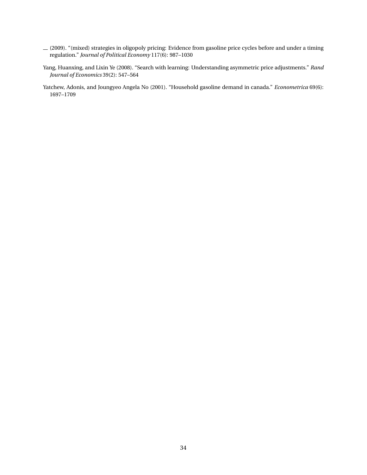- (2009). "(mixed) strategies in oligopoly pricing: Evidence from gasoline price cycles before and under a timing regulation." *Journal of Political Economy* 117(6): 987–1030
- Yang, Huanxing, and Lixin Ye (2008). "Search with learning: Understanding asymmetric price adjustments." *Rand Journal of Economics* 39(2): 547–564
- Yatchew, Adonis, and Joungyeo Angela No (2001). "Household gasoline demand in canada." *Econometrica* 69(6): 1697–1709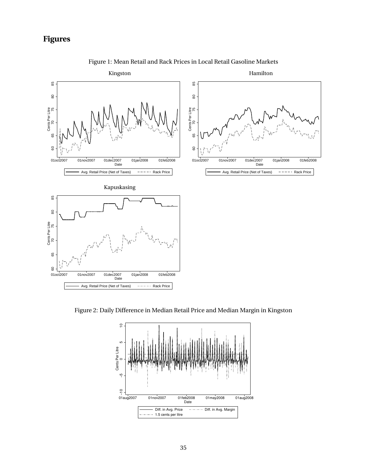## **Figures**



Figure 1: Mean Retail and Rack Prices in Local Retail Gasoline Markets

Figure 2: Daily Difference in Median Retail Price and Median Margin in Kingston

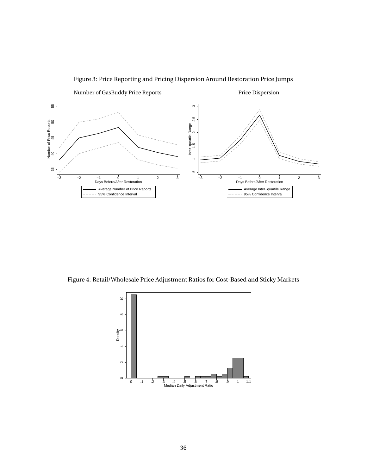

Figure 3: Price Reporting and Pricing Dispersion Around Restoration Price Jumps

Figure 4: Retail/Wholesale Price Adjustment Ratios for Cost-Based and Sticky Markets

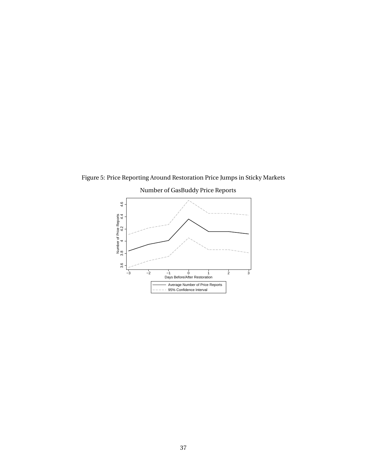

Figure 5: Price Reporting Around Restoration Price Jumps in Sticky Markets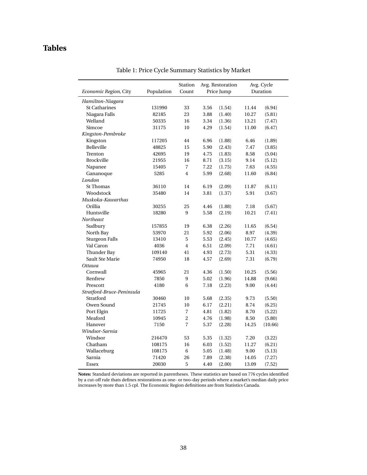## **Tables**

|                           |            | Station                 |      | Avg. Restoration |       | Avg. Cycle |
|---------------------------|------------|-------------------------|------|------------------|-------|------------|
| Economic Region, City     | Population | Count                   |      | Price Jump       |       | Duration   |
| Hamilton-Niagara          |            |                         |      |                  |       |            |
| <b>St Catharines</b>      | 131990     | 33                      | 3.56 | (1.54)           | 11.44 | (6.94)     |
| Niagara Falls             | 82185      | 23                      | 3.88 | (1.40)           | 10.27 | (5.81)     |
| Welland                   | 50335      | 16                      | 3.34 | (1.36)           | 13.21 | (7.47)     |
| Simcoe                    | 31175      | 10                      | 4.29 | (1.54)           | 11.00 | (6.47)     |
| Kingston-Pembroke         |            |                         |      |                  |       |            |
| Kingston                  | 117205     | 44                      | 6.96 | (1.88)           | 6.46  | (1.89)     |
| Belleville                | 48825      | 15                      | 5.90 | (2.43)           | 7.47  | (3.85)     |
| Trenton                   | 42695      | 19                      | 4.75 | (1.83)           | 8.58  | (5.04)     |
| <b>Brockville</b>         | 21955      | 16                      | 8.71 | (3.15)           | 9.14  | (5.12)     |
| Napanee                   | 15405      | $\overline{7}$          | 7.22 | (1.75)           | 7.63  | (4.55)     |
| Gananoque                 | 5285       | $\overline{\mathbf{4}}$ | 5.99 | (2.68)           | 11.60 | (6.84)     |
| London                    |            |                         |      |                  |       |            |
| <b>St Thomas</b>          | 36110      | 14                      | 6.19 | (2.09)           | 11.87 | (6.11)     |
| Woodstock                 | 35480      | 14                      | 3.81 | (1.37)           | 5.91  | (3.67)     |
| Muskoka-Kawarthas         |            |                         |      |                  |       |            |
| Orillia                   | 30255      | 25                      | 4.46 | (1.88)           | 7.18  | (5.67)     |
| Huntsville                | 18280      | 9                       | 5.58 | (2.19)           | 10.21 | (7.41)     |
| <b>Northeast</b>          |            |                         |      |                  |       |            |
| Sudbury                   | 157855     | 19                      | 6.38 | (2.26)           | 11.65 | (6.54)     |
| North Bay                 | 53970      | 21                      | 5.92 | (2.06)           | 8.97  | (4.39)     |
| <b>Sturgeon Falls</b>     | 13410      | 5                       | 5.53 | (2.45)           | 10.77 | (4.65)     |
| Val Caron                 | 4036       | 4                       | 6.51 | (2.09)           | 7.71  | (4.61)     |
| <b>Thunder Bay</b>        | 109140     | 41                      | 4.93 | (2.73)           | 5.31  | (4.33)     |
| Sault Ste Marie           | 74950      | 18                      | 4.57 | (2.69)           | 7.31  | (6.79)     |
| Ottawa                    |            |                         |      |                  |       |            |
| Cornwall                  | 45965      | 21                      | 4.36 | (1.50)           | 10.25 | (5.56)     |
| Renfrew                   | 7850       | 9                       | 5.02 | (1.96)           | 14.88 | (9.66)     |
| Prescott                  | 4180       | 6                       | 7.18 | (2.23)           | 9.00  | (4.44)     |
| Stratford-Bruce-Peninsula |            |                         |      |                  |       |            |
| Stratford                 | 30460      | 10                      | 5.68 | (2.35)           | 9.73  | (5.50)     |
| Owen Sound                | 21745      | 10                      | 6.17 | (2.21)           | 8.74  | (6.25)     |
| Port Elgin                | 11725      | 7                       | 4.81 | (1.82)           | 8.70  | (5.22)     |
| Meaford                   | 10945      | $\overline{c}$          | 4.76 | (1.98)           | 8.50  | (5.80)     |
| Hanover                   | 7150       | $\overline{7}$          | 5.37 | (2.28)           | 14.25 | (10.66)    |
| Windsor-Sarnia            |            |                         |      |                  |       |            |
| Windsor                   | 216470     | 53                      | 5.35 | (1.32)           | 7.20  | (3.22)     |
| Chatham                   | 108175     | 16                      | 6.03 | (1.52)           | 11.27 | (6.21)     |
| Wallaceburg               | 108175     | 6                       | 5.05 | (1.48)           | 9.00  | (5.13)     |
| Sarnia                    | 71420      | 26                      | 7.89 | (2.38)           | 14.05 | (7.27)     |
| Essex                     | 20030      | 5                       | 4.40 | (2.00)           | 13.09 | (7.52)     |

Table 1: Price Cycle Summary Statistics by Market

**Notes:** Standard deviations are reported in parentheses. These statistics are based on 776 cycles identified by a cut-off rule thats defines restorations as one- or two-day periods where a market's median daily price increases by more than 1.5 cpl. The Economic Region definitions are from Statistics Canada.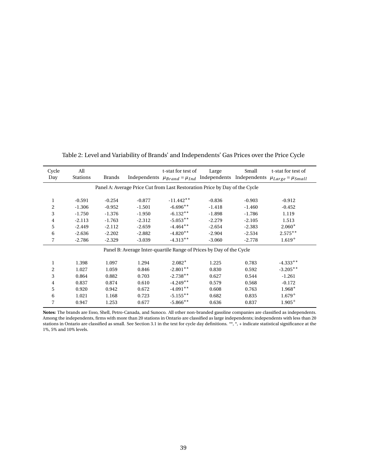| Cycle          | All                                                                        |               |          | t-stat for test of                                                  | Large    | Small    | t-stat for test of          |  |
|----------------|----------------------------------------------------------------------------|---------------|----------|---------------------------------------------------------------------|----------|----------|-----------------------------|--|
| Day            | <b>Stations</b>                                                            | <b>Brands</b> |          | Independents $\mu_{Brand} = \mu_{Ind}$ Independents Independents    |          |          | $\mu_{Large} = \mu_{Small}$ |  |
|                | Panel A: Average Price Cut from Last Restoration Price by Day of the Cycle |               |          |                                                                     |          |          |                             |  |
|                |                                                                            |               |          |                                                                     |          |          |                             |  |
| 1              | $-0.591$                                                                   | $-0.254$      | $-0.877$ | $-11.442**$                                                         | $-0.836$ | $-0.903$ | $-0.912$                    |  |
| 2              | $-1.306$                                                                   | $-0.952$      | $-1.501$ | $-6.696**$                                                          | $-1.418$ | $-1.460$ | $-0.452$                    |  |
| 3              | $-1.750$                                                                   | $-1.376$      | $-1.950$ | $-6.132**$                                                          | $-1.898$ | $-1.786$ | 1.119                       |  |
| 4              | $-2.113$                                                                   | $-1.763$      | $-2.312$ | $-5.053**$                                                          | $-2.279$ | $-2.105$ | 1.513                       |  |
| 5              | $-2.449$                                                                   | $-2.112$      | $-2.659$ | $-4.464**$                                                          | $-2.654$ | $-2.383$ | $2.060*$                    |  |
| 6              | $-2.636$                                                                   | $-2.202$      | $-2.882$ | $-4.820**$                                                          | $-2.904$ | $-2.534$ | $2.575***$                  |  |
| 7              | $-2.786$                                                                   | $-2.329$      | $-3.039$ | $-4.313**$                                                          | $-3.060$ | $-2.778$ | $1.619^{+}$                 |  |
|                |                                                                            |               |          | Panel B: Average Inter-quartile Range of Prices by Day of the Cycle |          |          |                             |  |
|                |                                                                            |               |          |                                                                     |          |          |                             |  |
| 1              | 1.398                                                                      | 1.097         | 1.294    | $2.082*$                                                            | 1.225    | 0.783    | $-4.333**$                  |  |
| $\overline{c}$ | 1.027                                                                      | 1.059         | 0.846    | $-2.801**$                                                          | 0.830    | 0.592    | $-3.205**$                  |  |
| 3              | 0.864                                                                      | 0.882         | 0.703    | $-2.738**$                                                          | 0.627    | 0.544    | $-1.261$                    |  |
| 4              | 0.837                                                                      | 0.874         | 0.610    | $-4.249**$                                                          | 0.579    | 0.568    | $-0.172$                    |  |
| 5              | 0.920                                                                      | 0.942         | 0.672    | $-4.091**$                                                          | 0.608    | 0.763    | $1.968*$                    |  |
| 6              | 1.021                                                                      | 1.168         | 0.723    | $-5.155***$                                                         | 0.682    | 0.835    | $1.679^{+}$                 |  |
| 7              | 0.947                                                                      | 1.253         | 0.677    | $-5.866$ **                                                         | 0.636    | 0.837    | $1.905+$                    |  |

Table 2: Level and Variability of Brands' and Independents' Gas Prices over the Price Cycle

**Notes:** The brands are Esso, Shell, Petro-Canada, and Sunoco. All other non-branded gasoline companies are classified as independents. Among the independents, firms with more than 20 stations in Ontario are classified as large independents; independents with less than 20 stations in Ontario are classified as small. See Section 3.1 in the text for cycle day definitions. \*\*, \*, + indicate statistical significance at the 1%, 5% and 10% levels.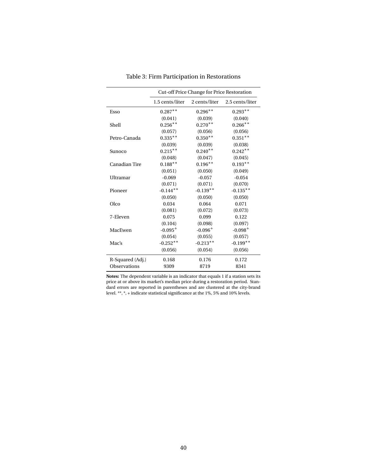|                     | Cut-off Price Change for Price Restoration |               |                 |  |  |  |
|---------------------|--------------------------------------------|---------------|-----------------|--|--|--|
|                     | 1.5 cents/liter                            | 2 cents/liter | 2.5 cents/liter |  |  |  |
| Esso                | $0.287**$                                  | $0.296**$     | $0.293**$       |  |  |  |
|                     | (0.041)                                    | (0.039)       | (0.040)         |  |  |  |
| Shell               | $0.256**$                                  | $0.270**$     | $0.266**$       |  |  |  |
|                     | (0.057)                                    | (0.056)       | (0.056)         |  |  |  |
| Petro-Canada        | $0.335***$                                 | $0.350**$     | $0.351**$       |  |  |  |
|                     | (0.039)                                    | (0.039)       | (0.038)         |  |  |  |
| Sunoco              | $0.215***$                                 | $0.240**$     | $0.242**$       |  |  |  |
|                     | (0.048)                                    | (0.047)       | (0.045)         |  |  |  |
| Canadian Tire       | $0.188**$                                  | $0.196***$    | $0.193**$       |  |  |  |
|                     | (0.051)                                    | (0.050)       | (0.049)         |  |  |  |
| Ultramar            | $-0.069$                                   | $-0.057$      | $-0.054$        |  |  |  |
|                     | (0.071)                                    | (0.071)       | (0.070)         |  |  |  |
| Pioneer             | $-0.144**$                                 | $-0.139**$    | $-0.135**$      |  |  |  |
|                     | (0.050)                                    | (0.050)       | (0.050)         |  |  |  |
| Olco                | 0.034                                      | 0.064         | 0.071           |  |  |  |
|                     | (0.081)                                    | (0.072)       | (0.073)         |  |  |  |
| 7-Eleven            | 0.075                                      | 0.099         | 0.122           |  |  |  |
|                     | (0.104)                                    | (0.098)       | (0.097)         |  |  |  |
| MacEwen             | $-0.095^{+}$                               | $-0.096+$     | $-0.098 +$      |  |  |  |
|                     | (0.054)                                    | (0.055)       | (0.057)         |  |  |  |
| Mac's               | $-0.252**$                                 | $-0.213**$    | $-0.199**$      |  |  |  |
|                     | (0.056)                                    | (0.054)       | (0.056)         |  |  |  |
| R-Squared (Adj.)    | 0.168                                      | 0.176         | 0.172           |  |  |  |
| <b>Observations</b> | 9309                                       | 8719          | 8341            |  |  |  |

Table 3: Firm Participation in Restorations

**Notes:** The dependent variable is an indicator that equals 1 if a station sets its price at or above its market's median price during a restoration period. Standard errors are reported in parentheses and are clustered at the city-brand level. \*\*, \*, + indicate statistical significance at the 1%, 5% and 10% levels.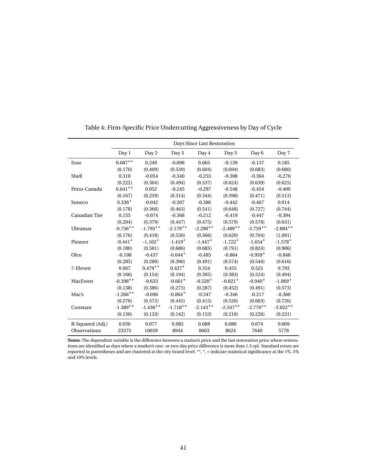|                  | Days Since Last Restoration |              |              |              |                       |              |              |  |
|------------------|-----------------------------|--------------|--------------|--------------|-----------------------|--------------|--------------|--|
|                  | Day 1                       | Day 2        | Day 3        | Day 4        | Day 5                 | Day 6        | Day 7        |  |
| Esso             | $0.687**$                   | 0.249        | $-0.098$     | 0.065        | $-0.139$              | $-0.137$     | 0.185        |  |
|                  | (0.170)                     | (0.409)      | (0.539)      | (0.604)      | (0.694)               | (0.683)      | (0.680)      |  |
| Shell            | 0.310                       | $-0.054$     | $-0.340$     | $-0.255$     | $-0.308$              | $-0.364$     | $-0.276$     |  |
|                  | (0.222)                     | (0.364)      | (0.494)      | (0.537)      | (0.624)               | (0.639)      | (0.625)      |  |
| Petro-Canada     | $0.641**$                   | 0.052        | $-0.245$     | $-0.297$     | $-0.548$              | $-0.454$     | $-0.400$     |  |
|                  | (0.167)                     | (0.259)      | (0.314)      | (0.344)      | (0.398)               | (0.471)      | (0.513)      |  |
| Sunoco           | $0.336+$                    | $-0.042$     | $-0.307$     | $-0.386$     | $-0.442$              | $-0.467$     | 0.014        |  |
|                  | (0.178)                     | (0.366)      | (0.463)      | (0.541)      | (0.648)               | (0.727)      | (0.744)      |  |
| Canadian Tire    | 0.155                       | $-0.074$     | $-0.368$     | $-0.212$     | $-0.419$              | $-0.447$     | $-0.394$     |  |
|                  | (0.204)                     | (0.379)      | (0.447)      | (0.475)      | (0.579)               | (0.578)      | (0.631)      |  |
| Ultramar         | $-0.756**$                  | $-1.795**$   | $-2.179**$   | $-2.290**$   | $-2.489**$            | $-2.759**$   | $-2.884**$   |  |
|                  | (0.176)                     | (0.418)      | (0.530)      | (0.566)      | (0.620)               | (0.704)      | (1.091)      |  |
| Pioneer          | $-0.441*$                   | $-1.102^{+}$ | $-1.419*$    | $-1.447*$    | $-1.722*$             | $-1.654*$    | $-1.578^{+}$ |  |
|                  | (0.180)                     | (0.581)      | (0.686)      | (0.685)      | (0.791)               | (0.824)      | (0.906)      |  |
| Olco             | $-0.108$                    | $-0.437$     | $-0.644+$    | $-0.485$     | $-0.864$              | $-0.959+$    | $-0.848$     |  |
|                  | (0.285)                     | (0.289)      | (0.390)      | (0.491)      | (0.574)               | (0.540)      | (0.616)      |  |
| 7-Eleven         | 0.067                       | $0.479**$    | $0.427*$     | 0.354        | 0.455                 | 0.525        | 0.793        |  |
|                  | (0.166)                     | (0.154)      | (0.194)      | (0.395)      | (0.383)               | (0.524)      | (0.494)      |  |
| MacEwen          | $-0.398**$                  | $-0.633$     | $-0.601*$    | $-0.520^{+}$ | $-0.821$ <sup>+</sup> | $-0.940^{+}$ | $-1.069+$    |  |
|                  | (0.138)                     | (0.386)      | (0.273)      | (0.287)      | (0.452)               | (0.491)      | (0.573)      |  |
| Mac's            | $-1.266$ **                 | $-0.696$     | $-0.864^{+}$ | $-0.347$     | $-0.346$              | $-0.217$     | $-0.360$     |  |
|                  | (0.270)                     | (0.572)      | (0.445)      | (0.415)      | (0.520)               | (0.603)      | (0.726)      |  |
| Constant         | $-1.389**$                  | $-1.436**$   | $-1.718**$   | $-2.143**$   | $-2.547**$            | $-2.770**$   | $-3.022**$   |  |
|                  | (0.130)                     | (0.133)      | (0.142)      | (0.153)      | (0.210)               | (0.226)      | (0.231)      |  |
| R-Squared (Adj.) | 0.036                       | 0.077        | 0.082        | 0.088        | 0.086                 | 0.074        | 0.069        |  |
| Observations     | 23375                       | 10059        | 8944         | 8603         | 8624                  | 7640         | 5778         |  |

Table 4: Firm-Specific Price Undercutting Aggressiveness by Day of Cycle

**Notes:** The dependent variable is the difference between a station's price and the last restoration price where restorations are identified as days where a market's one- or two-day price difference is more than 1.5 cpl. Standard errors are reported in parentheses and are clustered at the city-brand level. \*\*, \*, + indicate statistical significance at the 1%, 5% and 10% levels.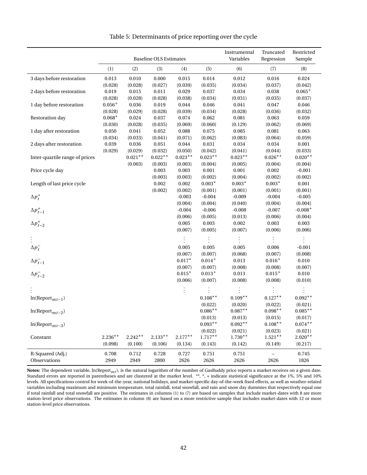|                                                                                      |             | <b>Baseline OLS Estimates</b> |            |            | Instrumental<br>Variables | Truncated<br>Regression | Restricted<br>Sample |            |
|--------------------------------------------------------------------------------------|-------------|-------------------------------|------------|------------|---------------------------|-------------------------|----------------------|------------|
|                                                                                      | (1)         | (2)                           | (3)        | (4)        | (5)                       | (6)                     | (7)                  | (8)        |
| 3 days before restoration                                                            | 0.013       | 0.010                         | 0.000      | 0.015      | 0.014                     | 0.012                   | 0.016                | 0.024      |
|                                                                                      | (0.028)     | (0.028)                       | (0.027)    | (0.039)    | (0.035)                   | (0.034)                 | (0.037)              | (0.042)    |
| 2 days before restoration                                                            | 0.019       | 0.015                         | 0.011      | 0.029      | 0.037                     | 0.034                   | 0.038                | $0.065+$   |
|                                                                                      | (0.028)     | (0.028)                       | (0.028)    | (0.038)    | (0.034)                   | (0.031)                 | (0.035)              | (0.037)    |
| 1 day before restoration                                                             | $0.056^{+}$ | 0.036                         | 0.019      | 0.044      | 0.046                     | 0.041                   | 0.047                | 0.046      |
|                                                                                      | (0.028)     | (0.029)                       | (0.028)    | (0.039)    | (0.034)                   | (0.028)                 | (0.036)              | (0.032)    |
| Restoration day                                                                      | $0.068*$    | 0.024                         | 0.037      | 0.074      | 0.062                     | 0.081                   | 0.063                | 0.059      |
|                                                                                      | (0.030)     | (0.028)                       | (0.035)    | (0.069)    | (0.060)                   | (0.129)                 | (0.062)              | (0.069)    |
| 1 day after restoration                                                              | 0.050       | 0.041                         | 0.052      | 0.088      | 0.075                     | 0.085                   | 0.081                | 0.063      |
|                                                                                      | (0.034)     | (0.033)                       | (0.041)    | (0.071)    | (0.062)                   | (0.083)                 | (0.064)              | (0.059)    |
| 2 days after restoration                                                             | 0.039       | 0.036                         | 0.051      | 0.044      | 0.031                     | 0.034                   | 0.034                | 0.001      |
|                                                                                      | (0.029)     | (0.029)                       | (0.032)    | (0.050)    | (0.042)                   | (0.041)                 | (0.044)              | (0.033)    |
| Inter-quartile range of prices                                                       |             | $0.021**$                     | $0.022**$  | $0.023**$  | $0.023**$                 | $0.023**$               | $0.026**$            | $0.020**$  |
|                                                                                      |             | (0.003)                       | (0.003)    | (0.003)    | (0.004)                   | (0.005)                 | (0.004)              | (0.004)    |
| Price cycle day                                                                      |             |                               | 0.003      | 0.003      | 0.001                     | 0.001                   | 0.002                | $-0.001$   |
|                                                                                      |             |                               | (0.003)    | (0.003)    | (0.002)                   | (0.004)                 | (0.002)              | (0.002)    |
| Length of last price cycle                                                           |             |                               | 0.002      | 0.002      | $0.003*$                  | $0.003\,^*$             | $0.003*$             | 0.001      |
|                                                                                      |             |                               | (0.002)    | (0.002)    | (0.001)                   | (0.001)                 | (0.001)              | (0.001)    |
| $\Delta p_t^+$                                                                       |             |                               |            | $-0.003$   | $-0.004$                  | $-0.009$                | $-0.004$             | $-0.005$   |
|                                                                                      |             |                               |            | (0.004)    | (0.004)                   | (0.040)                 | (0.004)              | (0.004)    |
| $\Delta p_{t-1}^+$<br>$\Delta p_{t-2}^+$                                             |             |                               |            | $-0.004$   | $-0.006$                  | $-0.008$                | $-0.007$             | $-0.008+$  |
|                                                                                      |             |                               |            | (0.006)    | (0.005)                   | (0.013)                 | (0.006)              | (0.004)    |
|                                                                                      |             |                               |            | 0.005      | 0.003                     | 0.002                   | 0.003                | 0.003      |
|                                                                                      |             |                               |            | (0.007)    | (0.005)                   | (0.007)                 | (0.006)              | (0.006)    |
|                                                                                      |             |                               |            |            |                           |                         |                      |            |
|                                                                                      |             |                               |            | 0.005      | 0.005                     | 0.005                   | 0.006                | $-0.001$   |
|                                                                                      |             |                               |            | (0.007)    | (0.007)                   | (0.068)                 | (0.007)              | (0.008)    |
|                                                                                      |             |                               |            | $0.017*$   | $0.014 +$                 | 0.013                   | $0.016 +$            | 0.010      |
|                                                                                      |             |                               |            | (0.007)    | (0.007)                   | (0.008)                 | (0.008)              | (0.007)    |
| $\begin{aligned} \Delta p_t^- \\ \Delta p_{t-1}^- \\ \Delta p_{t-2}^- \end{aligned}$ |             |                               |            | $0.015*$   | $0.013^{+}$               | 0.013                   | $0.015^{+}$          | 0.010      |
|                                                                                      |             |                               |            | (0.006)    | (0.007)                   | (0.008)                 | (0.008)              | (0.010)    |
|                                                                                      |             |                               |            | $\vdots$   |                           |                         |                      |            |
| $ln(Report_{mt-1})$                                                                  |             |                               |            |            | $0.108**$                 | $0.109**$               | $0.127**$            | $0.092**$  |
|                                                                                      |             |                               |            |            | (0.022)                   | (0.020)                 | (0.022)              | (0.021)    |
| $ln(Report_{mt-2})$                                                                  |             |                               |            |            | $0.086***$                | $0.087**$               | $0.098**$            | $0.085***$ |
|                                                                                      |             |                               |            |            | (0.013)                   | (0.013)                 | (0.015)              | (0.017)    |
| $ln(Report_{mt-3})$                                                                  |             |                               |            |            | $0.093**$                 | $0.092**$               | $0.108**$            | $0.074**$  |
|                                                                                      |             |                               |            |            | (0.022)                   | (0.021)                 | (0.023)              | (0.021)    |
| Constant                                                                             | $2.236***$  | $2.242**$                     | $2.133***$ | $2.177***$ | $1.717***$                | $1.730**$               | $1.521**$            | $2.020**$  |
|                                                                                      | (0.098)     | (0.100)                       | (0.106)    | (0.134)    | (0.143)                   | (0.142)                 | (0.149)              | (0.217)    |
| R-Squared (Adj.)                                                                     | 0.708       | 0.712                         | 0.728      | 0.727      | 0.751                     | 0.751                   |                      | 0.745      |
| Observations                                                                         | 2949        | 2949                          | 2800       | 2626       | 2626                      | 2626                    | 2626                 | 1826       |

Table 5: Determinants of price reporting over the cycle

**Notes:** The dependent variable, ln(Report*mt*), is the natural logarithm of the number of GasBuddy price reports a market receives on a given date. Standard errors are reported in parentheses and are clustered at the market level. \*\*, \*, + indicate statistical significance at the 1%, 5% and 10% levels. All specifications control for week-of-the-year, national holidays, and market-specific day-of-the-week fixed effects, as well as weather-related variables including maximum and minimum temperature, total rainfall, total snowfall, and rain and snow day dummies that respectively equal one if total rainfall and total snowfall are positive. The estimates in columns (1) to (7) are based on samples that include market-dates with 8 are more station-level price observations. The estimates in column (8) are based on a more restrictive sample that includes market-dates with 12 or more station-level price observations.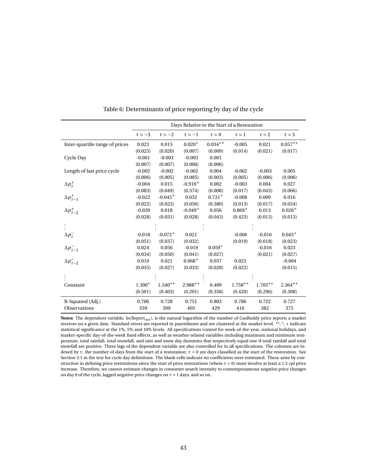|                                |             | Days Relative to the Start of a Restoration |                       |             |            |            |             |  |  |
|--------------------------------|-------------|---------------------------------------------|-----------------------|-------------|------------|------------|-------------|--|--|
|                                | $\tau = -3$ | $\tau = -2$                                 | $\tau = -1$           | $\tau = 0$  | $\tau = 1$ | $\tau = 2$ | $\tau = 3$  |  |  |
| Inter-quartile range of prices | 0.023       | 0.015                                       | $0.020*$              | $0.034**$   | $-0.005$   | 0.021      | $0.057**$   |  |  |
|                                | (0.025)     | (0.020)                                     | (0.007)               | (0.009)     | (0.014)    | (0.021)    | (0.017)     |  |  |
| Cycle Day                      | $-0.001$    | $-0.003$                                    | $-0.003$              | 0.001       |            |            |             |  |  |
|                                | (0.007)     | (0.007)                                     | (0.006)               | (0.006)     |            |            |             |  |  |
| Length of last price cycle     | $-0.002$    | $-0.002$                                    | $-0.002$              | 0.004       | $-0.002$   | $-0.003$   | 0.005       |  |  |
|                                | (0.006)     | (0.005)                                     | (0.005)               | (0.003)     | (0.005)    | (0.006)    | (0.006)     |  |  |
| $\Delta p_t^+$                 | $-0.004$    | 0.015                                       | $-0.910^{+}$          | 0.002       | $-0.003$   | 0.004      | 0.027       |  |  |
|                                | (0.083)     | (0.049)                                     | (0.374)               | (0.008)     | (0.017)    | (0.043)    | (0.066)     |  |  |
| $\Delta p_{t-1}^+$             | $-0.022$    | $-0.045+$                                   | 0.032                 | $0.731^{+}$ | $-0.008$   | 0.009      | 0.016       |  |  |
| $\Delta p_{t-2}^+$             | (0.022)     | (0.023)                                     | (0.056)               | (0.380)     | (0.013)    | (0.017)    | (0.034)     |  |  |
|                                | $-0.020$    | 0.018                                       | $-0.049$ <sup>+</sup> | 0.056       | $0.869*$   | 0.013      | $0.026^{+}$ |  |  |
|                                | (0.028)     | (0.031)                                     | (0.028)               | (0.043)     | (0.423)    | (0.013)    | (0.013)     |  |  |
|                                |             |                                             |                       |             |            |            |             |  |  |
| $\Delta p_t^-$                 | $-0.018$    | $-0.072^{+}$                                | 0.021                 |             | $-0.006$   | $-0.016$   | $0.045^{+}$ |  |  |
|                                | (0.051)     | (0.037)                                     | (0.032)               |             | (0.019)    | (0.018)    | (0.023)     |  |  |
| $\Delta p_{t-1}^-$             | 0.024       | 0.056                                       | $-0.019$              | $0.059*$    |            | $-0.016$   | 0.023       |  |  |
|                                | (0.034)     | (0.050)                                     | (0.041)               | (0.027)     |            | (0.021)    | (0.027)     |  |  |
| $\Delta p_{t-2}^-$             | 0.010       | 0.021                                       | $0.068+$              | 0.037       | 0.023      |            | $-0.004$    |  |  |
|                                | (0.035)     | (0.027)                                     | (0.033)               | (0.028)     | (0.022)    |            | (0.015)     |  |  |
|                                |             |                                             |                       |             |            |            |             |  |  |
| Constant                       | $1.300*$    | $1.540**$                                   | $2.988**$             | 0.409       | $1.758**$  | $1.703**$  | $2.364**$   |  |  |
|                                | (0.501)     | (0.403)                                     | (0.201)               | (0.358)     | (0.420)    | (0.296)    | (0.308)     |  |  |
| R-Squared (Adj.)               | 0.706       | 0.728                                       | 0.751                 | 0.803       | 0.786      | 0.722      | 0.727       |  |  |
| Observations                   | 339         | 399                                         | 405                   | 429         | 416        | 382        | 375         |  |  |

Table 6: Determinants of price reporting by day of the cycle

**Notes:** The dependent variable, ln(Report*mt*), is the natural logarithm of the number of GasBuddy price reports a market receives on a given date. Standard errors are reported in parentheses and are clustered at the market level. \*\*, \*, + indicate statistical significance at the 1%, 5% and 10% levels. All specifications control for week-of-the-year, national holidays, and market-specific day-of-the-week fixed effects, as well as weather-related variables including maximum and minimum temperature, total rainfall, total snowfall, and rain and snow day dummies that respectively equal one if total rainfall and total snowfall are positive. Three lags of the dependent variable are also controlled for in all specifications. The columns are indexed by  $\tau$ , the number of days from the start of a restoration;  $\tau = 0$  are days classified as the start of the restoration. See Section 3.1 in the text for cycle day definitions. The blank cells indicate no coefficients were estimated. These arise by construction in defining price restorations since the start of price restorations (where *τ* = 0) must involve at least a 1.5 cpl price increase. Therefore, we cannot estimate changes in consumer search intensity to contemporaneous negative price changes on day 0 of the cycle, lagged negative price changes on  $\tau = 1$  days, and so on.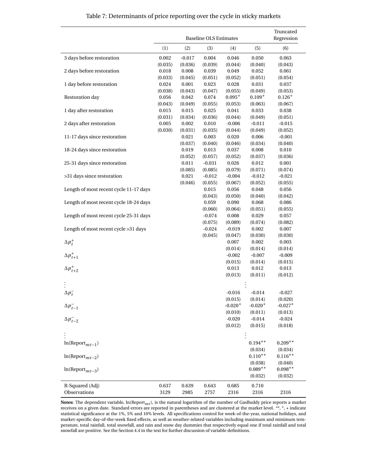|                                          | <b>Baseline OLS Estimates</b> |          |          |              |                      | Truncated<br>Regression |
|------------------------------------------|-------------------------------|----------|----------|--------------|----------------------|-------------------------|
|                                          | (1)                           | (2)      | (3)      | (4)          | (5)                  | (6)                     |
| 3 days before restoration                | $0.002\,$                     | $-0.017$ | 0.004    | 0.046        | 0.050                | 0.063                   |
|                                          | (0.035)                       | (0.036)  | (0.039)  | (0.044)      | (0.040)              | (0.043)                 |
| 2 days before restoration                | 0.018                         | 0.008    | 0.039    | 0.049        | 0.052                | 0.061                   |
|                                          | (0.033)                       | (0.045)  | (0.051)  | (0.052)      | (0.051)              | (0.054)                 |
| 1 day before restoration                 | 0.024                         | 0.001    | 0.023    | 0.028        | 0.031                | 0.037                   |
|                                          | (0.038)                       | (0.043)  | (0.047)  | (0.055)      | (0.049)              | (0.053)                 |
| Restoration day                          | 0.056                         | 0.042    | 0.074    | $0.095^{+}$  | $0.109^{+}$          | $0.126^{+}$             |
|                                          | (0.043)                       | (0.049)  | (0.055)  | (0.053)      | (0.063)              | (0.067)                 |
| 1 day after restoration                  | 0.015                         | 0.015    | 0.025    | 0.041        | 0.033                | 0.038                   |
|                                          | (0.031)                       | (0.034)  | (0.036)  | (0.044)      | (0.049)              | (0.051)                 |
| 2 days after restoration                 | 0.005                         | 0.002    | 0.010    | $-0.006$     | $-0.011$             | $-0.015$                |
|                                          | (0.030)                       | (0.031)  | (0.035)  | (0.044)      | (0.049)              | (0.052)                 |
| 11-17 days since restoration             |                               | 0.021    | 0.003    | 0.020        | 0.006                | $-0.001$                |
|                                          |                               | (0.037)  | (0.040)  | (0.046)      | (0.034)              | (0.040)                 |
| 18-24 days since restoration             |                               | 0.019    | 0.013    | 0.037        | 0.008                | 0.010                   |
|                                          |                               | (0.052)  | (0.057)  | (0.052)      | (0.037)              | (0.036)                 |
| 25-31 days since restoration             |                               | 0.011    | $-0.031$ | 0.026        | 0.012                | 0.001                   |
|                                          |                               | (0.085)  | (0.085)  | (0.079)      | (0.071)              | (0.074)                 |
| >31 days since restoration               |                               | 0.021    | $-0.012$ | $-0.004$     | $-0.012$             | $-0.021$                |
|                                          |                               | (0.046)  | (0.055)  | (0.067)      | (0.052)              | (0.055)                 |
| Length of most recent cycle 11-17 days   |                               |          | 0.015    | 0.056        | 0.048                | 0.056                   |
|                                          |                               |          | (0.043)  | (0.050)      | (0.040)              | (0.042)                 |
| Length of most recent cycle 18-24 days   |                               |          | 0.059    | 0.090        | 0.068                | 0.086                   |
|                                          |                               |          | (0.060)  | (0.064)      | (0.051)              | (0.055)                 |
| Length of most recent cycle 25-31 days   |                               |          | $-0.074$ | 0.008        | 0.029                | 0.057                   |
|                                          |                               |          | (0.075)  | (0.089)      | (0.074)              | (0.082)                 |
| Length of most recent cycle >31 days     |                               |          | $-0.024$ | $-0.019$     | 0.002                | 0.007                   |
|                                          |                               |          | (0.045)  | (0.047)      | (0.030)              | (0.030)                 |
| $\Delta p_t^+$                           |                               |          |          | 0.007        | 0.002                | 0.003                   |
|                                          |                               |          |          | (0.014)      | (0.014)              | (0.014)                 |
| $\Delta p_{t+1}^+$<br>$\Delta p_{t+2}^+$ |                               |          |          | $-0.002$     | $-0.007$             | $-0.009$                |
|                                          |                               |          |          | (0.015)      | (0.014)              | (0.015)                 |
|                                          |                               |          |          | 0.013        | 0.012                | 0.013                   |
|                                          |                               |          |          | (0.013)      | (0.011)              | (0.012)                 |
|                                          |                               |          |          |              |                      |                         |
|                                          |                               |          |          |              |                      |                         |
| $\Delta p_t^-$                           |                               |          |          | $-0.016$     | $-0.014$             | $-0.027$                |
|                                          |                               |          |          | (0.015)      | (0.014)              | (0.020)                 |
| $\Delta p_{t-1}^-$                       |                               |          |          | $-0.020^{+}$ | $-0.020^{+}$         | $-0.027*$               |
|                                          |                               |          |          | (0.010)      | (0.011)              | (0.013)                 |
| $\Delta p_{t-2}^-$                       |                               |          |          | $-0.020$     | $-0.014$             | $-0.024$                |
|                                          |                               |          |          | (0.012)      | (0.015)              | (0.018)                 |
|                                          |                               |          |          |              |                      |                         |
|                                          |                               |          |          |              |                      |                         |
| $\ln(\mathrm{Report}_{mt-1})$            |                               |          |          |              | $0.194**$            | $0.209**$               |
|                                          |                               |          |          |              | (0.034)              | (0.034)                 |
| $ln(Report_{mt-2})$                      |                               |          |          |              | $0.110**$            | $0.116***$              |
|                                          |                               |          |          |              | (0.038)<br>$0.089**$ | (0.040)<br>$0.098**$    |
| $\ln (\mathrm{Report}_{mt-3})$           |                               |          |          |              |                      |                         |
|                                          |                               |          |          |              | (0.032)              | (0.032)                 |
| R-Squared (Adj)                          | 0.637                         | 0.639    | 0.643    | 0.685        | 0.710                |                         |
| Observations                             | 3129                          | 2985     | 2757     | 2316         | 2316                 | 2316                    |

#### Table 7: Determinants of price reporting over the cycle in sticky markets

**Notes:** The dependent variable, ln(Report<sub>mt</sub>), is the natural logarithm of the number of GasBuddy price reports a market<br>receives on a given date. Standard errors are reported in parentheses and are clustered at the mar statistical significance at the 1%, 5% and 10% levels. All specifications control for week-of-the-year, national holidays, and market-specific day-of-the-week fixed effects, as well as weather-related variables including maximum and minimum temperature, total rainfall, total snowfall, and rain and snow day dummies that respectively equal one if total rainfall and total snowfall are positive. See the Section 4.4 in the text for further discussion of variable definitions.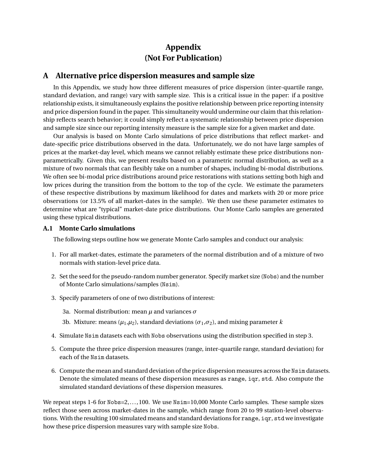## **Appendix (Not For Publication)**

## **A Alternative price dispersion measures and sample size**

In this Appendix, we study how three different measures of price dispersion (inter-quartile range, standard deviation, and range) vary with sample size. This is a critical issue in the paper: if a positive relationship exists, it simultaneously explains the positive relationship between price reporting intensity and price dispersion found in the paper. This simultaneity would undermine our claim that this relationship reflects search behavior; it could simply reflect a systematic relationship between price dispersion and sample size since our reporting intensity measure is the sample size for a given market and date.

Our analysis is based on Monte Carlo simulations of price distributions that reflect market- and date-specific price distributions observed in the data. Unfortunately, we do not have large samples of prices at the market-day level, which means we cannot reliably estimate these price distributions nonparametrically. Given this, we present results based on a parametric normal distribution, as well as a mixture of two normals that can flexibly take on a number of shapes, including bi-modal distributions. We often see bi-modal price distributions around price restorations with stations setting both high and low prices during the transition from the bottom to the top of the cycle. We estimate the parameters of these respective distributions by maximum likelihood for dates and markets with 20 or more price observations (or 13.5% of all market-dates in the sample). We then use these parameter estimates to determine what are "typical" market-date price distributions. Our Monte Carlo samples are generated using these typical distributions.

### **A.1 Monte Carlo simulations**

The following steps outline how we generate Monte Carlo samples and conduct our analysis:

- 1. For all market-dates, estimate the parameters of the normal distribution and of a mixture of two normals with station-level price data.
- 2. Set the seed for the pseudo-random number generator. Specify market size (Nobs) and the number of Monte Carlo simulations/samples (Nsim).
- 3. Specify parameters of one of two distributions of interest:
	- 3a. Normal distribution: mean *µ* and variances *σ*
	- 3b. Mixture: means ( $\mu_1, \mu_2$ ), standard deviations ( $\sigma_1, \sigma_2$ ), and mixing parameter *k*
- 4. Simulate Nsim datasets each with Nobs observations using the distribution specified in step 3.
- 5. Compute the three price dispersion measures (range, inter-quartile range, standard deviation) for each of the Nsim datasets.
- 6. Compute the mean and standard deviation of the price dispersion measures across the Nsim datasets. Denote the simulated means of these dispersion measures as range, iqr, std. Also compute the simulated standard deviations of these dispersion measures.

We repeat steps 1-6 for Nobs=2,..., 100. We use Nsim=10,000 Monte Carlo samples. These sample sizes reflect those seen across market-dates in the sample, which range from 20 to 99 station-level observations. With the resulting 100 simulated means and standard deviations for range, iqr, std we investigate how these price dispersion measures vary with sample size Nobs.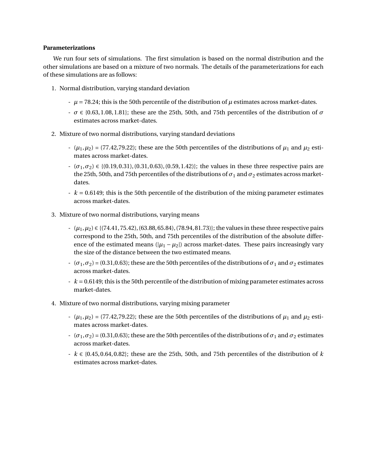#### **Parameterizations**

We run four sets of simulations. The first simulation is based on the normal distribution and the other simulations are based on a mixture of two normals. The details of the parameterizations for each of these simulations are as follows:

- 1. Normal distribution, varying standard deviation
	- $\mu$  = 78.24; this is the 50th percentile of the distribution of  $\mu$  estimates across market-dates.
	- *σ* ∈ {0.63, 1.08, 1.81}; these are the 25th, 50th, and 75th percentiles of the distribution of *σ* estimates across market-dates.
- 2. Mixture of two normal distributions, varying standard deviations
	- $(\mu_1, \mu_2) = (77.42, 79.22)$ ; these are the 50th percentiles of the distributions of  $\mu_1$  and  $\mu_2$  estimates across market-dates.
	- $-$  ( $\sigma_1, \sigma_2$ )  $\in \{(0.19, 0.31), (0.31, 0.63), (0.59, 1.42)\};$  the values in these three respective pairs are the 25th, 50th, and 75th percentiles of the distributions of  $\sigma_1$  and  $\sigma_2$  estimates across marketdates.
	- *k* = 0.6149; this is the 50th percentile of the distribution of the mixing parameter estimates across market-dates.
- 3. Mixture of two normal distributions, varying means
	- (*µ*1,*µ*2) ∈ {(74.41, 75.42), (63.88, 65.84), (78.94, 81.73)}; the values in these three respective pairs correspond to the 25th, 50th, and 75th percentiles of the distribution of the absolute difference of the estimated means ( $|\mu_1 - \mu_2|$ ) across market-dates. These pairs increasingly vary the size of the distance between the two estimated means.
	- $\sigma$  (*σ*<sub>1</sub>, *σ*<sub>2</sub>) = (0.31,0.63); these are the 50th percentiles of the distributions of  $\sigma$ <sub>1</sub> and  $\sigma$ <sub>2</sub> estimates across market-dates.
	- *k* = 0.6149; this is the 50th percentile of the distribution of mixing parameter estimates across market-dates.
- 4. Mixture of two normal distributions, varying mixing parameter
	- $(\mu_1, \mu_2) = (77.42, 79.22)$ ; these are the 50th percentiles of the distributions of  $\mu_1$  and  $\mu_2$  estimates across market-dates.
	- $\sigma$  (*σ*<sub>1</sub>, *σ*<sub>2</sub>) = (0.31,0.63); these are the 50th percentiles of the distributions of  $\sigma$ <sub>1</sub> and  $\sigma$ <sub>2</sub> estimates across market-dates.
	- *k* ∈ {0.45, 0.64, 0.82}; these are the 25th, 50th, and 75th percentiles of the distribution of *k* estimates across market-dates.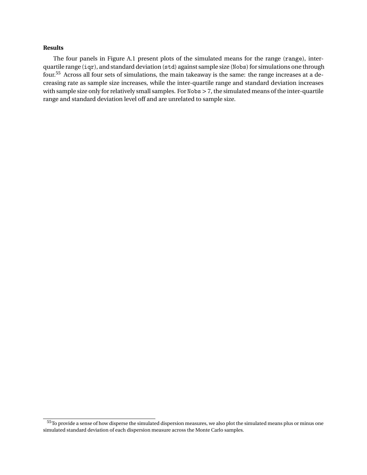#### **Results**

The four panels in Figure A.1 present plots of the simulated means for the range (range), interquartile range (iqr), and standard deviation (std) against sample size (Nobs) for simulations one through four.<sup>55</sup> Across all four sets of simulations, the main takeaway is the same: the range increases at a decreasing rate as sample size increases, while the inter-quartile range and standard deviation increases with sample size only for relatively small samples. For Nobs > 7, the simulated means of the inter-quartile range and standard deviation level off and are unrelated to sample size.

<sup>&</sup>lt;sup>55</sup>To provide a sense of how disperse the simulated dispersion measures, we also plot the simulated means plus or minus one simulated standard deviation of each dispersion measure across the Monte Carlo samples.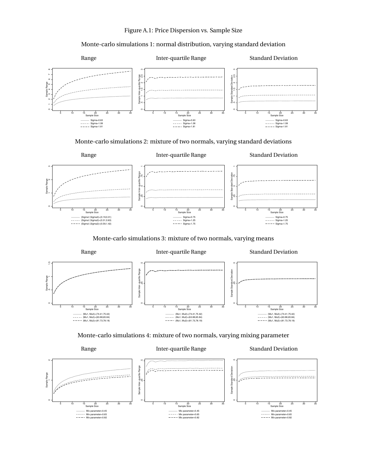#### Monte-carlo simulations 1: normal distribution, varying standard deviation



Monte-carlo simulations 2: mixture of two normals, varying standard deviations



Monte-carlo simulations 3: mixture of two normals, varying means





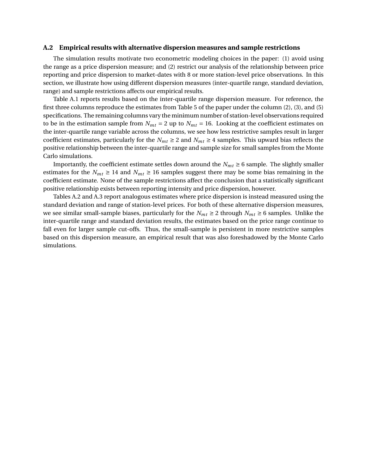#### **A.2 Empirical results with alternative dispersion measures and sample restrictions**

The simulation results motivate two econometric modeling choices in the paper: (1) avoid using the range as a price dispersion measure; and (2) restrict our analysis of the relationship between price reporting and price dispersion to market-dates with 8 or more station-level price observations. In this section, we illustrate how using different dispersion measures (inter-quartile range, standard deviation, range) and sample restrictions affects our empirical results.

Table A.1 reports results based on the inter-quartile range dispersion measure. For reference, the first three columns reproduce the estimates from Table 5 of the paper under the column (2), (3), and (5) specifications. The remaining columns vary the minimum number of station-level observations required to be in the estimation sample from  $N_{mt} = 2$  up to  $N_{mt} = 16$ . Looking at the coefficient estimates on the inter-quartile range variable across the columns, we see how less restrictive samples result in larger coefficient estimates, particularly for the  $N_{mt} \ge 2$  and  $N_{mt} \ge 4$  samples. This upward bias reflects the positive relationship between the inter-quartile range and sample size for small samples from the Monte Carlo simulations.

Importantly, the coefficient estimate settles down around the  $N_{mt} \geq 6$  sample. The slightly smaller estimates for the  $N_{mt} \ge 14$  and  $N_{mt} \ge 16$  samples suggest there may be some bias remaining in the coefficient estimate. None of the sample restrictions affect the conclusion that a statistically significant positive relationship exists between reporting intensity and price dispersion, however.

Tables A.2 and A.3 report analogous estimates where price dispersion is instead measured using the standard deviation and range of station-level prices. For both of these alternative dispersion measures, we see similar small-sample biases, particularly for the  $N_{mt} \ge 2$  through  $N_{mt} \ge 6$  samples. Unlike the inter-quartile range and standard deviation results, the estimates based on the price range continue to fall even for larger sample cut-offs. Thus, the small-sample is persistent in more restrictive samples based on this dispersion measure, an empirical result that was also foreshadowed by the Monte Carlo simulations.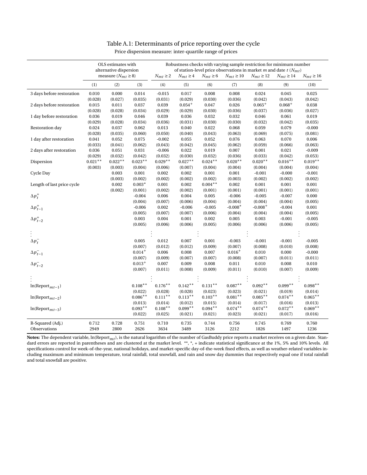| Price dispersion measure: inter-quartile range of prices |  |  |  |
|----------------------------------------------------------|--|--|--|
|                                                          |  |  |  |

|                                                                 | OLS estimates with<br>alternative dispersion<br>measure $(N_{mt} \ge 8)$ |                  |                      | $N_{mt} \geq 2$       | $N_{mt} \geq 4$      | $N_{mt} \ge 6$       | Robustness checks with varying sample restriction for minimum number<br>of station-level price observations in market $m$ and date $t$ ( $N_{mt}$ )<br>$N_{mt} \ge 10$ | $N_{mt} \ge 12$      | $N_{mt} \ge 14$      | $N_{mt} \ge 16$      |
|-----------------------------------------------------------------|--------------------------------------------------------------------------|------------------|----------------------|-----------------------|----------------------|----------------------|------------------------------------------------------------------------------------------------------------------------------------------------------------------------|----------------------|----------------------|----------------------|
|                                                                 | (1)                                                                      | (2)              | (3)                  | (4)                   | (5)                  | (6)                  | (7)                                                                                                                                                                    | (8)                  | (9)                  | (10)                 |
| 3 days before restoration                                       | 0.010                                                                    | 0.000            | 0.014                | $-0.015$              | 0.017                | 0.008                | 0.008                                                                                                                                                                  | 0.024                | 0.045                | 0.025                |
|                                                                 | (0.028)                                                                  | (0.027)          | (0.035)              | (0.031)               | (0.029)              | (0.030)              | (0.036)                                                                                                                                                                | (0.042)              | (0.043)              | (0.042)              |
| 2 days before restoration                                       | 0.015                                                                    | 0.011            | 0.037                | 0.039                 | $0.054^{+}$          | 0.047                | 0.026                                                                                                                                                                  | $0.065^{+}$          | $0.068+$             | 0.038                |
|                                                                 | (0.028)                                                                  | (0.028)          | (0.034)              | (0.029)               | (0.029)              | (0.030)              | (0.036)                                                                                                                                                                | (0.037)              | (0.036)              | (0.027)              |
| 1 day before restoration                                        | 0.036                                                                    | 0.019            | 0.046                | 0.039                 | 0.036                | 0.032                | 0.032                                                                                                                                                                  | 0.046                | 0.061                | 0.019                |
|                                                                 | (0.029)                                                                  | (0.028)          | (0.034)              | (0.036)               | (0.031)              | (0.030)              | (0.030)                                                                                                                                                                | (0.032)              | (0.042)              | (0.035)              |
| Restoration day                                                 | 0.024                                                                    | 0.037            | 0.062                | 0.013                 | 0.040                | 0.022                | 0.068                                                                                                                                                                  | 0.059                | 0.079                | $-0.000$             |
|                                                                 | (0.028)                                                                  | (0.035)          | (0.060)              | (0.050)               | (0.040)              | (0.043)              | (0.063)                                                                                                                                                                | (0.069)              | (0.075)              | (0.081)              |
| 1 day after restoration                                         | 0.041                                                                    | 0.052            | 0.075                | $-0.002$              | 0.055                | 0.052                | 0.076                                                                                                                                                                  | 0.063                | 0.070                | 0.006                |
|                                                                 | (0.033)                                                                  | (0.041)          | (0.062)              | (0.043)               | (0.042)              | (0.045)              | (0.062)                                                                                                                                                                | (0.059)              | (0.066)              | (0.063)              |
| 2 days after restoration                                        | 0.036<br>(0.029)                                                         | 0.051<br>(0.032) | 0.031<br>(0.042)     | $-0.006$<br>(0.032)   | 0.022<br>(0.030)     | 0.019<br>(0.032)     | 0.007<br>(0.036)                                                                                                                                                       | 0.001<br>(0.033)     | 0.021<br>(0.042)     | $-0.009$<br>(0.053)  |
| Dispersion                                                      | $0.021**$                                                                | $0.022**$        | $0.023**$            | $0.029**$             | $0.027**$            | $0.024**$            | $0.020**$                                                                                                                                                              | $0.020**$            | $0.016**$            | $0.019**$            |
|                                                                 | (0.003)                                                                  | (0.003)          | (0.004)              | (0.006)               | (0.007)              | (0.004)              | (0.004)                                                                                                                                                                | (0.004)              | (0.004)              | (0.004)              |
| Cycle Day                                                       |                                                                          | 0.003            | 0.001                | 0.002                 | 0.002                | 0.001                | 0.001                                                                                                                                                                  | $-0.001$             | $-0.000$             | $-0.001$             |
|                                                                 |                                                                          | (0.003)          | (0.002)              | (0.002)               | (0.002)              | (0.002)              | (0.003)                                                                                                                                                                | (0.002)              | (0.002)              | (0.002)              |
| Length of last price cycle                                      |                                                                          | 0.002            | $0.003*$             | 0.001                 | 0.002                | $0.004**$            | 0.002                                                                                                                                                                  | 0.001                | 0.001                | 0.001                |
|                                                                 |                                                                          | (0.002)          | (0.001)              | (0.002)               | (0.002)              | (0.001)              | (0.001)                                                                                                                                                                | (0.001)              | (0.001)              | (0.001)              |
| $\Delta p_t^+$                                                  |                                                                          |                  | $-0.004$             | 0.006                 | 0.004                | 0.005                | $-0.006$                                                                                                                                                               | $-0.005$             | $-0.007$             | 0.000                |
|                                                                 |                                                                          |                  | (0.004)              | (0.007)               | (0.006)              | (0.004)              | (0.004)                                                                                                                                                                | (0.004)              | (0.004)              | (0.005)              |
| $\begin{split} \Delta p_{t-1}^+\\ \Delta p_{t-2}^+ \end{split}$ |                                                                          |                  | $-0.006$             | 0.002                 | $-0.006$             | $-0.005$             | $-0.008*$                                                                                                                                                              | $-0.008+$            | $-0.004$             | 0.001                |
|                                                                 |                                                                          |                  | (0.005)              | (0.007)               | (0.007)              | (0.006)              | (0.004)                                                                                                                                                                | (0.004)              | (0.004)              | (0.005)              |
|                                                                 |                                                                          |                  | 0.003                | 0.004                 | 0.001                | 0.002                | 0.005                                                                                                                                                                  | 0.003                | $-0.001$             | $-0.005$             |
|                                                                 |                                                                          |                  | (0.005)              | (0.006)               | (0.006)              | (0.005)              | (0.006)                                                                                                                                                                | (0.006)              | (0.006)              | (0.005)              |
|                                                                 |                                                                          |                  |                      |                       |                      |                      |                                                                                                                                                                        |                      |                      |                      |
| $\Delta p_t^-$                                                  |                                                                          |                  | 0.005                | 0.012                 | 0.007                | 0.001                | $-0.003$                                                                                                                                                               | $-0.001$             | $-0.001$             | $-0.005$             |
|                                                                 |                                                                          |                  | (0.007)              | (0.012)               | (0.012)              | (0.009)              | (0.007)                                                                                                                                                                | (0.008)              | (0.010)              | (0.008)              |
| $\Delta p_{t-1}^-$                                              |                                                                          |                  | $0.014^{+}$          | 0.006                 | 0.008                | 0.007                | $0.016+$                                                                                                                                                               | 0.010                | 0.000                | $-0.000$             |
|                                                                 |                                                                          |                  | (0.007)              | (0.009)               | (0.007)              | (0.007)              | (0.008)                                                                                                                                                                | (0.007)              | (0.011)              | (0.011)              |
| $\Delta p_{t-2}^-$                                              |                                                                          |                  | $0.013+$             | 0.007                 | 0.009                | 0.008                | 0.011                                                                                                                                                                  | 0.010                | 0.008                | 0.010                |
|                                                                 |                                                                          |                  | (0.007)              | (0.011)               | (0.008)              | (0.009)              | (0.011)                                                                                                                                                                | (0.010)              | (0.007)              | (0.009)              |
|                                                                 |                                                                          |                  |                      |                       |                      |                      |                                                                                                                                                                        |                      |                      |                      |
|                                                                 |                                                                          |                  |                      |                       |                      |                      |                                                                                                                                                                        |                      |                      |                      |
| $ln(Report_{mt-1})$                                             |                                                                          |                  | $0.108**$            | $0.176^{\ast\ast}$    | $0.142**$            | $0.131**$            | $0.087**$                                                                                                                                                              | $0.092**$            | $0.099**$            | $0.098**$            |
|                                                                 |                                                                          |                  | (0.022)              | (0.028)               | (0.028)              | (0.023)              | (0.023)                                                                                                                                                                | (0.021)              | (0.019)              | (0.014)              |
| $ln(Report_{mt-2})$                                             |                                                                          |                  | $0.086**$            | $0.111***$            | $0.113**$            | $0.103**$            | $0.081**$                                                                                                                                                              | $0.085***$           | $0.074***$           | $0.065***$           |
|                                                                 |                                                                          |                  | (0.013)<br>$0.093**$ | (0.014)<br>$0.108***$ | (0.012)<br>$0.099**$ | (0.015)<br>$0.094**$ | (0.014)<br>$0.074***$                                                                                                                                                  | (0.017)<br>$0.074**$ | (0.016)<br>$0.072**$ | (0.013)<br>$0.069**$ |
| $ln(Report_{mt-3})$                                             |                                                                          |                  | (0.022)              | (0.025)               | (0.021)              | (0.021)              | (0.023)                                                                                                                                                                | (0.021)              | (0.017)              | (0.016)              |
|                                                                 |                                                                          |                  |                      |                       |                      |                      |                                                                                                                                                                        |                      |                      |                      |
| R-Squared (Adj.)                                                | 0.712                                                                    | 0.728            | 0.751                | 0.710                 | 0.735                | 0.744                | 0.756                                                                                                                                                                  | 0.745                | 0.769                | 0.760                |
| Observations                                                    | 2949                                                                     | 2800             | 2626                 | 3634                  | 3489                 | 3126                 | 2212                                                                                                                                                                   | 1826                 | 1497                 | 1236                 |

**Notes:** The dependent variable, ln(Report*mt*), is the natural logarithm of the number of GasBuddy price reports a market receives on a given date. Standard errors are reported in parentheses and are clustered at the market level. \*\*, \*, + indicate statistical significance at the 1%, 5% and 10% levels. All specifications control for week-of-the-year, national holidays, and market-specific day-of-the-week fixed effects, as well as weather-related variables including maximum and minimum temperature, total rainfall, total snowfall, and rain and snow day dummies that respectively equal one if total rainfall and total snowfall are positive.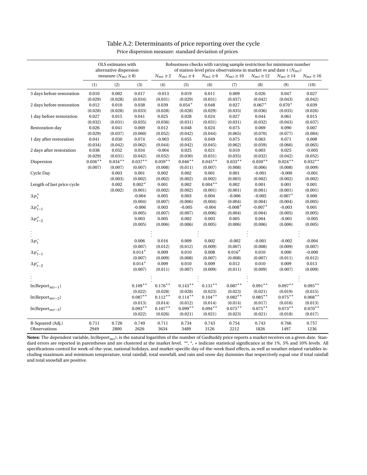| Table A.2: Determinants of price reporting over the cycle |  |  |  |  |
|-----------------------------------------------------------|--|--|--|--|
|-----------------------------------------------------------|--|--|--|--|

| Price dispersion measure: standard deviation of prices |  |  |
|--------------------------------------------------------|--|--|
|                                                        |  |  |

|                                          | OLS estimates with<br>alternative dispersion<br>measure $(N_{mt} \ge 8)$ |                  |                      | Robustness checks with varying sample restriction for minimum number<br>of station-level price observations in market $m$ and date $t$ ( $N_{mt}$ )<br>$N_{mt} \geq 2$<br>$N_{mt} \geq 4$<br>$N_{mt} \ge 6$<br>$N_{mt} \ge 10$<br>$N_{mt} \ge 12$<br>$N_{mt} \ge 14$<br>$N_{mt} \ge 16$ |                      |                      |                       |                       |                       |                      |  |
|------------------------------------------|--------------------------------------------------------------------------|------------------|----------------------|-----------------------------------------------------------------------------------------------------------------------------------------------------------------------------------------------------------------------------------------------------------------------------------------|----------------------|----------------------|-----------------------|-----------------------|-----------------------|----------------------|--|
|                                          | (1)                                                                      | (2)              | (3)                  | (4)                                                                                                                                                                                                                                                                                     | (5)                  | (6)                  | (7)                   | (8)                   | (9)                   | (10)                 |  |
| 3 days before restoration                | 0.010                                                                    | 0.002            | 0.017                | $-0.013$                                                                                                                                                                                                                                                                                | 0.019                | 0.011                | 0.009                 | 0.026                 | 0.047                 | 0.027                |  |
|                                          | (0.029)                                                                  | (0.028)          | (0.034)              | (0.031)                                                                                                                                                                                                                                                                                 | (0.029)              | (0.031)              | (0.037)               | (0.042)               | (0.043)               | (0.042)              |  |
| 2 days before restoration                | 0.012                                                                    | 0.010            | 0.038                | 0.039                                                                                                                                                                                                                                                                                   | $0.054^{+}$          | 0.048                | 0.027                 | $0.067^{+}$           | $0.070^{+}$           | 0.039                |  |
|                                          | (0.028)                                                                  | (0.028)          | (0.033)              | (0.028)                                                                                                                                                                                                                                                                                 | (0.028)              | (0.029)              | (0.035)               | (0.036)               | (0.035)               | (0.026)              |  |
| 1 day before restoration                 | 0.027                                                                    | 0.015            | 0.041                | 0.025                                                                                                                                                                                                                                                                                   | 0.028                | 0.024                | 0.027                 | 0.044                 | 0.061                 | 0.015                |  |
|                                          | (0.032)                                                                  | (0.031)          | (0.035)              | (0.036)                                                                                                                                                                                                                                                                                 | (0.031)              | (0.031)              | (0.031)               | (0.032)               | (0.043)               | (0.037)              |  |
| Restoration day                          | 0.026                                                                    | 0.041            | 0.069                | 0.012                                                                                                                                                                                                                                                                                   | 0.048                | 0.024                | 0.075                 | 0.069                 | 0.090                 | 0.007                |  |
|                                          | (0.029)                                                                  | (0.037)          | (0.060)              | (0.052)                                                                                                                                                                                                                                                                                 | (0.042)              | (0.044)              | (0.065)               | (0.070)               | (0.077)               | (0.084)              |  |
| 1 day after restoration                  | 0.041                                                                    | 0.050            | 0.074                | $-0.003$                                                                                                                                                                                                                                                                                | 0.055                | 0.049                | 0.075                 | 0.063                 | 0.071                 | 0.008                |  |
|                                          | (0.034)                                                                  | (0.042)          | (0.062)              | (0.044)                                                                                                                                                                                                                                                                                 | (0.042)              | (0.045)              | (0.062)               | (0.059)               | (0.066)               | (0.065)              |  |
| 2 days after restoration                 | 0.038<br>(0.029)                                                         | 0.052<br>(0.031) | 0.034<br>(0.042)     | $-0.004$<br>(0.032)                                                                                                                                                                                                                                                                     | 0.025<br>(0.030)     | 0.021<br>(0.031)     | 0.010                 | 0.003<br>(0.032)      | 0.025<br>(0.042)      | $-0.005$             |  |
| Dispersion                               | $0.036**$                                                                | $0.034**$        | $0.037**$            | $0.059**$                                                                                                                                                                                                                                                                               | $0.046**$            | $0.045**$            | (0.035)<br>$0.033**$  | $0.030**$             | $0.024**$             | (0.052)<br>$0.032**$ |  |
|                                          | (0.007)                                                                  | (0.007)          | (0.007)              | (0.008)                                                                                                                                                                                                                                                                                 | (0.011)              | (0.007)              | (0.008)               | (0.006)               | (0.008)               | (0.009)              |  |
| Cycle Day                                |                                                                          | 0.003            | 0.001                | 0.002                                                                                                                                                                                                                                                                                   | 0.002                | 0.001                | 0.001                 | $-0.001$              | $-0.000$              | $-0.001$             |  |
|                                          |                                                                          | (0.003)          | (0.002)              | (0.002)                                                                                                                                                                                                                                                                                 | (0.002)              | (0.002)              | (0.003)               | (0.002)               | (0.002)               | (0.002)              |  |
| Length of last price cycle               |                                                                          | 0.002            | $0.002^{+}$          | 0.001                                                                                                                                                                                                                                                                                   | 0.002                | $0.004**$            | 0.002                 | 0.001                 | 0.001                 | 0.001                |  |
|                                          |                                                                          | (0.002)          | (0.001)              | (0.002)                                                                                                                                                                                                                                                                                 | (0.002)              | (0.001)              | (0.001)               | (0.001)               | (0.001)               | (0.001)              |  |
| $\Delta p_t^+$                           |                                                                          |                  | $-0.004$             | 0.005                                                                                                                                                                                                                                                                                   | 0.003                | 0.004                | $-0.006$              | $-0.005$              | $-0.007$ <sup>+</sup> | 0.000                |  |
|                                          |                                                                          |                  | (0.004)              | (0.007)                                                                                                                                                                                                                                                                                 | (0.006)              | (0.004)              | (0.004)               | (0.004)               | (0.004)               | (0.005)              |  |
|                                          |                                                                          |                  | $-0.006$             | 0.003                                                                                                                                                                                                                                                                                   | $-0.005$             | $-0.004$             | $-0.008*$             | $-0.007$ <sup>+</sup> | $-0.003$              | 0.001                |  |
| $\Delta p_{t-1}^+$<br>$\Delta p_{t-2}^+$ |                                                                          |                  | (0.005)              | (0.007)                                                                                                                                                                                                                                                                                 | (0.007)              | (0.006)              | (0.004)               | (0.004)               | (0.005)               | (0.005)              |  |
|                                          |                                                                          |                  | 0.003                | 0.005                                                                                                                                                                                                                                                                                   | 0.002                | 0.003                | 0.005                 | 0.004                 | $-0.001$              | $-0.005$             |  |
|                                          |                                                                          |                  | (0.005)              | (0.006)                                                                                                                                                                                                                                                                                 | (0.006)              | (0.005)              | (0.006)               | (0.006)               | (0.006)               | (0.005)              |  |
|                                          |                                                                          |                  |                      |                                                                                                                                                                                                                                                                                         |                      |                      |                       |                       |                       |                      |  |
| $\Delta p_t^-$                           |                                                                          |                  | 0.006                | 0.016                                                                                                                                                                                                                                                                                   | 0.009                | 0.002                | $-0.002$              | $-0.001$              | $-0.002$              | $-0.004$             |  |
|                                          |                                                                          |                  | (0.007)              | (0.012)                                                                                                                                                                                                                                                                                 | (0.012)              | (0.009)              | (0.007)               | (0.008)               | (0.009)               | (0.007)              |  |
| $\Delta p_{t-1}^-$                       |                                                                          |                  | $0.014^{+}$          | 0.009                                                                                                                                                                                                                                                                                   | 0.010                | 0.008                | $0.016*$              | 0.010                 | 0.000                 | $-0.000$             |  |
|                                          |                                                                          |                  | (0.007)              | (0.009)                                                                                                                                                                                                                                                                                 | (0.008)              | (0.007)              | (0.008)               | (0.007)               | (0.011)               | (0.012)              |  |
| $\Delta p_{t-2}^-$                       |                                                                          |                  | $0.014 +$            | 0.009                                                                                                                                                                                                                                                                                   | 0.010                | 0.009                | 0.012                 | 0.010                 | 0.009                 | 0.013                |  |
|                                          |                                                                          |                  | (0.007)              | (0.011)                                                                                                                                                                                                                                                                                 | (0.007)              | (0.009)              | (0.011)               | (0.009)               | (0.007)               | (0.009)              |  |
|                                          |                                                                          |                  |                      |                                                                                                                                                                                                                                                                                         |                      |                      |                       |                       |                       |                      |  |
|                                          |                                                                          |                  |                      |                                                                                                                                                                                                                                                                                         |                      |                      |                       |                       |                       |                      |  |
| $ln(Report_{mt-1})$                      |                                                                          |                  | $0.109**$            | $0.176^{\ast\ast}$                                                                                                                                                                                                                                                                      | $0.143**$            | $0.131**$            | $0.087**$             | $0.091**$             | $0.097**$             | $0.095***$           |  |
|                                          |                                                                          |                  | (0.022)              | (0.028)                                                                                                                                                                                                                                                                                 | (0.028)              | (0.023)              | (0.023)               | (0.021)               | (0.019)               | (0.015)              |  |
| $ln(Report_{mt-2})$                      |                                                                          |                  | $0.087**$            | $0.112**$                                                                                                                                                                                                                                                                               | $0.114***$           | $0.104***$           | $0.082**$             | $0.085***$            | $0.075***$            | $0.068**$            |  |
|                                          |                                                                          |                  | (0.013)<br>$0.093**$ | (0.014)<br>$0.107**$                                                                                                                                                                                                                                                                    | (0.012)<br>$0.099**$ | (0.014)<br>$0.094**$ | (0.014)<br>$0.075***$ | (0.017)<br>$0.075***$ | (0.016)<br>$0.073**$  | (0.013)<br>$0.070**$ |  |
| $ln(Report_{mt-3})$                      |                                                                          |                  | (0.022)              | (0.026)                                                                                                                                                                                                                                                                                 | (0.021)              | (0.021)              | (0.023)               | (0.021)               | (0.018)               | (0.017)              |  |
|                                          |                                                                          |                  |                      |                                                                                                                                                                                                                                                                                         |                      |                      |                       |                       |                       |                      |  |
| R-Squared (Adj.)                         | 0.711                                                                    | 0.726            | 0.749                | 0.711                                                                                                                                                                                                                                                                                   | 0.734                | 0.743                | 0.754                 | 0.743                 | 0.766                 | 0.757                |  |
| Observations                             | 2949                                                                     | 2800             | 2626                 | 3634                                                                                                                                                                                                                                                                                    | 3489                 | 3126                 | 2212                  | 1826                  | 1497                  | 1236                 |  |

**Notes:** The dependent variable, ln(Report*mt*), is the natural logarithm of the number of GasBuddy price reports a market receives on a given date. Standard errors are reported in parentheses and are clustered at the market level. \*\*, \*, + indicate statistical significance at the 1%, 5% and 10% levels. All specifications control for week-of-the-year, national holidays, and market-specific day-of-the-week fixed effects, as well as weather-related variables including maximum and minimum temperature, total rainfall, total snowfall, and rain and snow day dummies that respectively equal one if total rainfall and total snowfall are positive.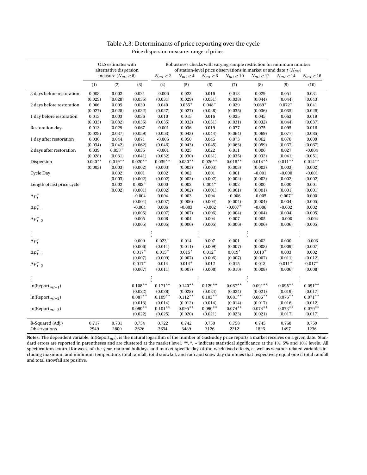|                            | OLS estimates with<br>alternative dispersion |                          |                      | Robustness checks with varying sample restriction for minimum number<br>of station-level price observations in market $m$ and date $t$ ( $N_{mt}$ ) |                      |                      |                       |                      |                       |                      |  |  |
|----------------------------|----------------------------------------------|--------------------------|----------------------|-----------------------------------------------------------------------------------------------------------------------------------------------------|----------------------|----------------------|-----------------------|----------------------|-----------------------|----------------------|--|--|
|                            |                                              | measure $(N_{mt} \ge 8)$ |                      | $N_{mt} \geq 2$                                                                                                                                     | $N_{mt} \geq 4$      | $N_{mt} \ge 6$       | $N_{mt}\geq 10$       | $N_{mt} \ge 12$      | $N_{mt} \ge 14$       | $N_{mt} \ge 16$      |  |  |
|                            | (1)                                          | (2)                      | (3)                  | (4)                                                                                                                                                 | (5)                  | (6)                  | (7)                   | (8)                  | (9)                   | (10)                 |  |  |
| 3 days before restoration  | 0.008                                        | 0.002                    | 0.021                | $-0.006$                                                                                                                                            | 0.023                | 0.016                | 0.013                 | 0.029                | 0.051                 | 0.031                |  |  |
|                            | (0.029)                                      | (0.028)                  | (0.035)              | (0.031)                                                                                                                                             | (0.029)              | (0.031)              | (0.038)               | (0.044)              | (0.044)               | (0.043)              |  |  |
| 2 days before restoration  | 0.006                                        | 0.005                    | 0.039                | 0.040                                                                                                                                               | $0.055^{+}$          | $0.048^{+}$          | 0.029                 | $0.069+$             | $0.072^{+}$           | 0.041                |  |  |
|                            | (0.027)                                      | (0.028)                  | (0.032)              | (0.027)                                                                                                                                             | (0.027)              | (0.028)              | (0.035)               | (0.036)              | (0.035)               | (0.026)              |  |  |
| 1 day before restoration   | 0.013                                        | 0.003                    | $\,0.036\,$          | 0.010                                                                                                                                               | 0.015                | 0.016                | 0.025                 | 0.045                | 0.063                 | 0.019                |  |  |
|                            | (0.033)                                      | (0.032)                  | (0.035)              | (0.035)                                                                                                                                             | (0.032)              | (0.031)              | (0.031)               | (0.032)              | (0.044)               | (0.037)              |  |  |
| Restoration day            | 0.013                                        | 0.029                    | 0.067                | $-0.001$                                                                                                                                            | 0.036                | 0.019                | 0.077                 | 0.075                | 0.095                 | 0.016                |  |  |
|                            | (0.028)                                      | (0.037)                  | (0.059)              | (0.053)                                                                                                                                             | (0.043)              | (0.044)              | (0.064)               | (0.069)              | (0.077)               | (0.085)              |  |  |
| 1 day after restoration    | 0.036                                        | 0.044                    | 0.071                | $-0.006$                                                                                                                                            | 0.050                | 0.045                | 0.073                 | 0.062                | 0.070                 | 0.009                |  |  |
|                            | (0.034)                                      | (0.042)<br>$0.053^{+}$   | (0.062)              | (0.046)                                                                                                                                             | (0.043)              | (0.045)              | (0.063)               | (0.059)              | (0.067)               | (0.067)              |  |  |
| 2 days after restoration   | 0.039                                        |                          | 0.035                | $-0.001$                                                                                                                                            | 0.025                | 0.022                | 0.011                 | 0.006                | 0.027                 | $-0.004$             |  |  |
| Dispersion                 | (0.028)<br>$0.020**$                         | (0.031)<br>$0.019**$     | (0.041)<br>$0.020**$ | (0.032)<br>$0.039**$                                                                                                                                | (0.030)<br>$0.030**$ | (0.031)<br>$0.026**$ | (0.035)<br>$0.016**$  | (0.032)<br>$0.014**$ | (0.041)<br>$0.011**$  | (0.051)<br>$0.014**$ |  |  |
|                            | (0.003)                                      | (0.003)                  | (0.002)              | (0.003)                                                                                                                                             | (0.003)              | (0.003)              | (0.003)               | (0.003)              | (0.003)               | (0.002)              |  |  |
| Cycle Day                  |                                              | 0.002                    | 0.001                | 0.002                                                                                                                                               | 0.002                | 0.001                | 0.001                 | $-0.001$             | $-0.000$              | $-0.001$             |  |  |
|                            |                                              | (0.003)                  | (0.002)              | (0.002)                                                                                                                                             | (0.002)              | (0.002)              | (0.002)               | (0.002)              | (0.002)               | (0.002)              |  |  |
| Length of last price cycle |                                              | 0.002                    | $0.002^{+}$          | 0.000                                                                                                                                               | 0.002                | $0.004*$             | 0.002                 | 0.000                | 0.000                 | 0.001                |  |  |
|                            |                                              | (0.002)                  | (0.001)              | (0.002)                                                                                                                                             | (0.002)              | (0.001)              | (0.001)               | (0.001)              | (0.001)               | (0.001)              |  |  |
| $\Delta p_t^+$             |                                              |                          | $-0.004$             | 0.004                                                                                                                                               | 0.003                | 0.004                | $-0.006$              | $-0.005$             | $-0.007$ <sup>+</sup> | 0.000                |  |  |
|                            |                                              |                          | (0.004)              | (0.007)                                                                                                                                             | (0.006)              | (0.004)              | (0.004)               | (0.004)              | (0.004)               | (0.005)              |  |  |
| $\Delta p_{t-1}^+$         |                                              |                          | $-0.004$             | 0.006                                                                                                                                               | $-0.003$             | $-0.002$             | $-0.007$ <sup>+</sup> | $-0.006$             | $-0.002$              | 0.002                |  |  |
|                            |                                              |                          | (0.005)              | (0.007)                                                                                                                                             | (0.007)              | (0.006)              | (0.004)               | (0.004)              | (0.004)               | (0.005)              |  |  |
| $\Delta p_{t-2}^+$         |                                              |                          | 0.005                | 0.008                                                                                                                                               | 0.004                | 0.004                | 0.007                 | 0.005                | $-0.000$              | $-0.004$             |  |  |
|                            |                                              |                          | (0.005)              | (0.005)                                                                                                                                             | (0.006)              | (0.005)              | (0.006)               | (0.006)              | (0.006)               | (0.005)              |  |  |
|                            |                                              |                          |                      |                                                                                                                                                     |                      |                      |                       |                      |                       |                      |  |  |
|                            |                                              |                          |                      |                                                                                                                                                     |                      |                      |                       |                      |                       |                      |  |  |
| $\Delta p_t^-$             |                                              |                          | 0.009                | $0.023^{+}$                                                                                                                                         | 0.014                | 0.007                | 0.001                 | 0.002                | 0.000                 | $-0.003$             |  |  |
|                            |                                              |                          | (0.006)              | (0.011)                                                                                                                                             | (0.011)              | (0.009)              | (0.007)               | (0.008)              | (0.009)               | (0.007)              |  |  |
| $\Delta p_{t-1}^-$         |                                              |                          | $0.017*$             | $0.015+$                                                                                                                                            | $0.015*$             | $0.012^{+}$          | $0.019*$              | $0.013+$             | 0.003                 | 0.002                |  |  |
|                            |                                              |                          | (0.007)              | (0.009)                                                                                                                                             | (0.007)              | (0.006)              | (0.007)               | (0.007)              | (0.011)               | (0.012)              |  |  |
| $\Delta p_{t-2}^-$         |                                              |                          | $0.017*$             | 0.014                                                                                                                                               | $0.014 +$            | 0.012                | 0.015                 | 0.013                | $0.011 +$             | $0.017*$             |  |  |
|                            |                                              |                          | (0.007)              | (0.011)                                                                                                                                             | (0.007)              | (0.008)              | (0.010)               | (0.008)              | (0.006)               | (0.008)              |  |  |
|                            |                                              |                          |                      |                                                                                                                                                     |                      |                      |                       |                      |                       |                      |  |  |
| $ln(Report_{mt-1})$        |                                              |                          | $0.108**$            | $0.171**$                                                                                                                                           | $0.140**$            | $0.129**$            | $0.087**$             | $0.091**$            | $0.095***$            | $0.091**$            |  |  |
|                            |                                              |                          | (0.022)              | (0.028)                                                                                                                                             | (0.028)              | (0.024)              | (0.024)               | (0.021)              | (0.019)               | (0.017)              |  |  |
| $ln(Report_{mt-2})$        |                                              |                          | $0.087**$            | $0.109**$                                                                                                                                           | $0.112**$            | $0.103**$            | $0.081**$             | $0.085***$           | $0.076***$            | $0.071**$            |  |  |
|                            |                                              |                          | (0.013)              | (0.014)                                                                                                                                             | (0.012)              | (0.014)              | (0.014)               | (0.017)              | (0.016)               | (0.012)              |  |  |
| $ln(Report_{mt-3})$        |                                              |                          | $0.090**$            | $0.101**$                                                                                                                                           | $0.095**$            | $0.090**$            | $0.074***$            | $0.074***$           | $0.073**$             | $0.070**$            |  |  |
|                            |                                              |                          | (0.022)              | (0.025)                                                                                                                                             | (0.020)              | (0.021)              | (0.023)               | (0.021)              | (0.017)               | (0.017)              |  |  |
| R-Squared (Adj.)           | 0.717                                        | 0.731                    | 0.754                | 0.722                                                                                                                                               | 0.742                | 0.750                | 0.758                 | 0.745                | 0.768                 | 0.759                |  |  |
| Observations               | 2949                                         | 2800                     | 2626                 | 3634                                                                                                                                                | 3489                 | 3126                 | 2212                  | 1826                 | 1497                  | 1236                 |  |  |
|                            |                                              |                          |                      |                                                                                                                                                     |                      |                      |                       |                      |                       |                      |  |  |

Table A.3: Determinants of price reporting over the cycle

Price dispersion measure: range of prices

**Notes:** The dependent variable, ln(Report*mt*), is the natural logarithm of the number of GasBuddy price reports a market receives on a given date. Standard errors are reported in parentheses and are clustered at the market level. \*\*, \*, + indicate statistical significance at the 1%, 5% and 10% levels. All specifications control for week-of-the-year, national holidays, and market-specific day-of-the-week fixed effects, as well as weather-related variables including maximum and minimum temperature, total rainfall, total snowfall, and rain and snow day dummies that respectively equal one if total rainfall and total snowfall are positive.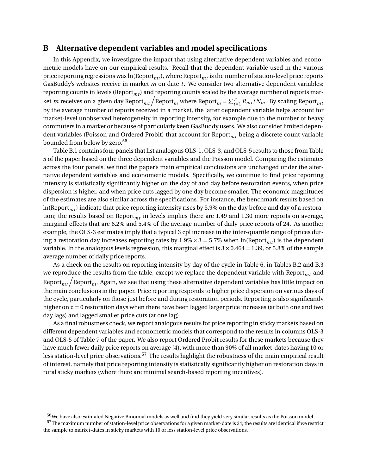### **B Alternative dependent variables and model specifications**

In this Appendix, we investigate the impact that using alternative dependent variables and econometric models have on our empirical results. Recall that the dependent variable used in the various price reporting regressions was  $ln(Report<sub>mt</sub>)$ , where Report<sub>mt</sub> is the number of station-level price reports GasBuddy's websites receive in market *m* on date *t*. We consider two alternative dependent variables: reporting counts in levels (Report*mt*) and reporting counts scaled by the average number of reports market  $m$  receives on a given day Report $_{mt}/\overline{\rm Report}_m$  where  $\overline{\rm Report}_m = \sum_{t=1}^T R_{mt}/N_m.$  By scaling Report $_{mt}$ by the average number of reports received in a market, the latter dependent variable helps account for market-level unobserved heterogeneity in reporting intensity, for example due to the number of heavy commuters in a market or because of particularly keen GasBuddy users. We also consider limited dependent variables (Poisson and Ordered Probit) that account for Report*mt* being a discrete count variable bounded from below by zero.<sup>56</sup>

Table B.1 contains four panels that list analogous OLS-1, OLS-3, and OLS-5 results to those from Table 5 of the paper based on the three dependent variables and the Poisson model. Comparing the estimates across the four panels, we find the paper's main empirical conclusions are unchanged under the alternative dependent variables and econometric models. Specifically, we continue to find price reporting intensity is statistically significantly higher on the day of and day before restoration events, when price dispersion is higher, and when price cuts lagged by one day become smaller. The economic magnitudes of the estimates are also similar across the specifications. For instance, the benchmark results based on ln(Report*mt*) indicate that price reporting intensity rises by 5.9% on the day before and day of a restoration; the results based on Report*mt* in levels implies there are 1.49 and 1.30 more reports on average, marginal effects that are 6.2% and 5.4% of the average number of daily price reports of 24. As another example, the OLS-3 estimates imply that a typical 3 cpl increase in the inter-quartile range of prices during a restoration day increases reporting rates by  $1.9\% \times 3 = 5.7\%$  when  $\ln(\text{Report}_{mt})$  is the dependent variable. In the analogous levels regression, this marginal effect is  $3 \times 0.464 = 1.39$ , or 5.8% of the sample average number of daily price reports.

As a check on the results on reporting intensity by day of the cycle in Table 6, in Tables B.2 and B.3 we reproduce the results from the table, except we replace the dependent variable with Report*mt* and Report $_m/\overline{{\rm Report}}_m$ . Again, we see that using these alternative dependent variables has little impact on the main conclusions in the paper. Price reporting responds to higher price dispersion on various days of the cycle, particularly on those just before and during restoration periods. Reporting is also significantly higher on *τ* = 0 restoration days when there have been lagged larger price increases (at both one and two day lags) and lagged smaller price cuts (at one lag).

As a final robustness check, we report analogous results for price reporting in sticky markets based on different dependent variables and econometric models that correspond to the results in columns OLS-3 and OLS-5 of Table 7 of the paper. We also report Ordered Probit results for these markets because they have much fewer daily price reports on average (4), with more than 90% of all market-dates having 10 or less station-level price observations.<sup>57</sup> The results highlight the robustness of the main empirical result of interest, namely that price reporting intensity is statistically significantly higher on restoration days in rural sticky markets (where there are minimal search-based reporting incentives).

<sup>&</sup>lt;sup>56</sup>We have also estimated Negative Binomial models as well and find they yield very similar results as the Poisson model.

<sup>&</sup>lt;sup>57</sup>The maximum number of station-level price observations for a given market-date is 24; the results are identical if we restrict the sample to market-dates in sticky markets with 10 or less station-level price observations.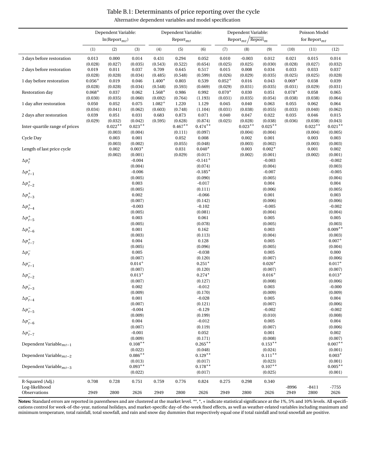|                                    | Dependent Variable:    |                      | Dependent Variable:    |                        |                      |                                  | Dependent Variable:    |                                                 | Poisson Model         |                     |                      |                       |
|------------------------------------|------------------------|----------------------|------------------------|------------------------|----------------------|----------------------------------|------------------------|-------------------------------------------------|-----------------------|---------------------|----------------------|-----------------------|
|                                    |                        | $ln(Report_{mt})$    |                        |                        | $Report_{mt}$        |                                  |                        | $\text{Report}_{mt}/\overline{\text{Report}}_m$ |                       | for Report $_{mt}$  |                      |                       |
|                                    | (1)                    | (2)                  | (3)                    | (4)                    | (5)                  | (6)                              | (7)                    | (8)                                             | (9)                   | (10)                | (11)                 | (12)                  |
| 3 days before restoration          | 0.013                  | 0.000                | 0.014                  | 0.431                  | 0.294                | 0.052                            | 0.010                  | $-0.003$                                        | 0.012                 | 0.021               | 0.015                | 0.014                 |
| 2 days before restoration          | (0.028)<br>0.019       | (0.027)<br>0.011     | (0.035)<br>0.037       | (0.543)<br>0.709       | (0.522)<br>0.645     | (0.654)<br>0.517                 | (0.025)<br>0.015       | (0.025)<br>0.008                                | (0.030)<br>0.034      | (0.028)<br>0.033    | (0.027)<br>0.033     | (0.032)<br>0.037      |
| 1 day before restoration           | (0.028)<br>$0.056^{+}$ | (0.028)<br>0.019     | (0.034)<br>0.046       | (0.485)<br>$1.400*$    | (0.548)<br>0.803     | (0.599)<br>0.539                 | (0.026)<br>$0.052^{+}$ | (0.029)<br>0.016                                | (0.035)<br>0.043      | (0.025)<br>$0.069*$ | (0.025)<br>0.038     | (0.028)<br>0.039      |
| Restoration day                    | (0.028)<br>$0.068*$    | (0.028)<br>0.037     | (0.034)<br>0.062       | (0.548)<br>$1.568*$    | (0.593)<br>0.986     | (0.669)<br>0.992                 | (0.029)<br>$0.070*$    | (0.031)<br>0.030                                | (0.035)<br>0.051      | (0.031)<br>$0.078*$ | (0.029)<br>0.058     | (0.031)<br>0.065      |
| 1 day after restoration            | (0.030)<br>0.050       | (0.035)<br>0.052     | (0.060)<br>0.075       | (0.692)<br>$1.082^{+}$ | (0.764)<br>1.220     | (1.193)<br>1.129                 | (0.031)<br>0.045       | (0.035)<br>0.040                                | (0.054)<br>0.063      | (0.038)<br>0.055    | (0.038)<br>0.062     | (0.064)<br>0.064      |
| 2 days after restoration           | (0.034)<br>0.039       | (0.041)<br>0.051     | (0.062)<br>0.031       | (0.603)<br>0.683       | (0.748)<br>0.873     | (1.104)<br>0.071                 | (0.031)<br>0.040       | (0.038)<br>0.047                                | (0.055)<br>0.022      | (0.033)<br>0.035    | (0.040)<br>0.046     | (0.062)<br>0.015      |
| Inter-quartile range of prices     | (0.029)                | (0.032)<br>$0.022**$ | (0.042)<br>$0.023**$   | (0.595)                | (0.628)<br>$0.467**$ | (0.874)<br>$0.474**$             | (0.025)                | (0.028)<br>$0.023**$                            | (0.038)<br>$0.025***$ | (0.036)             | (0.038)<br>$0.022**$ | (0.043)<br>$0.021***$ |
| Cycle Day                          |                        | (0.003)<br>0.003     | (0.004)<br>0.001       |                        | (0.111)<br>0.052     | (0.097)<br>0.008                 |                        | (0.004)<br>0.002                                | (0.004)<br>0.001      |                     | (0.004)<br>0.003     | (0.005)<br>0.003      |
| Length of last price cycle         |                        | (0.003)<br>0.002     | (0.002)<br>$0.003*$    |                        | (0.055)<br>0.031     | (0.048)<br>$0.040*$              |                        | (0.003)<br>0.003                                | (0.002)<br>$0.002*$   |                     | (0.003)<br>0.001     | (0.003)<br>0.002      |
| $\Delta p_t^+$                     |                        | (0.002)              | (0.001)<br>$-0.004$    |                        | (0.029)              | (0.017)<br>$-0.141$ <sup>+</sup> |                        | (0.002)                                         | (0.001)<br>$-0.003$   |                     | (0.002)              | (0.001)<br>$-0.002$   |
| $\Delta p_{t-1}^+$                 |                        |                      | (0.004)<br>$-0.006$    |                        |                      | (0.074)<br>$-0.185*$             |                        |                                                 | (0.004)<br>$-0.007$   |                     |                      | (0.003)<br>$-0.005$   |
| $\Delta p^+_{t-2}$                 |                        |                      | (0.005)<br>0.003       |                        |                      | (0.090)<br>$-0.017$              |                        |                                                 | (0.005)<br>0.004      |                     |                      | (0.004)<br>0.004      |
|                                    |                        |                      | (0.005)<br>0.002       |                        |                      | (0.111)<br>$-0.066$              |                        |                                                 | (0.006)<br>0.001      |                     |                      | (0.005)<br>0.003      |
| $\Delta p_{t-3}^+$                 |                        |                      | (0.007)                |                        |                      | (0.142)                          |                        |                                                 | (0.006)               |                     |                      | (0.006)               |
| $\Delta p_{t-4}^+$                 |                        |                      | $-0.003$<br>(0.005)    |                        |                      | $-0.102$<br>(0.081)              |                        |                                                 | $-0.005$<br>(0.004)   |                     |                      | $-0.002$<br>(0.004)   |
| $\Delta p_{t-5}^+$                 |                        |                      | 0.003<br>(0.005)       |                        |                      | 0.061<br>(0.078)                 |                        |                                                 | 0.005<br>(0.005)      |                     |                      | 0.005<br>(0.003)      |
| $\Delta p_{t-6}^+$                 |                        |                      | 0.001<br>(0.003)       |                        |                      | 0.162<br>(0.113)                 |                        |                                                 | 0.003<br>(0.004)      |                     |                      | $0.009***$<br>(0.003) |
| $\Delta p_{t-7}^+$                 |                        |                      | 0.004<br>(0.005)       |                        |                      | 0.128<br>(0.096)                 |                        |                                                 | 0.005<br>(0.005)      |                     |                      | $0.007+$<br>(0.004)   |
| $\Delta p_t^-$                     |                        |                      | 0.005<br>(0.007)       |                        |                      | $-0.038$<br>(0.120)              |                        |                                                 | 0.005<br>(0.007)      |                     |                      | 0.000<br>(0.006)      |
| $\Delta p_{t-1}^-$                 |                        |                      | $0.014^{+}$<br>(0.007) |                        |                      | $0.251*$<br>(0.120)              |                        |                                                 | $0.020*$<br>(0.007)   |                     |                      | $0.017*$<br>(0.007)   |
| $\Delta p_{t-2}^-$                 |                        |                      | $0.013+$<br>(0.007)    |                        |                      | $0.274*$<br>(0.127)              |                        |                                                 | $0.016+$<br>(0.008)   |                     |                      | $0.013*$<br>(0.006)   |
| $\Delta p_{t-3}^-$                 |                        |                      | 0.002<br>(0.009)       |                        |                      | $-0.012$<br>(0.170)              |                        |                                                 | 0.003<br>(0.009)      |                     |                      | $-0.000$<br>(0.009)   |
| $\Delta p_{t-4}^-$                 |                        |                      | 0.001<br>(0.007)       |                        |                      | $-0.028$<br>(0.121)              |                        |                                                 | 0.005<br>(0.007)      |                     |                      | 0.004<br>(0.006)      |
| $\Delta p_{t-5}^-$                 |                        |                      | $-0.004$               |                        |                      | $-0.129$                         |                        |                                                 | $-0.002$              |                     |                      | $-0.002$              |
| $\Delta p_{t-6}^-$                 |                        |                      | (0.009)<br>0.004       |                        |                      | (0.199)<br>$-0.012$              |                        |                                                 | (0.010)<br>0.005      |                     |                      | (0.008)<br>0.004      |
| $\Delta p_{t-7}^-$                 |                        |                      | (0.007)<br>$-0.001$    |                        |                      | (0.119)<br>0.052                 |                        |                                                 | (0.007)<br>0.001      |                     |                      | (0.006)<br>0.002      |
| Dependent Variable $m_{t-1}$       |                        |                      | (0.009)<br>$0.108**$   |                        |                      | (0.171)<br>$0.265**$             |                        |                                                 | (0.008)<br>$0.153**$  |                     |                      | (0.007)<br>$0.007**$  |
| Dependent Variable $m_{t-2}$       |                        |                      | (0.022)<br>$0.086**$   |                        |                      | (0.048)<br>$0.129**$             |                        |                                                 | (0.024)<br>$0.111***$ |                     |                      | (0.001)<br>$0.003*$   |
|                                    |                        |                      | (0.013)                |                        |                      | (0.017)                          |                        |                                                 | (0.023)               |                     |                      | (0.001)               |
| Dependent Variable $m_{t-3}$       |                        |                      | $0.093**$<br>(0.022)   |                        |                      | $0.178**$<br>(0.017)             |                        |                                                 | $0.107**$<br>(0.025)  |                     |                      | $0.005**$<br>(0.001)  |
| R-Squared (Adj.)<br>Log-likelihood | 0.708                  | 0.728                | 0.751                  | 0.759                  | 0.776                | 0.824                            | 0.275                  | 0.298                                           | 0.340                 | -8996               | $-8411$              | -7755                 |
| Observations                       | 2949                   | 2800                 | 2626                   | 2949                   | 2800                 | 2626                             | 2949                   | 2800                                            | 2626                  | 2949                | 2800                 | 2626                  |

## Table B.1: Determinants of price reporting over the cycle Alternative dependent variables and model specification

Notes: Standard errors are reported in parentheses and are clustered at the market level. \*\*, \*, + indicate statistical significance at the 1%, 5% and 10% levels. All specifications control for week-of-the-year, national holidays, and market-specific day-of-the-week fixed effects, as well as weather-related variables including maximum and minimum temperature, total rainfall, total snowfall, and rain and snow day dummies that respectively equal one if total rainfall and total snowfall are positive.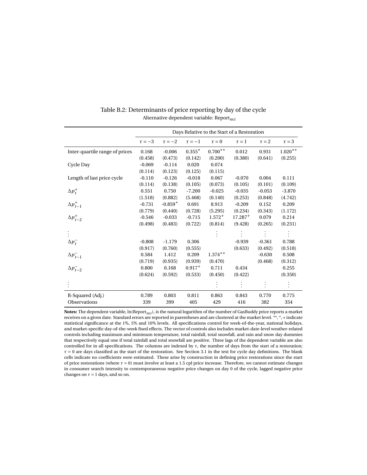|                                | Days Relative to the Start of a Restoration |             |             |             |            |            |            |  |  |
|--------------------------------|---------------------------------------------|-------------|-------------|-------------|------------|------------|------------|--|--|
|                                | $\tau = -3$                                 | $\tau = -2$ | $\tau = -1$ | $\tau = 0$  | $\tau = 1$ | $\tau = 2$ | $\tau = 3$ |  |  |
| Inter-quartile range of prices | 0.168                                       | $-0.006$    | $0.355*$    | $0.700**$   | 0.012      | 0.931      | $1.020**$  |  |  |
|                                | (0.458)                                     | (0.473)     | (0.142)     | (0.200)     | (0.380)    | (0.641)    | (0.255)    |  |  |
| Cycle Day                      | $-0.069$                                    | $-0.114$    | 0.020       | 0.074       |            |            |            |  |  |
|                                | (0.114)                                     | (0.123)     | (0.125)     | (0.115)     |            |            |            |  |  |
| Length of last price cycle     | $-0.110$                                    | $-0.126$    | $-0.018$    | 0.067       | $-0.070$   | 0.004      | 0.111      |  |  |
|                                | (0.114)                                     | (0.138)     | (0.105)     | (0.073)     | (0.105)    | (0.101)    | (0.109)    |  |  |
| $\Delta p_t^+$                 | 0.551                                       | 0.750       | $-7.200$    | $-0.025$    | $-0.035$   | $-0.053$   | $-3.870$   |  |  |
|                                | (1.518)                                     | (0.882)     | (5.468)     | (0.140)     | (0.253)    | (0.848)    | (4.742)    |  |  |
| $\Delta p_{t-1}^+$             | $-0.731$                                    | $-0.859+$   | 0.691       | 8.913       | $-0.209$   | 0.152      | 0.209      |  |  |
|                                | (0.779)                                     | (0.440)     | (0.728)     | (5.295)     | (0.234)    | (0.343)    | (1.172)    |  |  |
| $\Delta p_{t-2}^+$             | $-0.546$                                    | $-0.033$    | $-0.715$    | $1.572^{+}$ | $17.287+$  | 0.079      | 0.214      |  |  |
|                                | (0.498)                                     | (0.483)     | (0.722)     | (0.814)     | (9.428)    | (0.265)    | (0.231)    |  |  |
|                                |                                             |             |             |             |            |            |            |  |  |
| $\Delta p_t^-$                 | $-0.808$                                    | $-1.179$    | 0.306       |             | $-0.939$   | $-0.361$   | 0.788      |  |  |
|                                | (0.917)                                     | (0.760)     | (0.555)     |             | (0.633)    | (0.492)    | (0.518)    |  |  |
| $\Delta p_{t-1}^-$             | 0.584                                       | 1.412       | 0.209       | $1.374**$   |            | $-0.630$   | 0.508      |  |  |
|                                | (0.719)                                     | (0.935)     | (0.939)     | (0.470)     |            | (0.468)    | (0.312)    |  |  |
| $\Delta p_{t-2}^-$             | 0.800                                       | 0.168       | $0.917^{+}$ | 0.711       | 0.434      |            | 0.255      |  |  |
|                                | (0.624)                                     | (0.592)     | (0.533)     | (0.450)     | (0.422)    |            | (0.350)    |  |  |
|                                |                                             |             |             |             |            |            |            |  |  |
| R-Squared (Adj.)               | 0.789                                       | 0.803       | 0.811       | 0.863       | 0.843      | 0.770      | 0.775      |  |  |
| <b>Observations</b>            | 339                                         | 399         | 405         | 429         | 416        | 382        | 354        |  |  |

Table B.2: Determinants of price reporting by day of the cycle Alternative dependent variable: Report*mt*

**Notes:** The dependent variable, ln(Report*mt*), is the natural logarithm of the number of GasBuddy price reports a market receives on a given date. Standard errors are reported in parentheses and are clustered at the market level. \*\*, \*, + indicate statistical significance at the 1%, 5% and 10% levels. All specifications control for week-of-the-year, national holidays, and market-specific day-of-the-week fixed effects. The vector of controls also includes market-date-level weather-related controls including maximum and minimum temperature, total rainfall, total snowfall, and rain and snow day dummies that respectively equal one if total rainfall and total snowfall are positive. Three lags of the dependent variable are also controlled for in all specifications. The columns are indexed by *τ*, the number of days from the start of a restoration; *τ* = 0 are days classified as the start of the restoration. See Section 3.1 in the text for cycle day definitions. The blank cells indicate no coefficients were estimated. These arise by construction in defining price restorations since the start of price restorations (where  $\tau = 0$ ) must involve at least a 1.5 cpl price increase. Therefore, we cannot estimate changes in consumer search intensity to contemporaneous negative price changes on day 0 of the cycle, lagged negative price changes on  $\tau = 1$  days, and so on.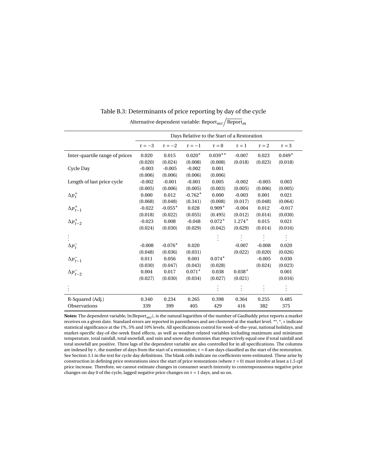|                                          | Days Relative to the Start of a Restoration |             |             |             |             |                |            |  |  |
|------------------------------------------|---------------------------------------------|-------------|-------------|-------------|-------------|----------------|------------|--|--|
|                                          | $\tau = -3$                                 | $\tau = -2$ | $\tau = -1$ | $\tau = 0$  | $\tau = 1$  | $\tau = 2$     | $\tau = 3$ |  |  |
| Inter-quartile range of prices           | 0.020                                       | 0.015       | $0.020*$    | $0.039**$   | $-0.007$    | 0.023          | $0.049*$   |  |  |
|                                          | (0.020)                                     | (0.024)     | (0.008)     | (0.008)     | (0.018)     | (0.023)        | (0.018)    |  |  |
| Cycle Day                                | $-0.003$                                    | $-0.005$    | $-0.002$    | 0.001       |             |                |            |  |  |
|                                          | (0.006)                                     | (0.006)     | (0.006)     | (0.006)     |             |                |            |  |  |
| Length of last price cycle               | $-0.002$                                    | $-0.001$    | $-0.001$    | 0.005       | $-0.002$    | $-0.005$       | 0.003      |  |  |
|                                          | (0.005)                                     | (0.006)     | (0.005)     | (0.003)     | (0.005)     | (0.006)        | (0.005)    |  |  |
| $\Delta p_t^+$                           | 0.000                                       | 0.012       | $-0.762*$   | 0.000       | $-0.003$    | 0.001          | 0.021      |  |  |
|                                          | (0.068)                                     | (0.048)     | (0.341)     | (0.008)     | (0.017)     | (0.048)        | (0.064)    |  |  |
| $\Delta p_{t-1}^+$                       | $-0.022$                                    | $-0.055*$   | 0.028       | $0.909^{+}$ | $-0.004$    | 0.012          | $-0.017$   |  |  |
|                                          | (0.018)                                     | (0.022)     | (0.055)     | (0.495)     | (0.012)     | (0.014)        | (0.030)    |  |  |
| $\Delta p_{t-2}^+$                       | $-0.023$                                    | 0.008       | $-0.048$    | $0.072^{+}$ | $1.274^{+}$ | 0.015          | 0.021      |  |  |
|                                          | (0.024)                                     | (0.030)     | (0.029)     | (0.042)     | (0.629)     | (0.014)        | (0.016)    |  |  |
|                                          |                                             |             |             |             |             |                |            |  |  |
| $\Delta p_t^-$                           | $-0.008$                                    | $-0.076*$   | 0.020       |             | $-0.007$    | $-0.008$       | 0.020      |  |  |
|                                          | (0.048)                                     | (0.036)     | (0.031)     |             | (0.022)     | (0.020)        | (0.026)    |  |  |
|                                          | 0.011                                       | 0.056       | 0.001       | $0.074*$    |             | $-0.005$       | 0.030      |  |  |
| $\Delta p_{t-1}^-$<br>$\Delta p_{t-2}^-$ | (0.030)                                     | (0.047)     | (0.043)     | (0.028)     |             | (0.024)        | (0.023)    |  |  |
|                                          | 0.004                                       | 0.017       | $0.071*$    | 0.038       | $0.038^{+}$ |                | 0.001      |  |  |
|                                          | (0.027)                                     | (0.030)     | (0.034)     | (0.027)     | (0.021)     |                | (0.016)    |  |  |
|                                          |                                             |             |             |             |             | $\ddot{\cdot}$ |            |  |  |
| R-Squared (Adj.)                         | 0.340                                       | 0.234       | 0.265       | 0.398       | 0.364       | 0.255          | 0.485      |  |  |
| Observations                             | 339                                         | 399         | 405         | 429         | 416         | 382            | 375        |  |  |

| Table B.3: Determinants of price reporting by day of the cycle |
|----------------------------------------------------------------|
|                                                                |

Alternative dependent variable: Report $_m / \overline{{\rm Report}}_m$ 

**Notes:** The dependent variable, ln(Report*mt*), is the natural logarithm of the number of GasBuddy price reports a market receives on a given date. Standard errors are reported in parentheses and are clustered at the market level. \*\*, \*, + indicate statistical significance at the 1%, 5% and 10% levels. All specifications control for week-of-the-year, national holidays, and market-specific day-of-the-week fixed effects, as well as weather-related variables including maximum and minimum temperature, total rainfall, total snowfall, and rain and snow day dummies that respectively equal one if total rainfall and total snowfall are positive. Three lags of the dependent variable are also controlled for in all specifications. The columns are indexed by *τ*, the number of days from the start of a restoration; *τ* = 0 are days classified as the start of the restoration. See Section 3.1 in the text for cycle day definitions. The blank cells indicate no coefficients were estimated. These arise by construction in defining price restorations since the start of price restorations (where *τ* = 0) must involve at least a 1.5 cpl price increase. Therefore, we cannot estimate changes in consumer search intensity to contemporaneous negative price changes on day 0 of the cycle, lagged negative price changes on  $\tau = 1$  days, and so on.